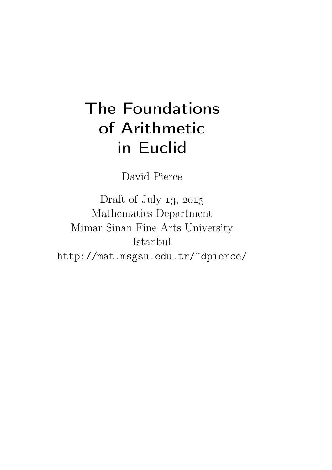# The Foundations of Arithmetic in Euclid

David Pierce

Draft of July  $13, 2015$ Mathematics Department Mimar Sinan Fine Arts University Istanbul http://mat.msgsu.edu.tr/~dpierce/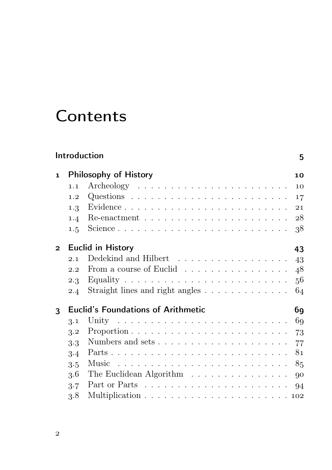## **Contents**

| Introduction |                                           |                                                                               |    |  |  |
|--------------|-------------------------------------------|-------------------------------------------------------------------------------|----|--|--|
| $\mathbf{1}$ |                                           | <b>Philosophy of History</b>                                                  | 10 |  |  |
|              | 1.1                                       |                                                                               | 10 |  |  |
|              | 1.2                                       |                                                                               | 17 |  |  |
|              | 1.3                                       |                                                                               | 21 |  |  |
|              | 1.4                                       | $Re\text{-}enactment \ldots \ldots \ldots \ldots \ldots \ldots \ldots \ldots$ | 28 |  |  |
|              | 1.5                                       |                                                                               | 38 |  |  |
| $\mathbf{2}$ | <b>Euclid in History</b><br>43            |                                                                               |    |  |  |
|              | 2.1                                       |                                                                               | 43 |  |  |
|              | 2.2                                       | From a course of Euclid                                                       | 48 |  |  |
|              | 2.3                                       |                                                                               | 56 |  |  |
|              | 2.4                                       | Straight lines and right angles                                               | 64 |  |  |
| 3            | <b>Euclid's Foundations of Arithmetic</b> |                                                                               |    |  |  |
|              | 3.1                                       |                                                                               | 69 |  |  |
|              | 3.2                                       |                                                                               | 73 |  |  |
|              | $3-3$                                     | Numbers and sets $\dots \dots \dots \dots \dots \dots \dots$                  | 77 |  |  |
|              | 3.4                                       |                                                                               | 81 |  |  |
|              | 3.5                                       |                                                                               |    |  |  |
|              | 3.6                                       | The Euclidean Algorithm $\dots \dots \dots \dots \dots$ 90                    |    |  |  |
|              | 3.7                                       |                                                                               | 94 |  |  |
|              | 3.8                                       |                                                                               |    |  |  |
|              |                                           |                                                                               |    |  |  |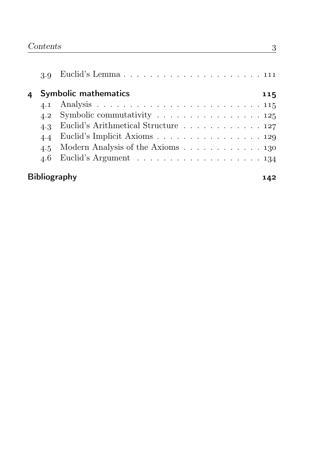|     | 4 Symbolic mathematics                                                         | 115 |
|-----|--------------------------------------------------------------------------------|-----|
|     |                                                                                |     |
| 4.2 | Symbolic commutativity $\dots \dots \dots \dots \dots \dots \dots \dots \dots$ |     |
| 4.3 | Euclid's Arithmetical Structure 127                                            |     |
| 4.4 |                                                                                |     |
| 4.5 | Modern Analysis of the Axioms 130                                              |     |
| 4.6 |                                                                                |     |
|     | <b>Bibliography</b>                                                            | 142 |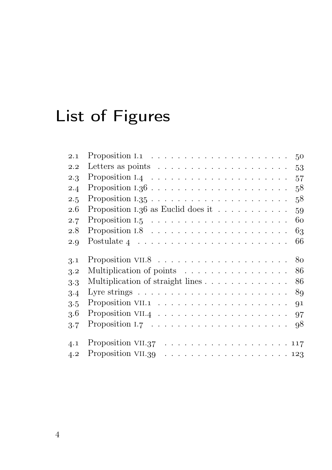# List of Figures

| 2.1   | Proposition I.1 $\dots \dots \dots \dots \dots \dots \dots$                                  | 50  |
|-------|----------------------------------------------------------------------------------------------|-----|
| 2.2   | Letters as points $\ldots \ldots \ldots \ldots \ldots \ldots \ldots$                         | 53  |
| 2.3   | Proposition I.4 $\dots \dots \dots \dots \dots \dots \dots$                                  | 57  |
| 2.4   |                                                                                              | 58  |
| 2.5   |                                                                                              | 58  |
| 2.6   | Proposition 1.36 as Euclid does it $\ldots \ldots \ldots$                                    | 59  |
| 2.7   | Proposition I.5 $\ldots \ldots \ldots \ldots \ldots \ldots \ldots$                           | 60  |
| 2.8   | Proposition I.8 $\dots \dots \dots \dots \dots \dots \dots \dots$                            | 63  |
| 2.0   | Postulate $4 \ldots \ldots \ldots \ldots \ldots \ldots \ldots \ldots$                        | 66  |
| 3.1   |                                                                                              | 80  |
| 3.2   | Multiplication of points                                                                     | 86  |
| $3-3$ | Multiplication of straight lines                                                             | 86  |
| 3.4   | Lyre strings $\ldots \ldots \ldots \ldots \ldots \ldots \ldots$                              | 89  |
| 3.5   | Proposition VII.1 $\dots \dots \dots \dots \dots \dots$                                      | 91  |
| 3.6   | Proposition VII.4 $\dots \dots \dots \dots \dots \dots$                                      | 97  |
| 3.7   | Proposition I.7 $\ldots \ldots \ldots \ldots \ldots \ldots$                                  | .98 |
| 4.1   | Proposition VII.37 $\ldots \ldots \ldots \ldots \ldots \ldots \ldots \ldots 117$             |     |
| 4.2   | Proposition VII.39 $\dots \dots \dots \dots \dots \dots \dots \dots \dots \dots \dots \dots$ |     |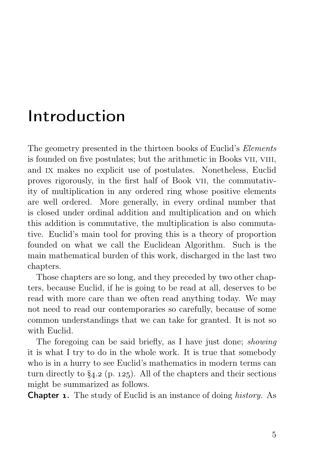### Introduction

The geometry presented in the thirteen books of Euclid's Elements is founded on five postulates; but the arithmetic in Books vii, viii, and ix makes no explicit use of postulates. Nonetheless, Euclid proves rigorously, in the first half of Book vii, the commutativity of multiplication in any ordered ring whose positive elements are well ordered. More generally, in every ordinal number that is closed under ordinal addition and multiplication and on which this addition is commutative, the multiplication is also commutative. Euclid's main tool for proving this is a theory of proportion founded on what we call the Euclidean Algorithm. Such is the main mathematical burden of this work, discharged in the last two chapters.

Those chapters are so long, and they preceded by two other chapters, because Euclid, if he is going to be read at all, deserves to be read with more care than we often read anything today. We may not need to read our contemporaries so carefully, because of some common understandings that we can take for granted. It is not so with Euclid.

The foregoing can be said briefly, as I have just done; *showing* it is what I try to do in the whole work. It is true that somebody who is in a hurry to see Euclid's mathematics in modern terms can turn directly to  $\S_{4,2}$  (p. 125). All of the chapters and their sections might be summarized as follows.

**Chapter 1.** The study of Euclid is an instance of doing *history*. As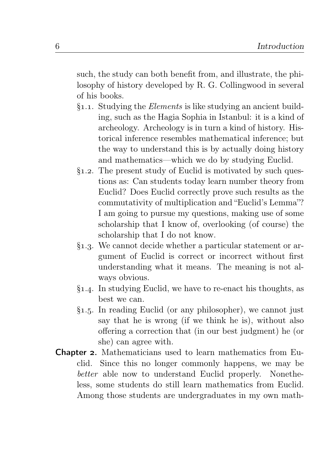such, the study can both benefit from, and illustrate, the philosophy of history developed by R. G. Collingwood in several of his books.

- $\S_{1,1}$ . Studying the *Elements* is like studying an ancient building, such as the Hagia Sophia in Istanbul: it is a kind of archeology. Archeology is in turn a kind of history. Historical inference resembles mathematical inference; but the way to understand this is by actually doing history and mathematics—which we do by studying Euclid.
- $\S$ 1.2. The present study of Euclid is motivated by such questions as: Can students today learn number theory from Euclid? Does Euclid correctly prove such results as the commutativity of multiplication and "Euclid's Lemma"? I am going to pursue my questions, making use of some scholarship that I know of, overlooking (of course) the scholarship that I do not know.
- §.. We cannot decide whether a particular statement or argument of Euclid is correct or incorrect without first understanding what it means. The meaning is not always obvious.
- §.. In studying Euclid, we have to re-enact his thoughts, as best we can.
- §.. In reading Euclid (or any philosopher), we cannot just say that he is wrong (if we think he is), without also offering a correction that (in our best judgment) he (or she) can agree with.
- **Chapter 2.** Mathematicians used to learn mathematics from Euclid. Since this no longer commonly happens, we may be better able now to understand Euclid properly. Nonetheless, some students do still learn mathematics from Euclid. Among those students are undergraduates in my own math-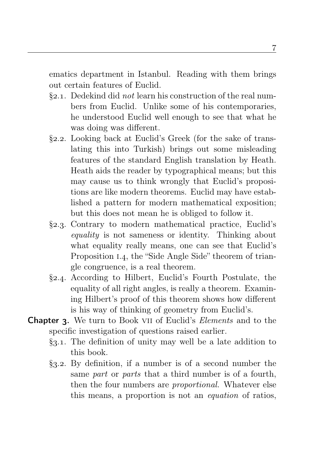ematics department in Istanbul. Reading with them brings out certain features of Euclid.

- $\S_{2.1}$ . Dedekind did *not* learn his construction of the real numbers from Euclid. Unlike some of his contemporaries, he understood Euclid well enough to see that what he was doing was different.
- §.. Looking back at Euclid's Greek (for the sake of translating this into Turkish) brings out some misleading features of the standard English translation by Heath. Heath aids the reader by typographical means; but this may cause us to think wrongly that Euclid's propositions are like modern theorems. Euclid may have established a pattern for modern mathematical exposition; but this does not mean he is obliged to follow it.
- §.. Contrary to modern mathematical practice, Euclid's equality is not sameness or identity. Thinking about what equality really means, one can see that Euclid's Proposition I.4, the "Side Angle Side" theorem of triangle congruence, is a real theorem.
- §.. According to Hilbert, Euclid's Fourth Postulate, the equality of all right angles, is really a theorem. Examining Hilbert's proof of this theorem shows how different is his way of thinking of geometry from Euclid's.
- Chapter 3. We turn to Book VII of Euclid's *Elements* and to the specific investigation of questions raised earlier.
	- $\S$ 3.1. The definition of unity may well be a late addition to this book.
	- $\S$ 3.2. By definition, if a number is of a second number the same part or parts that a third number is of a fourth, then the four numbers are proportional. Whatever else this means, a proportion is not an equation of ratios,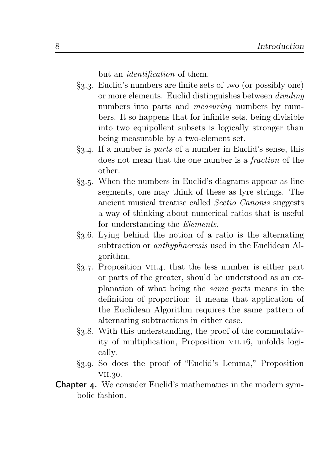but an identification of them.

- §.. Euclid's numbers are finite sets of two (or possibly one) or more elements. Euclid distinguishes between dividing numbers into parts and *measuring* numbers by numbers. It so happens that for infinite sets, being divisible into two equipollent subsets is logically stronger than being measurable by a two-element set.
- $\S$ 3.4. If a number is *parts* of a number in Euclid's sense, this does not mean that the one number is a fraction of the other.
- §.. When the numbers in Euclid's diagrams appear as line segments, one may think of these as lyre strings. The ancient musical treatise called Sectio Canonis suggests a way of thinking about numerical ratios that is useful for understanding the *Elements*.
- $\S$ 3.6. Lying behind the notion of a ratio is the alternating subtraction or anthyphaeresis used in the Euclidean Algorithm.
- $\S$ 3.7. Proposition VII.4, that the less number is either part or parts of the greater, should be understood as an explanation of what being the same parts means in the definition of proportion: it means that application of the Euclidean Algorithm requires the same pattern of alternating subtractions in either case.
- $\S$ 3.8. With this understanding, the proof of the commutativity of multiplication, Proposition VII.16, unfolds logically.
- §.. So does the proof of "Euclid's Lemma," Proposition VII.30.
- **Chapter 4.** We consider Euclid's mathematics in the modern symbolic fashion.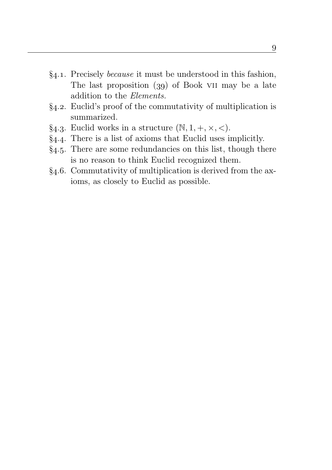- $§4.1.$  Precisely *because* it must be understood in this fashion, The last proposition  $(39)$  of Book VII may be a late addition to the Elements.
- $\S$ 4.2. Euclid's proof of the commutativity of multiplication is summarized.
- §4.3. Euclid works in a structure  $(N, 1, +, \times, <)$ .
- §.. There is a list of axioms that Euclid uses implicitly.
- $\S$ 4.5. There are some redundancies on this list, though there is no reason to think Euclid recognized them.
- $§4.6.$  Commutativity of multiplication is derived from the axioms, as closely to Euclid as possible.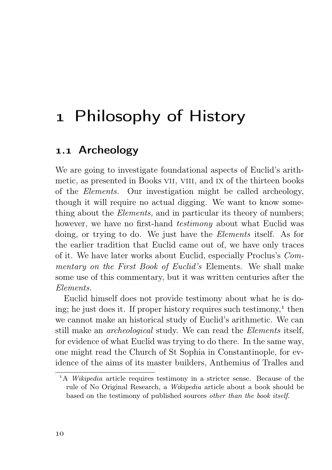### Philosophy of History

### 1.1 Archeology

We are going to investigate foundational aspects of Euclid's arithmetic, as presented in Books VII, VIII, and IX of the thirteen books of the Elements. Our investigation might be called archeology, though it will require no actual digging. We want to know something about the *Elements*, and in particular its theory of numbers; however, we have no first-hand *testimony* about what Euclid was doing, or trying to do. We just have the Elements itself. As for the earlier tradition that Euclid came out of, we have only traces of it. We have later works about Euclid, especially Proclus's Commentary on the First Book of Euclid's Elements. We shall make some use of this commentary, but it was written centuries after the Elements.

Euclid himself does not provide testimony about what he is doing; he just does it. If proper history requires such testimony,<sup>1</sup> then we cannot make an historical study of Euclid's arithmetic. We can still make an archeological study. We can read the Elements itself, for evidence of what Euclid was trying to do there. In the same way, one might read the Church of St Sophia in Constantinople, for evidence of the aims of its master builders, Anthemius of Tralles and

<sup>&</sup>lt;sup>1</sup>A *Wikipedia* article requires testimony in a stricter sense. Because of the rule of No Original Research, a Wikipedia article about a book should be based on the testimony of published sources other than the book itself.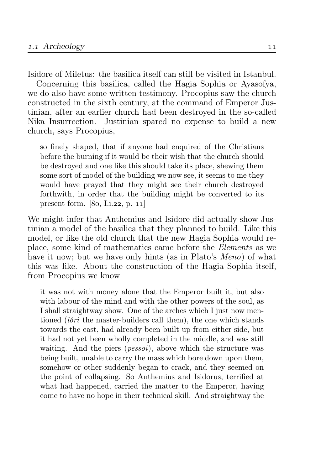Isidore of Miletus: the basilica itself can still be visited in Istanbul.

Concerning this basilica, called the Hagia Sophia or Ayasofya, we do also have some written testimony. Procopius saw the church constructed in the sixth century, at the command of Emperor Justinian, after an earlier church had been destroyed in the so-called Nika Insurrection. Justinian spared no expense to build a new church, says Procopius,

so finely shaped, that if anyone had enquired of the Christians before the burning if it would be their wish that the church should be destroyed and one like this should take its place, shewing them some sort of model of the building we now see, it seems to me they would have prayed that they might see their church destroyed forthwith, in order that the building might be converted to its present form.  $[80, \text{I.i.22}, \text{p. 11}]$ 

We might infer that Anthemius and Isidore did actually show Justinian a model of the basilica that they planned to build. Like this model, or like the old church that the new Hagia Sophia would replace, some kind of mathematics came before the Elements as we have it now; but we have only hints (as in Plato's *Meno*) of what this was like. About the construction of the Hagia Sophia itself, from Procopius we know

it was not with money alone that the Emperor built it, but also with labour of the mind and with the other powers of the soul, as I shall straightway show. One of the arches which I just now mentioned (lôri the master-builders call them), the one which stands towards the east, had already been built up from either side, but it had not yet been wholly completed in the middle, and was still waiting. And the piers *(pessoi)*, above which the structure was being built, unable to carry the mass which bore down upon them, somehow or other suddenly began to crack, and they seemed on the point of collapsing. So Anthemius and Isidorus, terrified at what had happened, carried the matter to the Emperor, having come to have no hope in their technical skill. And straightway the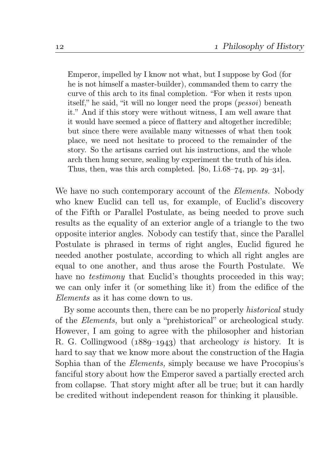Emperor, impelled by I know not what, but I suppose by God (for he is not himself a master-builder), commanded them to carry the curve of this arch to its final completion. "For when it rests upon itself," he said, "it will no longer need the props (pessoi) beneath it." And if this story were without witness, I am well aware that it would have seemed a piece of flattery and altogether incredible; but since there were available many witnesses of what then took place, we need not hesitate to proceed to the remainder of the story. So the artisans carried out his instructions, and the whole arch then hung secure, sealing by experiment the truth of his idea. Thus, then, was this arch completed. [80, I.i.68–74, pp. 29–31],

We have no such contemporary account of the *Elements*. Nobody who knew Euclid can tell us, for example, of Euclid's discovery of the Fifth or Parallel Postulate, as being needed to prove such results as the equality of an exterior angle of a triangle to the two opposite interior angles. Nobody can testify that, since the Parallel Postulate is phrased in terms of right angles, Euclid figured he needed another postulate, according to which all right angles are equal to one another, and thus arose the Fourth Postulate. We have no *testimony* that Euclid's thoughts proceeded in this way; we can only infer it (or something like it) from the edifice of the Elements as it has come down to us.

By some accounts then, there can be no properly historical study of the Elements, but only a "prehistorical" or archeological study. However, I am going to agree with the philosopher and historian R. G. Collingwood  $(1889-1943)$  that archeology is history. It is hard to say that we know more about the construction of the Hagia Sophia than of the *Elements*, simply because we have Procopius's fanciful story about how the Emperor saved a partially erected arch from collapse. That story might after all be true; but it can hardly be credited without independent reason for thinking it plausible.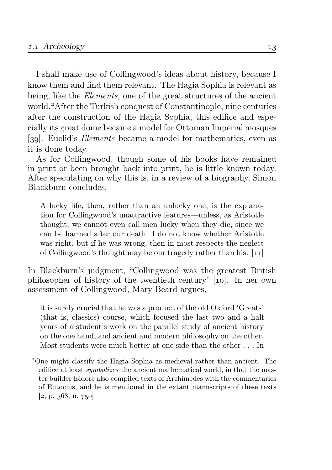I shall make use of Collingwood's ideas about history, because I know them and find them relevant. The Hagia Sophia is relevant as being, like the *Elements*, one of the great structures of the ancient world.<sup>2</sup> After the Turkish conquest of Constantinople, nine centuries after the construction of the Hagia Sophia, this edifice and especially its great dome became a model for Ottoman Imperial mosques [39]. Euclid's *Elements* became a model for mathematics, even as it is done today.

As for Collingwood, though some of his books have remained in print or been brought back into print, he is little known today. After speculating on why this is, in a review of a biography, Simon Blackburn concludes,

A lucky life, then, rather than an unlucky one, is the explanation for Collingwood's unattractive features—unless, as Aristotle thought, we cannot even call men lucky when they die, since we can be harmed after our death. I do not know whether Aristotle was right, but if he was wrong, then in most respects the neglect of Collingwood's thought may be our tragedy rather than his.  $[11]$ 

In Blackburn's judgment, "Collingwood was the greatest British philosopher of history of the twentieth century" [10]. In her own assessment of Collingwood, Mary Beard argues,

it is surely crucial that he was a product of the old Oxford 'Greats' (that is, classics) course, which focused the last two and a half years of a student's work on the parallel study of ancient history on the one hand, and ancient and modern philosophy on the other. Most students were much better at one side than the other . . . In

One might classify the Hagia Sophia as medieval rather than ancient. The edifice at least *symbolizes* the ancient mathematical world, in that the master builder Isidore also compiled texts of Archimedes with the commentaries of Eutocius, and he is mentioned in the extant manuscripts of these texts  $[2, p. 368, n. 750].$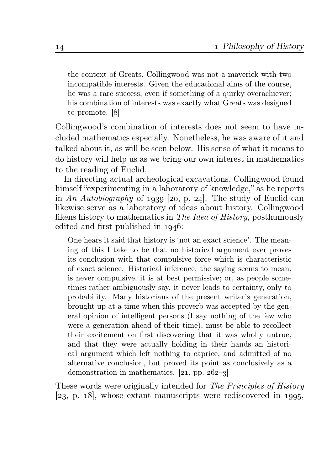the context of Greats, Collingwood was not a maverick with two incompatible interests. Given the educational aims of the course, he was a rare success, even if something of a quirky overachiever; his combination of interests was exactly what Greats was designed to promote. [8]

Collingwood's combination of interests does not seem to have included mathematics especially. Nonetheless, he was aware of it and talked about it, as will be seen below. His sense of what it means to do history will help us as we bring our own interest in mathematics to the reading of Euclid.

In directing actual archeological excavations, Collingwood found himself "experimenting in a laboratory of knowledge," as he reports in An Autobiography of 1939 [20, p. 24]. The study of Euclid can likewise serve as a laboratory of ideas about history. Collingwood likens history to mathematics in The Idea of History, posthumously edited and first published in  $1946$ :

One hears it said that history is 'not an exact science'. The meaning of this I take to be that no historical argument ever proves its conclusion with that compulsive force which is characteristic of exact science. Historical inference, the saying seems to mean, is never compulsive, it is at best permissive; or, as people sometimes rather ambiguously say, it never leads to certainty, only to probability. Many historians of the present writer's generation, brought up at a time when this proverb was accepted by the general opinion of intelligent persons (I say nothing of the few who were a generation ahead of their time), must be able to recollect their excitement on first discovering that it was wholly untrue, and that they were actually holding in their hands an historical argument which left nothing to caprice, and admitted of no alternative conclusion, but proved its point as conclusively as a demonstration in mathematics.  $|21, pp. 262-3|$ 

These words were originally intended for The Principles of History  $[23, p. 18]$ , whose extant manuscripts were rediscovered in 1995,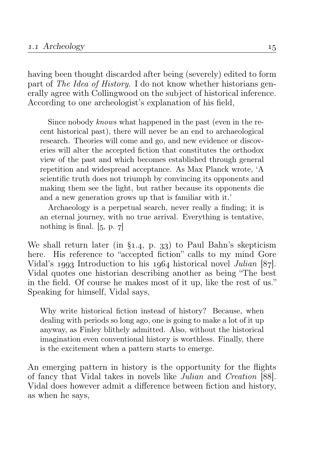having been thought discarded after being (severely) edited to form part of The Idea of History. I do not know whether historians generally agree with Collingwood on the subject of historical inference. According to one archeologist's explanation of his field,

Since nobody knows what happened in the past (even in the recent historical past), there will never be an end to archaeological research. Theories will come and go, and new evidence or discoveries will alter the accepted fiction that constitutes the orthodox view of the past and which becomes established through general repetition and widespread acceptance. As Max Planck wrote, 'A scientific truth does not triumph by convincing its opponents and making them see the light, but rather because its opponents die and a new generation grows up that is familiar with it.'

Archaeology is a perpetual search, never really a finding; it is an eternal journey, with no true arrival. Everything is tentative, nothing is final.  $[5, p. 7]$ 

We shall return later (in  $\S_{1.4}$ , p. 33) to Paul Bahn's skepticism here. His reference to "accepted fiction" calls to my mind Gore Vidal's  $1993$  Introduction to his  $1964$  historical novel *Julian* [87]. Vidal quotes one historian describing another as being "The best in the field. Of course he makes most of it up, like the rest of us." Speaking for himself, Vidal says,

Why write historical fiction instead of history? Because, when dealing with periods so long ago, one is going to make a lot of it up anyway, as Finley blithely admitted. Also, without the historical imagination even conventional history is worthless. Finally, there is the excitement when a pattern starts to emerge.

An emerging pattern in history is the opportunity for the flights of fancy that Vidal takes in novels like *Julian* and *Creation* [88]. Vidal does however admit a difference between fiction and history, as when he says,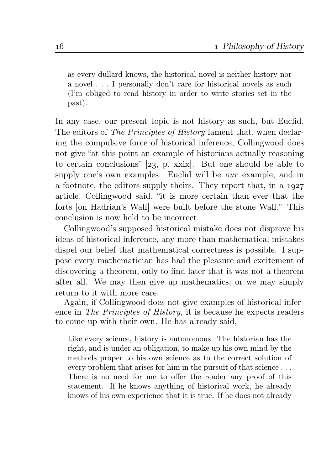as every dullard knows, the historical novel is neither history nor a novel . . . I personally don't care for historical novels as such (I'm obliged to read history in order to write stories set in the past).

In any case, our present topic is not history as such, but Euclid. The editors of The Principles of History lament that, when declaring the compulsive force of historical inference, Collingwood does not give "at this point an example of historians actually reasoning to certain conclusions"  $[23, p. x\dot{x}x]$ . But one should be able to supply one's own examples. Euclid will be *our* example, and in a footnote, the editors supply theirs. They report that, in a article, Collingwood said, "it is more certain than ever that the forts [on Hadrian's Wall] were built before the stone Wall." This conclusion is now held to be incorrect.

Collingwood's supposed historical mistake does not disprove his ideas of historical inference, any more than mathematical mistakes dispel our belief that mathematical correctness is possible. I suppose every mathematician has had the pleasure and excitement of discovering a theorem, only to find later that it was not a theorem after all. We may then give up mathematics, or we may simply return to it with more care.

Again, if Collingwood does not give examples of historical inference in The Principles of History, it is because he expects readers to come up with their own. He has already said,

Like every science, history is autonomous. The historian has the right, and is under an obligation, to make up his own mind by the methods proper to his own science as to the correct solution of every problem that arises for him in the pursuit of that science . . . There is no need for me to offer the reader any proof of this statement. If he knows anything of historical work, he already knows of his own experience that it is true. If he does not already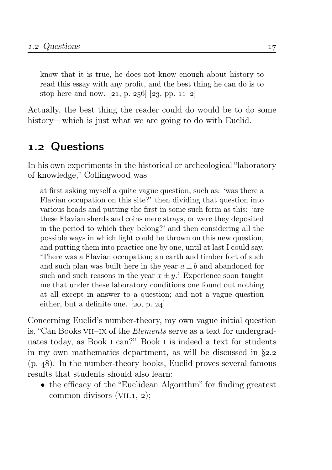know that it is true, he does not know enough about history to read this essay with any profit, and the best thing he can do is to stop here and now. [21, p. 256] [23, pp. 11-2]

Actually, the best thing the reader could do would be to do some history—which is just what we are going to do with Euclid.

#### 1.2 Questions

In his own experiments in the historical or archeological "laboratory of knowledge," Collingwood was

at first asking myself a quite vague question, such as: 'was there a Flavian occupation on this site?' then dividing that question into various heads and putting the first in some such form as this: 'are these Flavian sherds and coins mere strays, or were they deposited in the period to which they belong?' and then considering all the possible ways in which light could be thrown on this new question, and putting them into practice one by one, until at last I could say, 'There was a Flavian occupation; an earth and timber fort of such and such plan was built here in the year  $a \pm b$  and abandoned for such and such reasons in the year  $x \pm y$ . Experience soon taught me that under these laboratory conditions one found out nothing at all except in answer to a question; and not a vague question either, but a definite one.  $[20, p. 24]$ 

Concerning Euclid's number-theory, my own vague initial question is, "Can Books vii–ix of the Elements serve as a text for undergraduates today, as Book i can?" Book i is indeed a text for students in my own mathematics department, as will be discussed in  $\S$ 2.2  $(p. 48)$ . In the number-theory books, Euclid proves several famous results that students should also learn:

• the efficacy of the "Euclidean Algorithm" for finding greatest common divisors (VII.1, 2);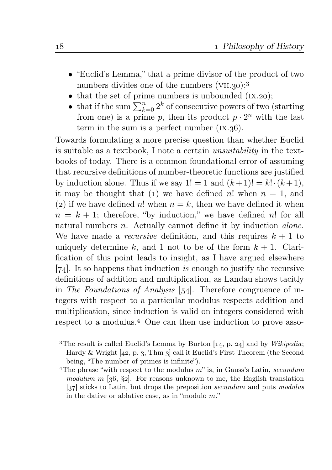- "Euclid's Lemma," that a prime divisor of the product of two numbers divides one of the numbers  $(VII.30);$ <sup>3</sup>
- $\bullet$  that the set of prime numbers is unbounded ( $IX.20$ );
- that if the sum  $\sum_{k=0}^{n} 2^k$  of consecutive powers of two (starting from one) is a prime  $p$ , then its product  $p \cdot 2^n$  with the last term in the sum is a perfect number  $(IX.36)$ .

Towards formulating a more precise question than whether Euclid is suitable as a textbook, I note a certain unsuitability in the textbooks of today. There is a common foundational error of assuming that recursive definitions of number-theoretic functions are justified by induction alone. Thus if we say  $1! = 1$  and  $(k+1)! = k! \cdot (k+1)$ , it may be thought that (1) we have defined n! when  $n = 1$ , and (2) if we have defined n! when  $n = k$ , then we have defined it when  $n = k + 1$ ; therefore, "by induction," we have defined n! for all natural numbers *n*. Actually cannot define it by induction *alone*. We have made a *recursive* definition, and this requires  $k + 1$  to uniquely determine k, and 1 not to be of the form  $k + 1$ . Clarification of this point leads to insight, as I have argued elsewhere [ $74$ ]. It so happens that induction is enough to justify the recursive definitions of addition and multiplication, as Landau shows tacitly in The Foundations of Analysis  $[54]$ . Therefore congruence of integers with respect to a particular modulus respects addition and multiplication, since induction is valid on integers considered with respect to a modulus.<sup>4</sup> One can then use induction to prove asso-

<sup>&</sup>lt;sup>3</sup>The result is called Euclid's Lemma by Burton [14, p. 24] and by Wikipedia; Hardy & Wright  $[42, p. 3, Thm 3]$  call it Euclid's First Theorem (the Second being, "The number of primes is infinite").

<sup>&</sup>lt;sup>4</sup>The phrase "with respect to the modulus  $m$ " is, in Gauss's Latin, *secundum* modulum m [ $36, §2$ ]. For reasons unknown to me, the English translation  $[37]$  sticks to Latin, but drops the preposition secundum and puts modulus in the dative or ablative case, as in "modulo m."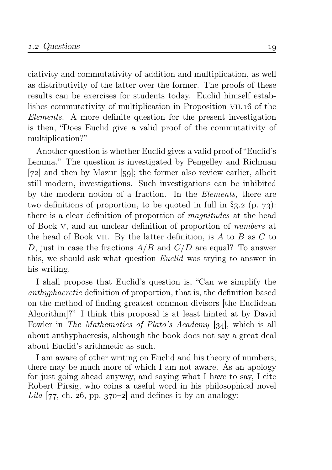ciativity and commutativity of addition and multiplication, as well as distributivity of the latter over the former. The proofs of these results can be exercises for students today. Euclid himself establishes commutativity of multiplication in Proposition VII.16 of the Elements. A more definite question for the present investigation is then, "Does Euclid give a valid proof of the commutativity of multiplication?"

Another question is whether Euclid gives a valid proof of "Euclid's Lemma." The question is investigated by Pengelley and Richman  $[z_2]$  and then by Mazur  $[z_3]$ ; the former also review earlier, albeit still modern, investigations. Such investigations can be inhibited by the modern notion of a fraction. In the Elements, there are two definitions of proportion, to be quoted in full in  $\S$ 3.2 (p. 73): there is a clear definition of proportion of magnitudes at the head of Book v, and an unclear definition of proportion of numbers at the head of Book VII. By the latter definition, is  $A$  to  $B$  as  $C$  to D, just in case the fractions  $A/B$  and  $C/D$  are equal? To answer this, we should ask what question Euclid was trying to answer in his writing.

I shall propose that Euclid's question is, "Can we simplify the anthyphaeretic definition of proportion, that is, the definition based on the method of finding greatest common divisors [the Euclidean Algorithm]?" I think this proposal is at least hinted at by David Fowler in The Mathematics of Plato's Academy [34], which is all about anthyphaeresis, although the book does not say a great deal about Euclid's arithmetic as such.

I am aware of other writing on Euclid and his theory of numbers; there may be much more of which I am not aware. As an apology for just going ahead anyway, and saying what I have to say, I cite Robert Pirsig, who coins a useful word in his philosophical novel Lila  $[77, ch. 26, pp. 370-2]$  and defines it by an analogy: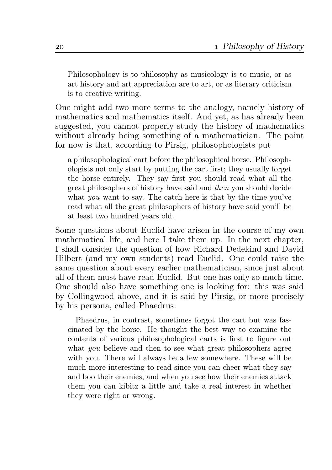Philosophology is to philosophy as musicology is to music, or as art history and art appreciation are to art, or as literary criticism is to creative writing.

One might add two more terms to the analogy, namely history of mathematics and mathematics itself. And yet, as has already been suggested, you cannot properly study the history of mathematics without already being something of a mathematician. The point for now is that, according to Pirsig, philosophologists put

a philosophological cart before the philosophical horse. Philosophologists not only start by putting the cart first; they usually forget the horse entirely. They say first you should read what all the great philosophers of history have said and then you should decide what you want to say. The catch here is that by the time you've read what all the great philosophers of history have said you'll be at least two hundred years old.

Some questions about Euclid have arisen in the course of my own mathematical life, and here I take them up. In the next chapter, I shall consider the question of how Richard Dedekind and David Hilbert (and my own students) read Euclid. One could raise the same question about every earlier mathematician, since just about all of them must have read Euclid. But one has only so much time. One should also have something one is looking for: this was said by Collingwood above, and it is said by Pirsig, or more precisely by his persona, called Phaedrus:

Phaedrus, in contrast, sometimes forgot the cart but was fascinated by the horse. He thought the best way to examine the contents of various philosophological carts is first to figure out what *you* believe and then to see what great philosophers agree with you. There will always be a few somewhere. These will be much more interesting to read since you can cheer what they say and boo their enemies, and when you see how their enemies attack them you can kibitz a little and take a real interest in whether they were right or wrong.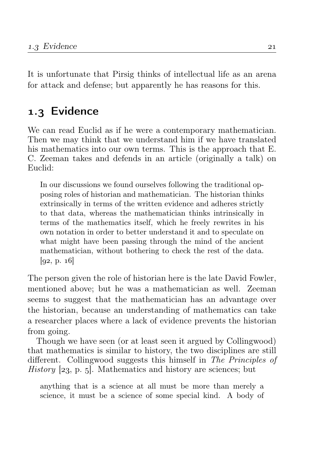It is unfortunate that Pirsig thinks of intellectual life as an arena for attack and defense; but apparently he has reasons for this.

#### 1.3 Evidence

We can read Euclid as if he were a contemporary mathematician. Then we may think that we understand him if we have translated his mathematics into our own terms. This is the approach that E. C. Zeeman takes and defends in an article (originally a talk) on Euclid:

In our discussions we found ourselves following the traditional opposing roles of historian and mathematician. The historian thinks extrinsically in terms of the written evidence and adheres strictly to that data, whereas the mathematician thinks intrinsically in terms of the mathematics itself, which he freely rewrites in his own notation in order to better understand it and to speculate on what might have been passing through the mind of the ancient mathematician, without bothering to check the rest of the data.  $|q_2, p. 16|$ 

The person given the role of historian here is the late David Fowler, mentioned above; but he was a mathematician as well. Zeeman seems to suggest that the mathematician has an advantage over the historian, because an understanding of mathematics can take a researcher places where a lack of evidence prevents the historian from going.

Though we have seen (or at least seen it argued by Collingwood) that mathematics is similar to history, the two disciplines are still different. Collingwood suggests this himself in The Principles of History  $|23, p. 5|$ . Mathematics and history are sciences; but

anything that is a science at all must be more than merely a science, it must be a science of some special kind. A body of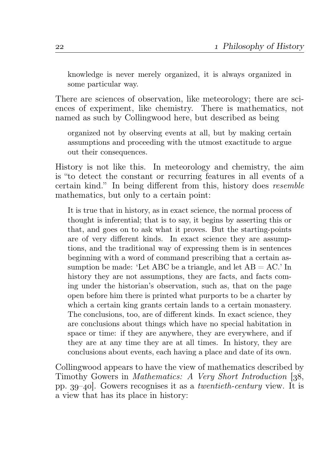knowledge is never merely organized, it is always organized in some particular way.

There are sciences of observation, like meteorology; there are sciences of experiment, like chemistry. There is mathematics, not named as such by Collingwood here, but described as being

organized not by observing events at all, but by making certain assumptions and proceeding with the utmost exactitude to argue out their consequences.

History is not like this. In meteorology and chemistry, the aim is "to detect the constant or recurring features in all events of a certain kind." In being different from this, history does resemble mathematics, but only to a certain point:

It is true that in history, as in exact science, the normal process of thought is inferential; that is to say, it begins by asserting this or that, and goes on to ask what it proves. But the starting-points are of very different kinds. In exact science they are assumptions, and the traditional way of expressing them is in sentences beginning with a word of command prescribing that a certain assumption be made: 'Let ABC be a triangle, and let  $AB = AC$ .' In history they are not assumptions, they are facts, and facts coming under the historian's observation, such as, that on the page open before him there is printed what purports to be a charter by which a certain king grants certain lands to a certain monastery. The conclusions, too, are of different kinds. In exact science, they are conclusions about things which have no special habitation in space or time: if they are anywhere, they are everywhere, and if they are at any time they are at all times. In history, they are conclusions about events, each having a place and date of its own.

Collingwood appears to have the view of mathematics described by Timothy Gowers in *Mathematics: A Very Short Introduction* [38, pp.  $39-40$ . Gowers recognises it as a *twentieth-century* view. It is a view that has its place in history: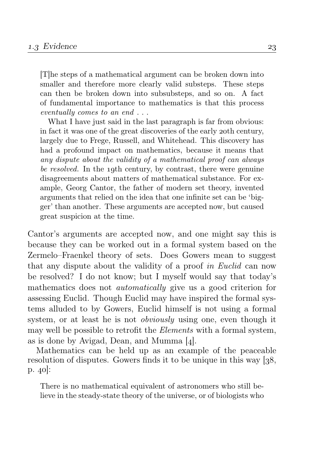[T]he steps of a mathematical argument can be broken down into smaller and therefore more clearly valid substeps. These steps can then be broken down into subsubsteps, and so on. A fact of fundamental importance to mathematics is that this process eventually comes to an end . . .

What I have just said in the last paragraph is far from obvious: in fact it was one of the great discoveries of the early 20th century, largely due to Frege, Russell, and Whitehead. This discovery has had a profound impact on mathematics, because it means that any dispute about the validity of a mathematical proof can always be resolved. In the 19th century, by contrast, there were genuine disagreements about matters of mathematical substance. For example, Georg Cantor, the father of modern set theory, invented arguments that relied on the idea that one infinite set can be 'bigger' than another. These arguments are accepted now, but caused great suspicion at the time.

Cantor's arguments are accepted now, and one might say this is because they can be worked out in a formal system based on the Zermelo–Fraenkel theory of sets. Does Gowers mean to suggest that any dispute about the validity of a proof in Euclid can now be resolved? I do not know; but I myself would say that today's mathematics does not automatically give us a good criterion for assessing Euclid. Though Euclid may have inspired the formal systems alluded to by Gowers, Euclid himself is not using a formal system, or at least he is not *obviously* using one, even though it may well be possible to retrofit the *Elements* with a formal system, as is done by Avigad, Dean, and Mumma  $[4]$ .

Mathematics can be held up as an example of the peaceable resolution of disputes. Gowers finds it to be unique in this way  $[38,$  $p. 40$ :

There is no mathematical equivalent of astronomers who still believe in the steady-state theory of the universe, or of biologists who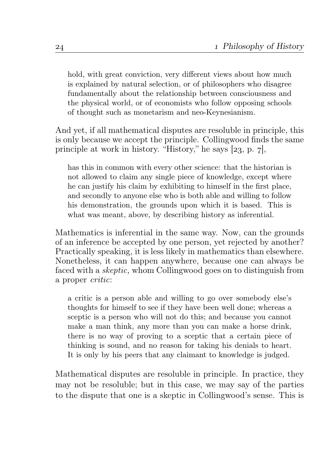hold, with great conviction, very different views about how much is explained by natural selection, or of philosophers who disagree fundamentally about the relationship between consciousness and the physical world, or of economists who follow opposing schools of thought such as monetarism and neo-Keynesianism.

And yet, if all mathematical disputes are resoluble in principle, this is only because we accept the principle. Collingwood finds the same principle at work in history. "History," he says  $[23, p. 7]$ ,

has this in common with every other science: that the historian is not allowed to claim any single piece of knowledge, except where he can justify his claim by exhibiting to himself in the first place, and secondly to anyone else who is both able and willing to follow his demonstration, the grounds upon which it is based. This is what was meant, above, by describing history as inferential.

Mathematics is inferential in the same way. Now, can the grounds of an inference be accepted by one person, yet rejected by another? Practically speaking, it is less likely in mathematics than elsewhere. Nonetheless, it can happen anywhere, because one can always be faced with a *skeptic*, whom Collingwood goes on to distinguish from a proper critic:

a critic is a person able and willing to go over somebody else's thoughts for himself to see if they have been well done; whereas a sceptic is a person who will not do this; and because you cannot make a man think, any more than you can make a horse drink, there is no way of proving to a sceptic that a certain piece of thinking is sound, and no reason for taking his denials to heart. It is only by his peers that any claimant to knowledge is judged.

Mathematical disputes are resoluble in principle. In practice, they may not be resoluble; but in this case, we may say of the parties to the dispute that one is a skeptic in Collingwood's sense. This is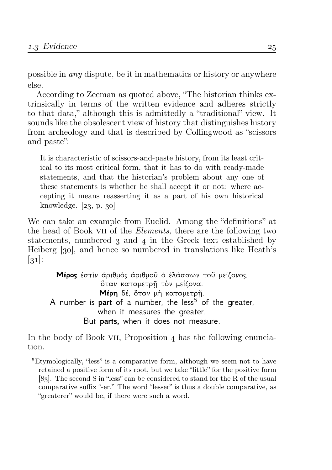possible in any dispute, be it in mathematics or history or anywhere else.

According to Zeeman as quoted above, "The historian thinks extrinsically in terms of the written evidence and adheres strictly to that data," although this is admittedly a "traditional" view. It sounds like the obsolescent view of history that distinguishes history from archeology and that is described by Collingwood as "scissors and paste":

It is characteristic of scissors-and-paste history, from its least critical to its most critical form, that it has to do with ready-made statements, and that the historian's problem about any one of these statements is whether he shall accept it or not: where accepting it means reasserting it as a part of his own historical knowledge.  $[23, p. 30]$ 

We can take an example from Euclid. Among the "definitions" at the head of Book vii of the Elements, there are the following two statements, numbered  $\alpha$  and  $\alpha$  in the Greek text established by Heiberg [30], and hence so numbered in translations like Heath's  $|31|$ :

**Μέρος** ἐστὶν ἀριθμὸς ἀριθμοῦ ὁ ἐλάσσων τοῦ μείζονος, ὅταν καταμετρῇ τὸν μείζονα. **Μέρη** δέ, ὅταν μὴ καταμετρῇ. A number is **part** of a number, the less<sup>5</sup> of the greater, when it measures the greater. But **parts,** when it does not measure.

In the body of Book VII, Proposition  $\alpha$  has the following enunciation.

Etymologically, "less" is a comparative form, although we seem not to have retained a positive form of its root, but we take "little" for the positive form [83]. The second S in "less" can be considered to stand for the R of the usual comparative suffix "-er." The word "lesser" is thus a double comparative, as "greaterer" would be, if there were such a word.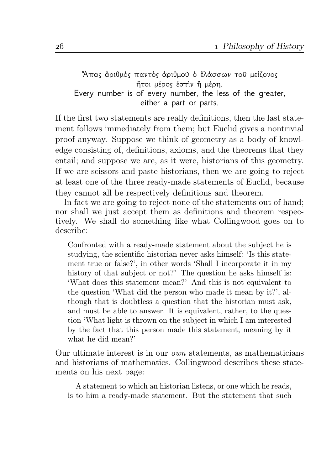```
῞Απας ἀριθμὸς παντὸς ἀριθμοῦ ὁ ἐλάσσων τοῦ μείζονος
                 ἤτοι μέρος ἐστὶν ἢ μέρη.
Every number is of every number, the less of the greater,
                  either a part or parts.
```
If the first two statements are really definitions, then the last statement follows immediately from them; but Euclid gives a nontrivial proof anyway. Suppose we think of geometry as a body of knowledge consisting of, definitions, axioms, and the theorems that they entail; and suppose we are, as it were, historians of this geometry. If we are scissors-and-paste historians, then we are going to reject at least one of the three ready-made statements of Euclid, because they cannot all be respectively definitions and theorem.

In fact we are going to reject none of the statements out of hand; nor shall we just accept them as definitions and theorem respectively. We shall do something like what Collingwood goes on to describe:

Confronted with a ready-made statement about the subject he is studying, the scientific historian never asks himself: 'Is this statement true or false?', in other words 'Shall I incorporate it in my history of that subject or not?' The question he asks himself is: 'What does this statement mean?' And this is not equivalent to the question 'What did the person who made it mean by it?', although that is doubtless a question that the historian must ask, and must be able to answer. It is equivalent, rather, to the question 'What light is thrown on the subject in which I am interested by the fact that this person made this statement, meaning by it what he did mean?'

Our ultimate interest is in our own statements, as mathematicians and historians of mathematics. Collingwood describes these statements on his next page:

A statement to which an historian listens, or one which he reads, is to him a ready-made statement. But the statement that such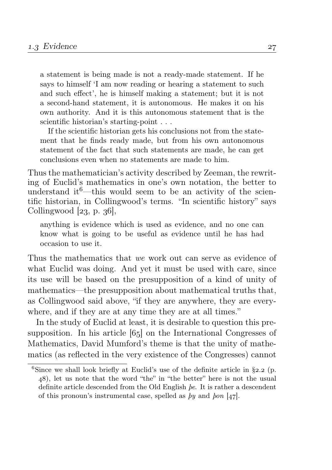a statement is being made is not a ready-made statement. If he says to himself 'I am now reading or hearing a statement to such and such effect', he is himself making a statement; but it is not a second-hand statement, it is autonomous. He makes it on his own authority. And it is this autonomous statement that is the scientific historian's starting-point . . .

If the scientific historian gets his conclusions not from the statement that he finds ready made, but from his own autonomous statement of the fact that such statements are made, he can get conclusions even when no statements are made to him.

Thus the mathematician's activity described by Zeeman, the rewriting of Euclid's mathematics in one's own notation, the better to understand it<sup>6</sup>—this would seem to be an activity of the scientific historian, in Collingwood's terms. "In scientific history" says Collingwood  $[23, p. 36]$ ,

anything is evidence which is used as evidence, and no one can know what is going to be useful as evidence until he has had occasion to use it.

Thus the mathematics that we work out can serve as evidence of what Euclid was doing. And yet it must be used with care, since its use will be based on the presupposition of a kind of unity of mathematics—the presupposition about mathematical truths that, as Collingwood said above, "if they are anywhere, they are everywhere, and if they are at any time they are at all times."

In the study of Euclid at least, it is desirable to question this presupposition. In his article  $[65]$  on the International Congresses of Mathematics, David Mumford's theme is that the unity of mathematics (as reflected in the very existence of the Congresses) cannot

 ${}^{6}$ Since we shall look briefly at Euclid's use of the definite article in §2.2 (p. ), let us note that the word "the" in "the better" here is not the usual definite article descended from the Old English þe. It is rather a descendent of this pronoun's instrumental case, spelled as  $py$  and  $bon$  [47].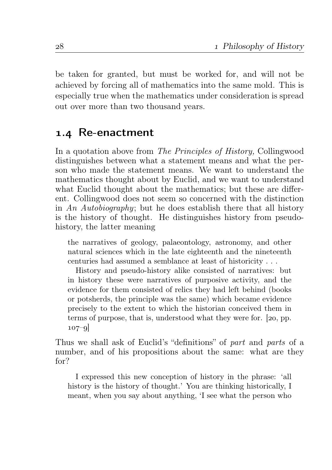be taken for granted, but must be worked for, and will not be achieved by forcing all of mathematics into the same mold. This is especially true when the mathematics under consideration is spread out over more than two thousand years.

### 1.4 Re-enactment

In a quotation above from The Principles of History, Collingwood distinguishes between what a statement means and what the person who made the statement means. We want to understand the mathematics thought about by Euclid, and we want to understand what Euclid thought about the mathematics; but these are different. Collingwood does not seem so concerned with the distinction in An Autobiography; but he does establish there that all history is the history of thought. He distinguishes history from pseudohistory, the latter meaning

the narratives of geology, palaeontology, astronomy, and other natural sciences which in the late eighteenth and the nineteenth centuries had assumed a semblance at least of historicity . . .

History and pseudo-history alike consisted of narratives: but in history these were narratives of purposive activity, and the evidence for them consisted of relics they had left behind (books or potsherds, the principle was the same) which became evidence precisely to the extent to which the historian conceived them in terms of purpose, that is, understood what they were for.  $[20, pp.]$  $107 - 9$ 

Thus we shall ask of Euclid's "definitions" of part and parts of a number, and of his propositions about the same: what are they for?

I expressed this new conception of history in the phrase: 'all history is the history of thought.' You are thinking historically, I meant, when you say about anything, 'I see what the person who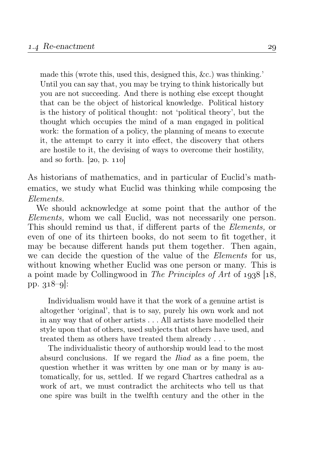made this (wrote this, used this, designed this, &c.) was thinking.' Until you can say that, you may be trying to think historically but you are not succeeding. And there is nothing else except thought that can be the object of historical knowledge. Political history is the history of political thought: not 'political theory', but the thought which occupies the mind of a man engaged in political work: the formation of a policy, the planning of means to execute it, the attempt to carry it into effect, the discovery that others are hostile to it, the devising of ways to overcome their hostility, and so forth.  $[20, p. 110]$ 

As historians of mathematics, and in particular of Euclid's mathematics, we study what Euclid was thinking while composing the Elements.

We should acknowledge at some point that the author of the Elements, whom we call Euclid, was not necessarily one person. This should remind us that, if different parts of the Elements, or even of one of its thirteen books, do not seem to fit together, it may be because different hands put them together. Then again, we can decide the question of the value of the *Elements* for us, without knowing whether Euclid was one person or many. This is a point made by Collingwood in The Principles of Art of  $1938$  [ $18$ , pp.  $318 - q$ :

Individualism would have it that the work of a genuine artist is altogether 'original', that is to say, purely his own work and not in any way that of other artists . . . All artists have modelled their style upon that of others, used subjects that others have used, and treated them as others have treated them already . . .

The individualistic theory of authorship would lead to the most absurd conclusions. If we regard the Iliad as a fine poem, the question whether it was written by one man or by many is automatically, for us, settled. If we regard Chartres cathedral as a work of art, we must contradict the architects who tell us that one spire was built in the twelfth century and the other in the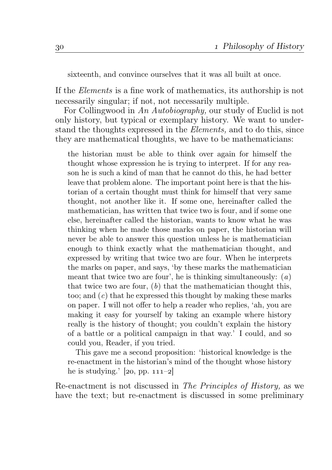sixteenth, and convince ourselves that it was all built at once.

If the Elements is a fine work of mathematics, its authorship is not necessarily singular; if not, not necessarily multiple.

For Collingwood in An Autobiography, our study of Euclid is not only history, but typical or exemplary history. We want to understand the thoughts expressed in the *Elements*, and to do this, since they are mathematical thoughts, we have to be mathematicians:

the historian must be able to think over again for himself the thought whose expression he is trying to interpret. If for any reason he is such a kind of man that he cannot do this, he had better leave that problem alone. The important point here is that the historian of a certain thought must think for himself that very same thought, not another like it. If some one, hereinafter called the mathematician, has written that twice two is four, and if some one else, hereinafter called the historian, wants to know what he was thinking when he made those marks on paper, the historian will never be able to answer this question unless he is mathematician enough to think exactly what the mathematician thought, and expressed by writing that twice two are four. When he interprets the marks on paper, and says, 'by these marks the mathematician meant that twice two are four', he is thinking simultaneously:  $(a)$ that twice two are four,  $(b)$  that the mathematician thought this, too; and  $(c)$  that he expressed this thought by making these marks on paper. I will not offer to help a reader who replies, 'ah, you are making it easy for yourself by taking an example where history really is the history of thought; you couldn't explain the history of a battle or a political campaign in that way.' I could, and so could you, Reader, if you tried.

This gave me a second proposition: 'historical knowledge is the re-enactment in the historian's mind of the thought whose history he is studying.'  $[20, pp. 111-2]$ 

Re-enactment is not discussed in The Principles of History, as we have the text; but re-enactment is discussed in some preliminary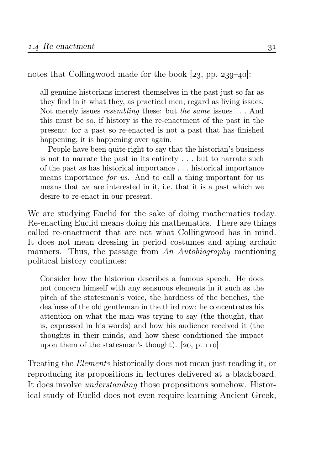notes that Collingwood made for the book  $|23, p$  pp.  $|239-40|$ :

all genuine historians interest themselves in the past just so far as they find in it what they, as practical men, regard as living issues. Not merely issues resembling these: but the same issues . . . And this must be so, if history is the re-enactment of the past in the present: for a past so re-enacted is not a past that has finished happening, it is happening over again.

People have been quite right to say that the historian's business is not to narrate the past in its entirety . . . but to narrate such of the past as has historical importance . . . historical importance means importance for us. And to call a thing important for us means that we are interested in it, i.e. that it is a past which we desire to re-enact in our present.

We are studying Euclid for the sake of doing mathematics today. Re-enacting Euclid means doing his mathematics. There are things called re-enactment that are not what Collingwood has in mind. It does not mean dressing in period costumes and aping archaic manners. Thus, the passage from An Autobiography mentioning political history continues:

Consider how the historian describes a famous speech. He does not concern himself with any sensuous elements in it such as the pitch of the statesman's voice, the hardness of the benches, the deafness of the old gentleman in the third row: he concentrates his attention on what the man was trying to say (the thought, that is, expressed in his words) and how his audience received it (the thoughts in their minds, and how these conditioned the impact upon them of the statesman's thought).  $[20, p. 110]$ 

Treating the Elements historically does not mean just reading it, or reproducing its propositions in lectures delivered at a blackboard. It does involve understanding those propositions somehow. Historical study of Euclid does not even require learning Ancient Greek,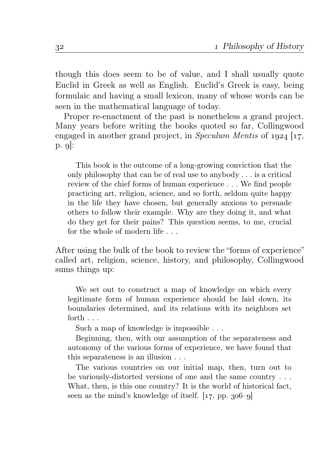though this does seem to be of value, and I shall usually quote Euclid in Greek as well as English. Euclid's Greek is easy, being formulaic and having a small lexicon, many of whose words can be seen in the mathematical language of today.

Proper re-enactment of the past is nonetheless a grand project. Many years before writing the books quoted so far, Collingwood engaged in another grand project, in *Speculum Mentis* of  $1924$  [ $17$ ].  $p. q$ :

This book is the outcome of a long-growing conviction that the only philosophy that can be of real use to anybody . . . is a critical review of the chief forms of human experience . . . We find people practicing art, religion, science, and so forth, seldom quite happy in the life they have chosen, but generally anxious to persuade others to follow their example. Why are they doing it, and what do they get for their pains? This question seems, to me, crucial for the whole of modern life . . .

After using the bulk of the book to review the "forms of experience" called art, religion, science, history, and philosophy, Collingwood sums things up:

We set out to construct a map of knowledge on which every legitimate form of human experience should be laid down, its boundaries determined, and its relations with its neighbors set forth . . .

Such a map of knowledge is impossible . . .

Beginning, then, with our assumption of the separateness and autonomy of the various forms of experience, we have found that this separateness is an illusion . . .

The various countries on our initial map, then, turn out to be variously-distorted versions of one and the same country . . . What, then, is this one country? It is the world of historical fact, seen as the mind's knowledge of itself.  $\vert 17, \text{ pp. } 306 - 9 \vert$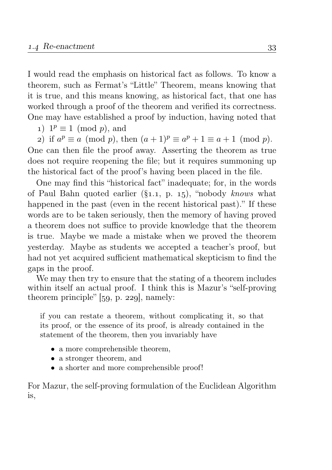I would read the emphasis on historical fact as follows. To know a theorem, such as Fermat's "Little" Theorem, means knowing that it is true, and this means knowing, as historical fact, that one has worked through a proof of the theorem and verified its correctness. One may have established a proof by induction, having noted that

1)  $1^p \equiv 1 \pmod{p}$ , and

2) if  $a^p \equiv a \pmod{p}$ , then  $(a+1)^p \equiv a^p + 1 \equiv a+1 \pmod{p}$ . One can then file the proof away. Asserting the theorem as true does not require reopening the file; but it requires summoning up the historical fact of the proof's having been placed in the file.

One may find this "historical fact" inadequate; for, in the words of Paul Bahn quoted earlier  $(\S1.1, p. 15)$ , "nobody knows what happened in the past (even in the recent historical past)." If these words are to be taken seriously, then the memory of having proved a theorem does not suffice to provide knowledge that the theorem is true. Maybe we made a mistake when we proved the theorem yesterday. Maybe as students we accepted a teacher's proof, but had not yet acquired sufficient mathematical skepticism to find the gaps in the proof.

We may then try to ensure that the stating of a theorem includes within itself an actual proof. I think this is Mazur's "self-proving" theorem principle"  $[59, p. 229]$ , namely:

if you can restate a theorem, without complicating it, so that its proof, or the essence of its proof, is already contained in the statement of the theorem, then you invariably have

- a more comprehensible theorem,
- a stronger theorem, and
- a shorter and more comprehensible proof!

For Mazur, the self-proving formulation of the Euclidean Algorithm is,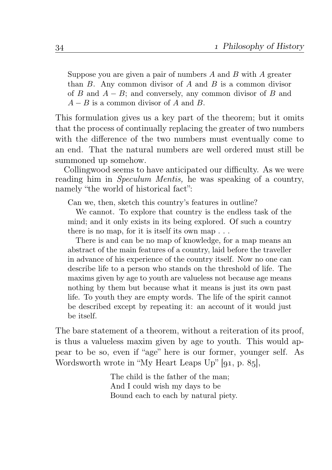Suppose you are given a pair of numbers  $A$  and  $B$  with  $A$  greater than  $B$ . Any common divisor of  $A$  and  $B$  is a common divisor of B and  $A - B$ ; and conversely, any common divisor of B and  $A - B$  is a common divisor of A and B.

This formulation gives us a key part of the theorem; but it omits that the process of continually replacing the greater of two numbers with the difference of the two numbers must eventually come to an end. That the natural numbers are well ordered must still be summoned up somehow.

Collingwood seems to have anticipated our difficulty. As we were reading him in *Speculum Mentis*, he was speaking of a country, namely "the world of historical fact":

Can we, then, sketch this country's features in outline?

We cannot. To explore that country is the endless task of the mind; and it only exists in its being explored. Of such a country there is no map, for it is itself its own map . . .

There is and can be no map of knowledge, for a map means an abstract of the main features of a country, laid before the traveller in advance of his experience of the country itself. Now no one can describe life to a person who stands on the threshold of life. The maxims given by age to youth are valueless not because age means nothing by them but because what it means is just its own past life. To youth they are empty words. The life of the spirit cannot be described except by repeating it: an account of it would just be itself.

The bare statement of a theorem, without a reiteration of its proof, is thus a valueless maxim given by age to youth. This would appear to be so, even if "age" here is our former, younger self. As Wordsworth wrote in "My Heart Leaps  $Up$ " [91, p. 85],

> The child is the father of the man; And I could wish my days to be Bound each to each by natural piety.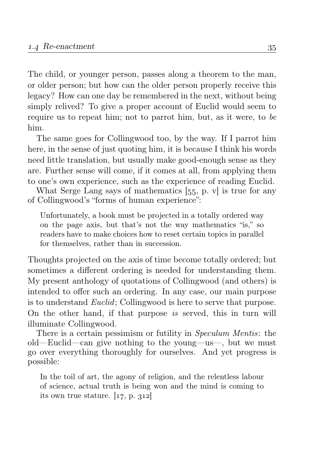The child, or younger person, passes along a theorem to the man, or older person; but how can the older person properly receive this legacy? How can one day be remembered in the next, without being simply relived? To give a proper account of Euclid would seem to require us to repeat him; not to parrot him, but, as it were, to be him.

The same goes for Collingwood too, by the way. If I parrot him here, in the sense of just quoting him, it is because I think his words need little translation, but usually make good-enough sense as they are. Further sense will come, if it comes at all, from applying them to one's own experience, such as the experience of reading Euclid.

What Serge Lang says of mathematics  $[55, p. v]$  is true for any of Collingwood's "forms of human experience":

Unfortunately, a book must be projected in a totally ordered way on the page axis, but that's not the way mathematics "is," so readers have to make choices how to reset certain topics in parallel for themselves, rather than in succession.

Thoughts projected on the axis of time become totally ordered; but sometimes a different ordering is needed for understanding them. My present anthology of quotations of Collingwood (and others) is intended to offer such an ordering. In any case, our main purpose is to understand *Euclid*; Collingwood is here to serve that purpose. On the other hand, if that purpose is served, this in turn will illuminate Collingwood.

There is a certain pessimism or futility in *Speculum Mentis*: the old—Euclid—can give nothing to the young—us—, but we must go over everything thoroughly for ourselves. And yet progress is possible:

In the toil of art, the agony of religion, and the relentless labour of science, actual truth is being won and the mind is coming to its own true stature.  $\vert 17, p. 312 \vert$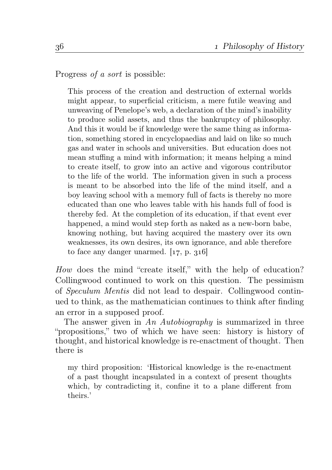Progress of a sort is possible:

This process of the creation and destruction of external worlds might appear, to superficial criticism, a mere futile weaving and unweaving of Penelope's web, a declaration of the mind's inability to produce solid assets, and thus the bankruptcy of philosophy. And this it would be if knowledge were the same thing as information, something stored in encyclopaedias and laid on like so much gas and water in schools and universities. But education does not mean stuffing a mind with information; it means helping a mind to create itself, to grow into an active and vigorous contributor to the life of the world. The information given in such a process is meant to be absorbed into the life of the mind itself, and a boy leaving school with a memory full of facts is thereby no more educated than one who leaves table with his hands full of food is thereby fed. At the completion of its education, if that event ever happened, a mind would step forth as naked as a new-born babe, knowing nothing, but having acquired the mastery over its own weaknesses, its own desires, its own ignorance, and able therefore to face any danger unarmed.  $[17, p. 316]$ 

How does the mind "create itself," with the help of education? Collingwood continued to work on this question. The pessimism of Speculum Mentis did not lead to despair. Collingwood continued to think, as the mathematician continues to think after finding an error in a supposed proof.

The answer given in An Autobiography is summarized in three "propositions," two of which we have seen: history is history of thought, and historical knowledge is re-enactment of thought. Then there is

my third proposition: 'Historical knowledge is the re-enactment of a past thought incapsulated in a context of present thoughts which, by contradicting it, confine it to a plane different from theirs.'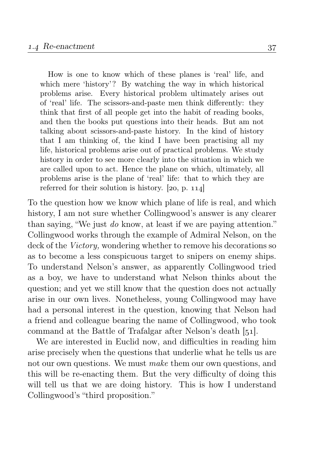How is one to know which of these planes is 'real' life, and which mere 'history'? By watching the way in which historical problems arise. Every historical problem ultimately arises out of 'real' life. The scissors-and-paste men think differently: they think that first of all people get into the habit of reading books, and then the books put questions into their heads. But am not talking about scissors-and-paste history. In the kind of history that I am thinking of, the kind I have been practising all my life, historical problems arise out of practical problems. We study history in order to see more clearly into the situation in which we are called upon to act. Hence the plane on which, ultimately, all problems arise is the plane of 'real' life: that to which they are referred for their solution is history.  $[20, p. 114]$ 

To the question how we know which plane of life is real, and which history, I am not sure whether Collingwood's answer is any clearer than saying, "We just do know, at least if we are paying attention." Collingwood works through the example of Admiral Nelson, on the deck of the *Victory*, wondering whether to remove his decorations so as to become a less conspicuous target to snipers on enemy ships. To understand Nelson's answer, as apparently Collingwood tried as a boy, we have to understand what Nelson thinks about the question; and yet we still know that the question does not actually arise in our own lives. Nonetheless, young Collingwood may have had a personal interest in the question, knowing that Nelson had a friend and colleague bearing the name of Collingwood, who took command at the Battle of Trafalgar after Nelson's death  $[51]$ .

We are interested in Euclid now, and difficulties in reading him arise precisely when the questions that underlie what he tells us are not our own questions. We must make them our own questions, and this will be re-enacting them. But the very difficulty of doing this will tell us that we are doing history. This is how I understand Collingwood's "third proposition."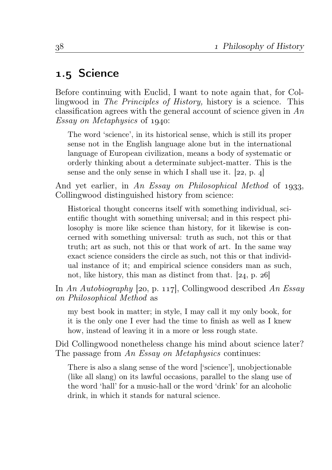#### 1.5 Science

Before continuing with Euclid, I want to note again that, for Collingwood in The Principles of History, history is a science. This classification agrees with the general account of science given in  $An$ Essay on Metaphysics of  $1940$ :

The word 'science', in its historical sense, which is still its proper sense not in the English language alone but in the international language of European civilization, means a body of systematic or orderly thinking about a determinate subject-matter. This is the sense and the only sense in which I shall use it.  $[22, p. 4]$ 

And yet earlier, in An Essay on Philosophical Method of 1933, Collingwood distinguished history from science:

Historical thought concerns itself with something individual, scientific thought with something universal; and in this respect philosophy is more like science than history, for it likewise is concerned with something universal: truth as such, not this or that truth; art as such, not this or that work of art. In the same way exact science considers the circle as such, not this or that individual instance of it; and empirical science considers man as such, not, like history, this man as distinct from that.  $[24, p. 26]$ 

In An Autobiography [20, p. 117], Collingwood described An Essay on Philosophical Method as

my best book in matter; in style, I may call it my only book, for it is the only one I ever had the time to finish as well as I knew how, instead of leaving it in a more or less rough state.

Did Collingwood nonetheless change his mind about science later? The passage from An Essay on Metaphysics continues:

There is also a slang sense of the word ['science'], unobjectionable (like all slang) on its lawful occasions, parallel to the slang use of the word 'hall' for a music-hall or the word 'drink' for an alcoholic drink, in which it stands for natural science.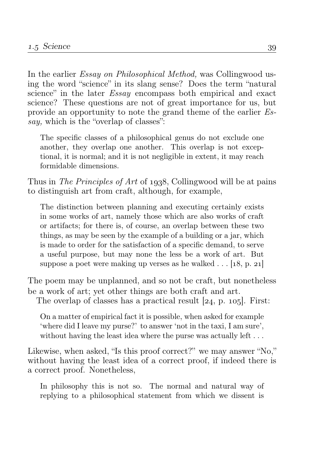In the earlier *Essay on Philosophical Method*, was Collingwood using the word "science" in its slang sense? Does the term "natural science" in the later *Essay* encompass both empirical and exact science? These questions are not of great importance for us, but provide an opportunity to note the grand theme of the earlier Essay, which is the "overlap of classes":

The specific classes of a philosophical genus do not exclude one another, they overlap one another. This overlap is not exceptional, it is normal; and it is not negligible in extent, it may reach formidable dimensions.

Thus in The Principles of Art of 1938. Collingwood will be at pains to distinguish art from craft, although, for example,

The distinction between planning and executing certainly exists in some works of art, namely those which are also works of craft or artifacts; for there is, of course, an overlap between these two things, as may be seen by the example of a building or a jar, which is made to order for the satisfaction of a specific demand, to serve a useful purpose, but may none the less be a work of art. But suppose a poet were making up verses as he walked  $\dots$  [18, p. 21]

The poem may be unplanned, and so not be craft, but nonetheless be a work of art; yet other things are both craft and art.

The overlap of classes has a practical result  $[24, p. 105]$ . First:

On a matter of empirical fact it is possible, when asked for example 'where did I leave my purse?' to answer 'not in the taxi, I am sure', without having the least idea where the purse was actually left ...

Likewise, when asked, "Is this proof correct?" we may answer "No," without having the least idea of a correct proof, if indeed there is a correct proof. Nonetheless,

In philosophy this is not so. The normal and natural way of replying to a philosophical statement from which we dissent is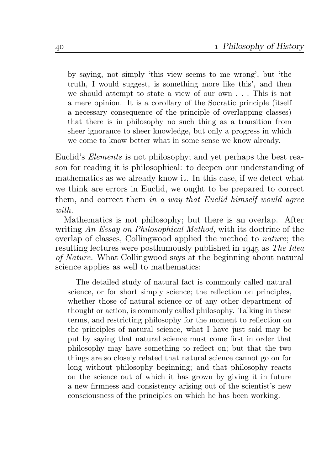by saying, not simply 'this view seems to me wrong', but 'the truth, I would suggest, is something more like this', and then we should attempt to state a view of our own . . . This is not a mere opinion. It is a corollary of the Socratic principle (itself a necessary consequence of the principle of overlapping classes) that there is in philosophy no such thing as a transition from sheer ignorance to sheer knowledge, but only a progress in which we come to know better what in some sense we know already.

Euclid's Elements is not philosophy; and yet perhaps the best reason for reading it is philosophical: to deepen our understanding of mathematics as we already know it. In this case, if we detect what we think are errors in Euclid, we ought to be prepared to correct them, and correct them in a way that Euclid himself would agree with.

Mathematics is not philosophy; but there is an overlap. After writing An Essay on Philosophical Method, with its doctrine of the overlap of classes, Collingwood applied the method to nature; the resulting lectures were posthumously published in 1945 as The Idea of Nature. What Collingwood says at the beginning about natural science applies as well to mathematics:

The detailed study of natural fact is commonly called natural science, or for short simply science; the reflection on principles, whether those of natural science or of any other department of thought or action, is commonly called philosophy. Talking in these terms, and restricting philosophy for the moment to reflection on the principles of natural science, what I have just said may be put by saying that natural science must come first in order that philosophy may have something to reflect on; but that the two things are so closely related that natural science cannot go on for long without philosophy beginning; and that philosophy reacts on the science out of which it has grown by giving it in future a new firmness and consistency arising out of the scientist's new consciousness of the principles on which he has been working.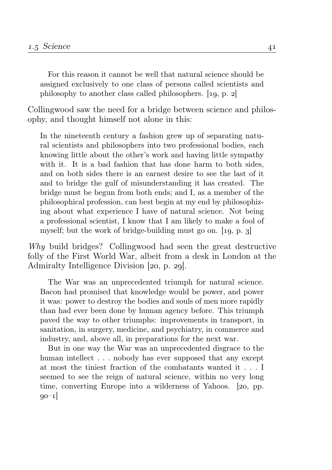For this reason it cannot be well that natural science should be assigned exclusively to one class of persons called scientists and philosophy to another class called philosophers.  $[19, p. 2]$ 

Collingwood saw the need for a bridge between science and philosophy, and thought himself not alone in this:

In the nineteenth century a fashion grew up of separating natural scientists and philosophers into two professional bodies, each knowing little about the other's work and having little sympathy with it. It is a bad fashion that has done harm to both sides, and on both sides there is an earnest desire to see the last of it and to bridge the gulf of misunderstanding it has created. The bridge must be begun from both ends; and I, as a member of the philosophical profession, can best begin at my end by philosophizing about what experience I have of natural science. Not being a professional scientist, I know that I am likely to make a fool of myself; but the work of bridge-building must go on.  $[19, p. 3]$ 

Why build bridges? Collingwood had seen the great destructive folly of the First World War, albeit from a desk in London at the Admiralty Intelligence Division  $[20, p. 29]$ .

The War was an unprecedented triumph for natural science. Bacon had promised that knowledge would be power, and power it was: power to destroy the bodies and souls of men more rapidly than had ever been done by human agency before. This triumph paved the way to other triumphs: improvements in transport, in sanitation, in surgery, medicine, and psychiatry, in commerce and industry, and, above all, in preparations for the next war.

But in one way the War was an unprecedented disgrace to the human intellect . . . nobody has ever supposed that any except at most the tiniest fraction of the combatants wanted it . . . I seemed to see the reign of natural science, within no very long time, converting Europe into a wilderness of Yahoos.  $\vert$  20, pp.  $|90-1|$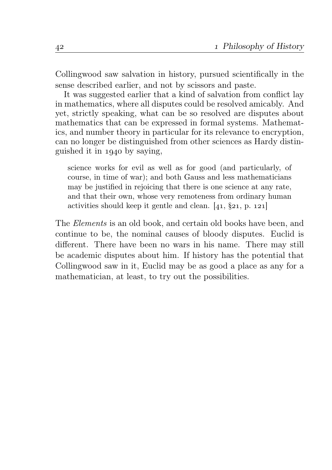Collingwood saw salvation in history, pursued scientifically in the sense described earlier, and not by scissors and paste.

It was suggested earlier that a kind of salvation from conflict lay in mathematics, where all disputes could be resolved amicably. And yet, strictly speaking, what can be so resolved are disputes about mathematics that can be expressed in formal systems. Mathematics, and number theory in particular for its relevance to encryption, can no longer be distinguished from other sciences as Hardy distinguished it in  $1940$  by saying,

science works for evil as well as for good (and particularly, of course, in time of war); and both Gauss and less mathematicians may be justified in rejoicing that there is one science at any rate, and that their own, whose very remoteness from ordinary human activities should keep it gentle and clean.  $[41, \, \S21, \, p. \, 121]$ 

The Elements is an old book, and certain old books have been, and continue to be, the nominal causes of bloody disputes. Euclid is different. There have been no wars in his name. There may still be academic disputes about him. If history has the potential that Collingwood saw in it, Euclid may be as good a place as any for a mathematician, at least, to try out the possibilities.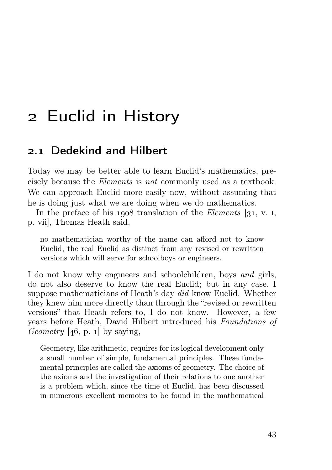# 2 Euclid in History

#### 2.1 Dedekind and Hilbert

Today we may be better able to learn Euclid's mathematics, precisely because the Elements is not commonly used as a textbook. We can approach Euclid more easily now, without assuming that he is doing just what we are doing when we do mathematics.

In the preface of his  $1908$  translation of the *Elements* [31, v. I, p. vii], Thomas Heath said,

no mathematician worthy of the name can afford not to know Euclid, the real Euclid as distinct from any revised or rewritten versions which will serve for schoolboys or engineers.

I do not know why engineers and schoolchildren, boys and girls, do not also deserve to know the real Euclid; but in any case, I suppose mathematicians of Heath's day did know Euclid. Whether they knew him more directly than through the "revised or rewritten versions" that Heath refers to, I do not know. However, a few years before Heath, David Hilbert introduced his Foundations of Geometry [46, p. 1] by saying,

Geometry, like arithmetic, requires for its logical development only a small number of simple, fundamental principles. These fundamental principles are called the axioms of geometry. The choice of the axioms and the investigation of their relations to one another is a problem which, since the time of Euclid, has been discussed in numerous excellent memoirs to be found in the mathematical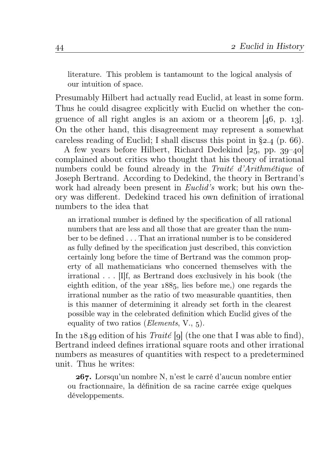literature. This problem is tantamount to the logical analysis of our intuition of space.

Presumably Hilbert had actually read Euclid, at least in some form. Thus he could disagree explicitly with Euclid on whether the congruence of all right angles is an axiom or a theorem  $[46, p. 13]$ . On the other hand, this disagreement may represent a somewhat careless reading of Euclid; I shall discuss this point in  $\S$ 2.4 (p. 66).

A few years before Hilbert, Richard Dedekind  $[25, pp. 39-40]$ complained about critics who thought that his theory of irrational numbers could be found already in the Traité d'Arithmétique of Joseph Bertrand. According to Dedekind, the theory in Bertrand's work had already been present in *Euclid's* work; but his own theory was different. Dedekind traced his own definition of irrational numbers to the idea that

an irrational number is defined by the specification of all rational numbers that are less and all those that are greater than the number to be defined . . . That an irrational number is to be considered as fully defined by the specification just described, this conviction certainly long before the time of Bertrand was the common property of all mathematicians who concerned themselves with the irrational . . . [I]f, as Bertrand does exclusively in his book (the eighth edition, of the year  $1885$ , lies before me,) one regards the irrational number as the ratio of two measurable quantities, then is this manner of determining it already set forth in the clearest possible way in the celebrated definition which Euclid gives of the equality of two ratios (*Elements*,  $V_1$ , 5).

In the 1849 edition of his *Traité* [9] (the one that I was able to find), Bertrand indeed defines irrational square roots and other irrational numbers as measures of quantities with respect to a predetermined unit. Thus he writes:

. Lorsqu'un nombre N, n'est le carré d'aucun nombre entier ou fractionnaire, la définition de sa racine carrée exige quelques développements.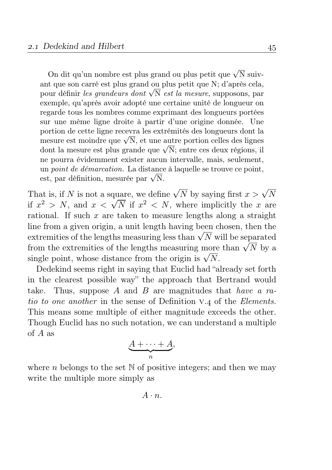On dit qu'un nombre est plus grand ou plus petit que  $\sqrt{N}$  suivant que son carré est plus grand ou plus petit que N; d'après cela, pour définir les grandeurs dont  $\sqrt{N}$  est la mesure, supposons, par exemple, qu'après avoir adopté une certaine unité de longueur on regarde tous les nombres comme exprimant des longueurs portées sur une mème ligne droite à partir d'une origine donnée. Une portion de cette ligne recevra les extrémités des longueurs dont la mesure est moindre que  $\sqrt{N}$ , et une autre portion celles des lignes dont la mesure est plus grande que  $\sqrt{N}$ ; entre ces deux régions, il ne pourra évidemment exister aucun intervalle, mais, seulement, un point de démarcation. La distance à laquelle se trouve ce point, est, par définition, mesurée par  $\sqrt{N}$ .

That is, if N is not a square, we define  $\sqrt{N}$  by saying first  $x > \sqrt{N}$ if  $x^2 > N$ , and  $x < \sqrt{N}$  if  $x^2 < N$ , where implicitly the x are rational. If such  $x$  are taken to measure lengths along a straight line from a given origin, a unit length having been chosen, then the extremities of the lengths measuring less than  $\sqrt{N}$  will be separated from the extremities of the lengths measuring more than  $\sqrt{N}$  by a single point, whose distance from the origin is  $\sqrt{N}$ .

Dedekind seems right in saying that Euclid had "already set forth in the clearest possible way" the approach that Bertrand would take. Thus, suppose A and B are magnitudes that have a ratio to one another in the sense of Definition  $V.4$  of the Elements. This means some multiple of either magnitude exceeds the other. Though Euclid has no such notation, we can understand a multiple of A as

$$
\underbrace{A+\cdots+A}_{n},
$$

where *n* belongs to the set  $\mathbb N$  of positive integers; and then we may write the multiple more simply as

$$
A\cdot n.
$$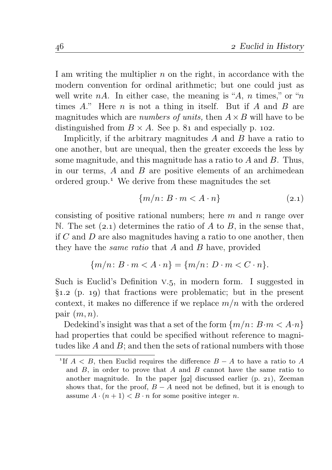I am writing the multiplier  $n$  on the right, in accordance with the modern convention for ordinal arithmetic; but one could just as well write  $nA$ . In either case, the meaning is "A, n times," or "n times  $A$ ." Here *n* is not a thing in itself. But if  $A$  and  $B$  are magnitudes which are numbers of units, then  $A \times B$  will have to be distinguished from  $B \times A$ . See p. 81 and especially p. 102.

Implicitly, if the arbitrary magnitudes  $A$  and  $B$  have a ratio to one another, but are unequal, then the greater exceeds the less by some magnitude, and this magnitude has a ratio to A and B. Thus, in our terms,  $A$  and  $B$  are positive elements of an archimedean ordered group.<sup>1</sup> We derive from these magnitudes the set

$$
\{m/n \colon B \cdot m < A \cdot n\} \tag{2.1}
$$

consisting of positive rational numbers; here  $m$  and  $n$  range over N. The set  $(2.1)$  determines the ratio of A to B, in the sense that, if  $C$  and  $D$  are also magnitudes having a ratio to one another, then they have the same ratio that A and B have, provided

$$
\{m/n\colon B\cdot m < A\cdot n\} = \{m/n\colon D\cdot m < C\cdot n\}.
$$

Such is Euclid's Definition  $V.5$ , in modern form. I suggested in  $\S_{1,2}$  (p. 19) that fractions were problematic; but in the present context, it makes no difference if we replace  $m/n$  with the ordered pair  $(m, n)$ .

Dedekind's insight was that a set of the form  $\{m/n: B\cdot m < A\cdot n\}$ had properties that could be specified without reference to magnitudes like  $A$  and  $B$ ; and then the sets of rational numbers with those

<sup>&</sup>lt;sup>1</sup>If  $A < B$ , then Euclid requires the difference  $B - A$  to have a ratio to A and  $B$ , in order to prove that  $A$  and  $B$  cannot have the same ratio to another magnitude. In the paper  $[g_2]$  discussed earlier (p. 21), Zeeman shows that, for the proof,  $B - A$  need not be defined, but it is enough to assume  $A \cdot (n+1) < B \cdot n$  for some positive integer n.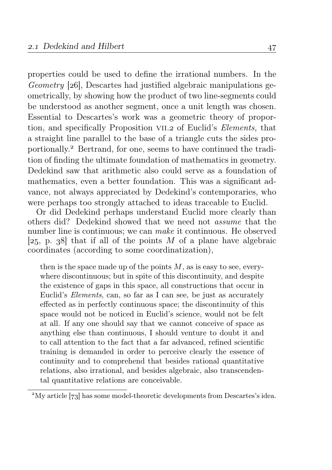properties could be used to define the irrational numbers. In the  $Geometry$  [26]. Descartes had justified algebraic manipulations geometrically, by showing how the product of two line-segments could be understood as another segment, once a unit length was chosen. Essential to Descartes's work was a geometric theory of proportion, and specifically Proposition VII.2 of Euclid's *Elements*, that a straight line parallel to the base of a triangle cuts the sides proportionally. Bertrand, for one, seems to have continued the tradition of finding the ultimate foundation of mathematics in geometry. Dedekind saw that arithmetic also could serve as a foundation of mathematics, even a better foundation. This was a significant advance, not always appreciated by Dedekind's contemporaries, who were perhaps too strongly attached to ideas traceable to Euclid.

Or did Dedekind perhaps understand Euclid more clearly than others did? Dedekind showed that we need not assume that the number line is continuous; we can *make* it continuous. He observed [25, p. 38] that if all of the points M of a plane have algebraic coordinates (according to some coordinatization),

then is the space made up of the points  $M$ , as is easy to see, everywhere discontinuous; but in spite of this discontinuity, and despite the existence of gaps in this space, all constructions that occur in Euclid's Elements, can, so far as I can see, be just as accurately effected as in perfectly continuous space; the discontinuity of this space would not be noticed in Euclid's science, would not be felt at all. If any one should say that we cannot conceive of space as anything else than continuous, I should venture to doubt it and to call attention to the fact that a far advanced, refined scientific training is demanded in order to perceive clearly the essence of continuity and to comprehend that besides rational quantitative relations, also irrational, and besides algebraic, also transcendental quantitative relations are conceivable.

 $^{2}$ My article [ $73$ ] has some model-theoretic developments from Descartes's idea.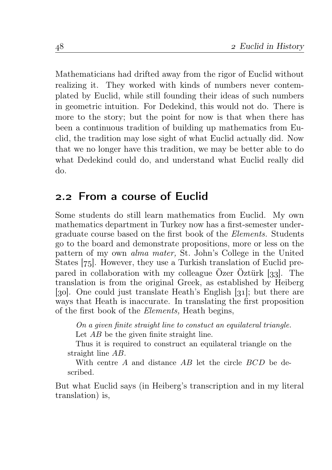Mathematicians had drifted away from the rigor of Euclid without realizing it. They worked with kinds of numbers never contemplated by Euclid, while still founding their ideas of such numbers in geometric intuition. For Dedekind, this would not do. There is more to the story; but the point for now is that when there has been a continuous tradition of building up mathematics from Euclid, the tradition may lose sight of what Euclid actually did. Now that we no longer have this tradition, we may be better able to do what Dedekind could do, and understand what Euclid really did do.

#### 2.2 From a course of Euclid

Some students do still learn mathematics from Euclid. My own mathematics department in Turkey now has a first-semester undergraduate course based on the first book of the Elements. Students go to the board and demonstrate propositions, more or less on the pattern of my own alma mater, St. John's College in the United States  $[75]$ . However, they use a Turkish translation of Euclid prepared in collaboration with my colleague Özer Öztürk  $\left[33\right]$ . The translation is from the original Greek, as established by Heiberg [30]. One could just translate Heath's English  $[31]$ ; but there are ways that Heath is inaccurate. In translating the first proposition of the first book of the Elements, Heath begins,

On a given finite straight line to constuct an equilateral triangle. Let AB be the given finite straight line.

Thus it is required to construct an equilateral triangle on the straight line AB.

With centre A and distance AB let the circle BCD be described.

But what Euclid says (in Heiberg's transcription and in my literal translation) is,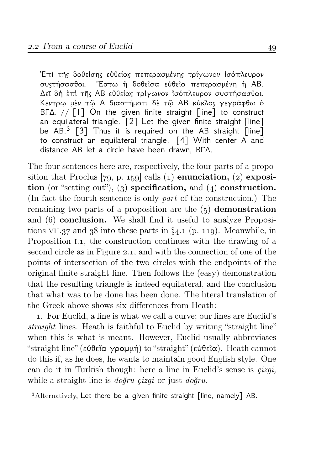᾿Επὶ τῆς δοθείσης εὐθείας πεπερασμένης τρίγωνον ἰσόπλευρον συςτήσασθαι. ῎Εστω ἡ δοθεῖσα εὐθεῖα πεπερασμένη ἡ ΑΒ. ∆εῖ δὴ ἐπὶ τῆς ΑΒ εὐθείας τρίγωνον ἰσόπλευρον συστήσασθαι. Κέντρῳ μὲν τῷ Α διαστήματι δὲ τῷ ΑΒ κύκλος γεγράφθω ὁ ΒΓ∆. // [1] On the given finite straight [line] to construct an equilateral triangle. [2] Let the given finite straight [line] be AB.<sup>3</sup> [3] Thus it is required on the AB straight [line] to construct an equilateral triangle. [4] With center Α and distance ΑΒ let a circle have been drawn, ΒΓ∆.

The four sentences here are, respectively, the four parts of a proposition that Proclus  $[79, p. 159]$  calls (1) enunciation, (2) exposition (or "setting out"), (3) specification, and (4) construction. (In fact the fourth sentence is only part of the construction.) The remaining two parts of a proposition are the  $(5)$  demonstration and (6) **conclusion.** We shall find it useful to analyze Propositions VII.37 and  $38$  into these parts in  $\S$ 4.1 (p. 119). Meanwhile, in Proposition I.1, the construction continues with the drawing of a second circle as in Figure 2.1, and with the connection of one of the points of intersection of the two circles with the endpoints of the original finite straight line. Then follows the (easy) demonstration that the resulting triangle is indeed equilateral, and the conclusion that what was to be done has been done. The literal translation of the Greek above shows six differences from Heath:

. For Euclid, a line is what we call a curve; our lines are Euclid's straight lines. Heath is faithful to Euclid by writing "straight line" when this is what is meant. However, Euclid usually abbreviates "straight line" (εὐθεῖα γραμμή) to "straight" (εὐθεῖα). Heath cannot do this if, as he does, he wants to maintain good English style. One can do it in Turkish though: here a line in Euclid's sense is çizgi, while a straight line is *doğru çizgi* or just *doğru*.

Alternatively, Let there be a given finite straight [line, namely] ΑΒ.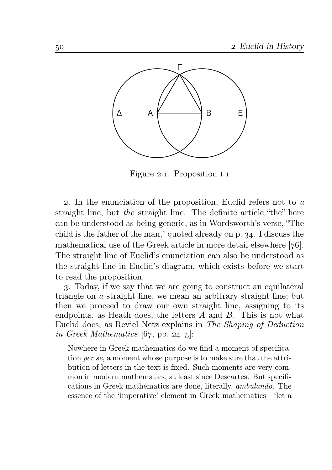

Figure 2.1. Proposition I.1

. In the enunciation of the proposition, Euclid refers not to a straight line, but the straight line. The definite article "the" here can be understood as being generic, as in Wordsworth's verse, "The child is the father of the man," quoted already on p.  $34$ . I discuss the mathematical use of the Greek article in more detail elsewhere  $[76]$ . The straight line of Euclid's enunciation can also be understood as the straight line in Euclid's diagram, which exists before we start to read the proposition.

. Today, if we say that we are going to construct an equilateral triangle on a straight line, we mean an arbitrary straight line; but then we proceed to draw our own straight line, assigning to its endpoints, as Heath does, the letters  $A$  and  $B$ . This is not what Euclid does, as Reviel Netz explains in The Shaping of Deduction in Greek Mathematics  $[67, pp. 24-5]$ :

Nowhere in Greek mathematics do we find a moment of specification per se, a moment whose purpose is to make sure that the attribution of letters in the text is fixed. Such moments are very common in modern mathematics, at least since Descartes. But specifications in Greek mathematics are done, literally, ambulando. The essence of the 'imperative' element in Greek mathematics—'let a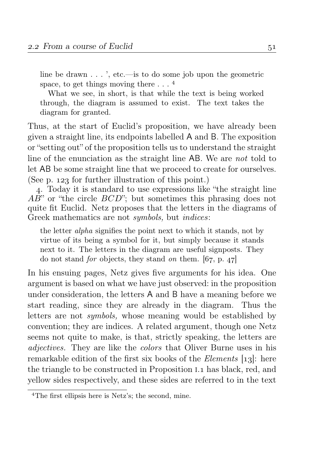line be drawn . . . ', etc.—is to do some job upon the geometric space, to get things moving there  $\dots$ <sup>4</sup>

What we see, in short, is that while the text is being worked through, the diagram is assumed to exist. The text takes the diagram for granted.

Thus, at the start of Euclid's proposition, we have already been given a straight line, its endpoints labelled Α and Β. The exposition or "setting out" of the proposition tells us to understand the straight line of the enunciation as the straight line ΑΒ. We are not told to let ΑΒ be some straight line that we proceed to create for ourselves. (See p.  $123$  for further illustration of this point.)

. Today it is standard to use expressions like "the straight line  $A\overrightarrow{B}$ " or "the circle  $BCD$ "; but sometimes this phrasing does not quite fit Euclid. Netz proposes that the letters in the diagrams of Greek mathematics are not *symbols*, but *indices*:

the letter alpha signifies the point next to which it stands, not by virtue of its being a symbol for it, but simply because it stands next to it. The letters in the diagram are useful signposts. They do not stand *for* objects, they stand *on* them.  $[67, p. 47]$ 

In his ensuing pages, Netz gives five arguments for his idea. One argument is based on what we have just observed: in the proposition under consideration, the letters Α and Β have a meaning before we start reading, since they are already in the diagram. Thus the letters are not symbols, whose meaning would be established by convention; they are indices. A related argument, though one Netz seems not quite to make, is that, strictly speaking, the letters are adjectives. They are like the colors that Oliver Burne uses in his remarkable edition of the first six books of the *Elements*  $[1,3]$ : here the triangle to be constructed in Proposition I.1 has black, red, and yellow sides respectively, and these sides are referred to in the text

The first ellipsis here is Netz's; the second, mine.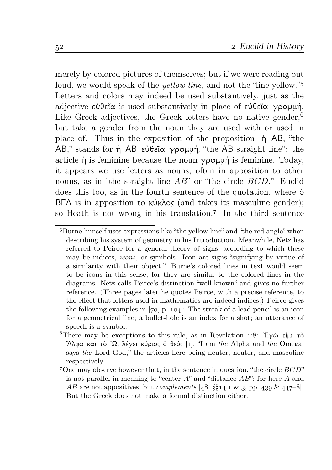merely by colored pictures of themselves; but if we were reading out loud, we would speak of the *yellow line*, and not the "line yellow."<sup>5</sup> Letters and colors may indeed be used substantively, just as the adjective εὐθεῖ $\alpha$  is used substantively in place of εὐθεῖ $\alpha$  γραμμή. Like Greek adjectives, the Greek letters have no native gender,  $6$ but take a gender from the noun they are used with or used in place of. Thus in the exposition of the proposition, ἡ ΑΒ, "the ΑΒ," stands for ἡ ΑΒ εὐθεῖα γραμμή, "the ΑΒ straight line": the article  $\hat{\eta}$  is feminine because the noun  $\gamma \rho \alpha \mu \eta$  is feminine. Today, it appears we use letters as nouns, often in apposition to other nouns, as in "the straight line AB" or "the circle BCD." Euclid does this too, as in the fourth sentence of the quotation, where ὁ  $B\Gamma\Delta$  is in apposition to κύκλος (and takes its masculine gender); so Heath is not wrong in his translation. In the third sentence

<sup>&</sup>lt;sup>5</sup>Burne himself uses expressions like "the yellow line" and "the red angle" when describing his system of geometry in his Introduction. Meanwhile, Netz has referred to Peirce for a general theory of signs, according to which these may be indices, icons, or symbols. Icon are signs "signifying by virtue of a similarity with their object." Burne's colored lines in text would seem to be icons in this sense, for they are similar to the colored lines in the diagrams. Netz calls Peirce's distinction "well-known" and gives no further reference. (Three pages later he quotes Peirce, with a precise reference, to the effect that letters used in mathematics are indeed indices.) Peirce gives the following examples in  $[70, p. 104]$ : The streak of a lead pencil is an icon for a geometrical line; a bullet-hole is an index for a shot; an utterance of speech is a symbol.

<sup>&</sup>lt;sup>6</sup>There may be exceptions to this rule, as in Revelation 1:8: Έγώ είμι τὸ  $\forall$ Αλφα καὶ τὸ  $\Omega$ , λέγει κύριος ὁ θεός [1], "I am the Alpha and the Omega, says the Lord God," the articles here being neuter, neuter, and masculine respectively.

<sup>&</sup>lt;sup>7</sup>One may observe however that, in the sentence in question, "the circle  $BCD$ " is not parallel in meaning to "center  $A$ " and "distance  $AB$ "; for here  $A$  and AB are not appositives, but *complements* [ $48, \S$  $14.1 \& 3$ , pp.  $439 \& 447-8$ ]. But the Greek does not make a formal distinction either.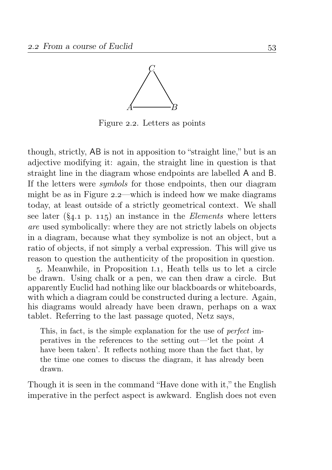

Figure 2.2. Letters as points

though, strictly, ΑΒ is not in apposition to "straight line," but is an adjective modifying it: again, the straight line in question is that straight line in the diagram whose endpoints are labelled Α and Β. If the letters were symbols for those endpoints, then our diagram might be as in Figure  $2.2$ —which is indeed how we make diagrams today, at least outside of a strictly geometrical context. We shall see later  $(\S_4.1 \, \text{p. 115})$  an instance in the *Elements* where letters are used symbolically: where they are not strictly labels on objects in a diagram, because what they symbolize is not an object, but a ratio of objects, if not simply a verbal expression. This will give us reason to question the authenticity of the proposition in question.

. Meanwhile, in Proposition i., Heath tells us to let a circle be drawn. Using chalk or a pen, we can then draw a circle. But apparently Euclid had nothing like our blackboards or whiteboards, with which a diagram could be constructed during a lecture. Again, his diagrams would already have been drawn, perhaps on a wax tablet. Referring to the last passage quoted, Netz says,

This, in fact, is the simple explanation for the use of perfect imperatives in the references to the setting out—'let the point A have been taken'. It reflects nothing more than the fact that, by the time one comes to discuss the diagram, it has already been drawn.

Though it is seen in the command "Have done with it," the English imperative in the perfect aspect is awkward. English does not even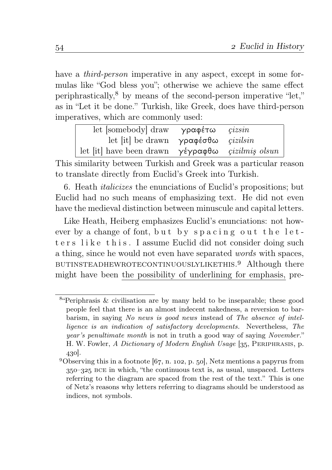have a *third-person* imperative in any aspect, except in some formulas like "God bless you"; otherwise we achieve the same effect periphrastically, $\delta$  by means of the second-person imperative "let," as in "Let it be done." Turkish, like Greek, does have third-person imperatives, which are commonly used:

| let [somebody] draw      | γραφέτω                  | cizsin                         |
|--------------------------|--------------------------|--------------------------------|
| let [it] be drawn        | γραφέσθω <i>çizilsin</i> |                                |
| let [it] have been drawn |                          | γέγραφθω <i>çizilmiş olsun</i> |

This similarity between Turkish and Greek was a particular reason to translate directly from Euclid's Greek into Turkish.

. Heath italicizes the enunciations of Euclid's propositions; but Euclid had no such means of emphasizing text. He did not even have the medieval distinction between minuscule and capital letters.

Like Heath, Heiberg emphasizes Euclid's enunciations: not however by a change of font, but by  $spacingout the let$ ters like this. I assume Euclid did not consider doing such a thing, since he would not even have separated words with spaces, BUTINSTEADHEWROTECONTINUOUSLYLIKETHIS.<sup>9</sup> Although there might have been the possibility of underlining for emphasis, pre-

 $84$  Periphrasis & civilisation are by many held to be inseparable; these good people feel that there is an almost indecent nakedness, a reversion to barbarism, in saying No news is good news instead of The absence of intelligence is an indication of satisfactory developments. Nevertheless, The year's penultimate month is not in truth a good way of saying November." H. W. Fowler, A Dictionary of Modern English Usage [35, PERIPHRASIS, p. 430.

<sup>&</sup>lt;sup>9</sup>Observing this in a footnote  $[67, n. 102, p. 50]$ , Netz mentions a papyrus from  $350-325$  BCE in which, "the continuous text is, as usual, unspaced. Letters referring to the diagram are spaced from the rest of the text." This is one of Netz's reasons why letters referring to diagrams should be understood as indices, not symbols.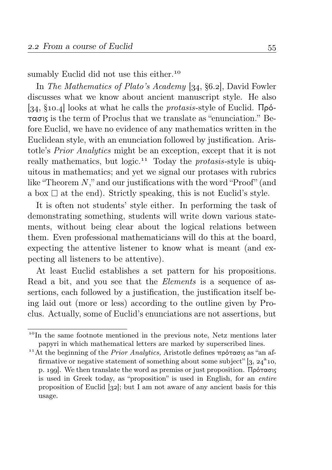sumably Euclid did not use this either.<sup>10</sup>

In The Mathematics of Plato's Academy [34,  $\S6.2$ ], David Fowler discusses what we know about ancient manuscript style. He also [ $34,$  §10.4] looks at what he calls the *protasis*-style of Euclid. Πρότασις is the term of Proclus that we translate as "enunciation." Before Euclid, we have no evidence of any mathematics written in the Euclidean style, with an enunciation followed by justification. Aristotle's Prior Analytics might be an exception, except that it is not really mathematics, but logic.<sup>11</sup> Today the *protasis*-style is ubiquitous in mathematics; and yet we signal our protases with rubrics like "Theorem N," and our justifications with the word "Proof" (and a box  $\square$  at the end). Strictly speaking, this is not Euclid's style.

It is often not students' style either. In performing the task of demonstrating something, students will write down various statements, without being clear about the logical relations between them. Even professional mathematicians will do this at the board, expecting the attentive listener to know what is meant (and expecting all listeners to be attentive).

At least Euclid establishes a set pattern for his propositions. Read a bit, and you see that the Elements is a sequence of assertions, each followed by a justification, the justification itself being laid out (more or less) according to the outline given by Proclus. Actually, some of Euclid's enunciations are not assertions, but

<sup>&</sup>lt;sup>10</sup>In the same footnote mentioned in the previous note, Netz mentions later papyri in which mathematical letters are marked by superscribed lines.

<sup>&</sup>lt;sup>11</sup>At the beginning of the *Prior Analytics*, Aristotle defines πρότασις as "an affirmative or negative statement of something about some subject"  $[3, 24^{\degree}10,$ p. 199. We then translate the word as premiss or just proposition. Πρότασις is used in Greek today, as "proposition" is used in English, for an entire proposition of Euclid  $[32]$ ; but I am not aware of any ancient basis for this usage.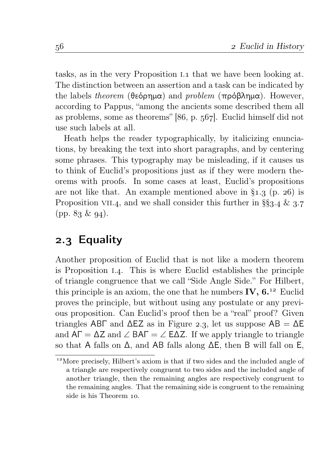tasks, as in the very Proposition I.1 that we have been looking at. The distinction between an assertion and a task can be indicated by the labels theorem (θεόρημα) and problem (πρόβλημα). However, according to Pappus, "among the ancients some described them all as problems, some as theorems"  $[86, p. 567]$ . Euclid himself did not use such labels at all.

Heath helps the reader typographically, by italicizing enunciations, by breaking the text into short paragraphs, and by centering some phrases. This typography may be misleading, if it causes us to think of Euclid's propositions just as if they were modern theorems with proofs. In some cases at least, Euclid's propositions are not like that. An example mentioned above in  $\S_{1,3}$  (p. 26) is Proposition VII.4, and we shall consider this further in  $\S$ §3.4 & 3.7  $(pp. 83 \& 94).$ 

# 2.3 Equality

Another proposition of Euclid that is not like a modern theorem is Proposition  $I.4$ . This is where Euclid establishes the principle of triangle congruence that we call "Side Angle Side." For Hilbert, this principle is an axiom, the one that he numbers  $IV, 6.^{12}$  Euclid proves the principle, but without using any postulate or any previous proposition. Can Euclid's proof then be a "real" proof? Given triangles ABF and  $\Delta$ EZ as in Figure 2.3, let us suppose AB =  $\Delta$ E and  $A\Gamma = \Delta Z$  and  $\angle$  BA $\Gamma = \angle$  E $\Delta Z$ . If we apply triangle to triangle so that Α falls on ∆, and ΑΒ falls along ∆Ε, then Β will fall on Ε,

<sup>&</sup>lt;sup>12</sup>More precisely, Hilbert's axiom is that if two sides and the included angle of a triangle are respectively congruent to two sides and the included angle of another triangle, then the remaining angles are respectively congruent to the remaining angles. That the remaining side is congruent to the remaining side is his Theorem 10.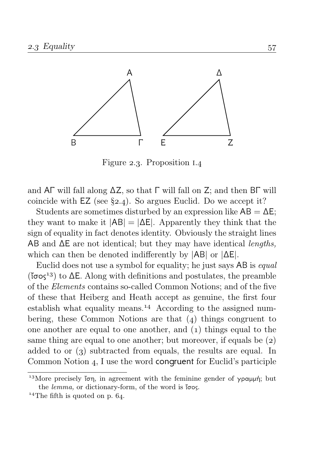

Figure 2.3. Proposition I.4

and  $\overline{AP}$  will fall along  $\Delta Z$ , so that  $\Gamma$  will fall on  $Z$ ; and then  $\overline{BP}$  will coincide with  $EZ$  (see §2.4). So argues Euclid. Do we accept it?

Students are sometimes disturbed by an expression like  $AB = \Delta E$ ; they want to make it  $|AB| = |\Delta E|$ . Apparently they think that the sign of equality in fact denotes identity. Obviously the straight lines AB and  $\Delta E$  are not identical; but they may have identical *lengths*, which can then be denoted indifferently by |ΑΒ| or |∆Ε|.

Euclid does not use a symbol for equality; he just says AB is *equal*  $($ (( $\sigma$ σος<sup>13</sup>) to ΔE. Along with definitions and postulates, the preamble of the Elements contains so-called Common Notions; and of the five of these that Heiberg and Heath accept as genuine, the first four establish what equality means.<sup>14</sup> According to the assigned numbering, these Common Notions are that  $(4)$  things congruent to one another are equal to one another, and  $(1)$  things equal to the same thing are equal to one another; but moreover, if equals be  $(2)$ added to or  $(3)$  subtracted from equals, the results are equal. In Common Notion 4, I use the word congruent for Euclid's participle

<sup>&</sup>lt;sup>13</sup>More precisely <sup>*i*</sup>ση, in agreement with the feminine gender of γραμμή; but the lemma, or dictionary-form, of the word is ἴσος.

 $14$ The fifth is quoted on p. 64.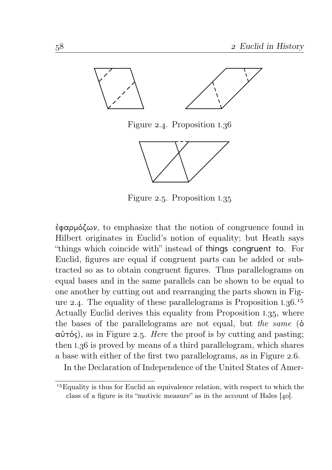

Figure 2.4. Proposition  $1.36$ 



Figure 2.5. Proposition I.35

ἐφαρμόζων, to emphasize that the notion of congruence found in Hilbert originates in Euclid's notion of equality; but Heath says "things which coincide with" instead of things congruent to. For Euclid, figures are equal if congruent parts can be added or subtracted so as to obtain congruent figures. Thus parallelograms on equal bases and in the same parallels can be shown to be equal to one another by cutting out and rearranging the parts shown in Figure 2.4. The equality of these parallelograms is Proposition  $1.36^{15}$ Actually Euclid derives this equality from Proposition 1.35, where the bases of the parallelograms are not equal, but the same (ὁ  $α\mathbf{i}τ\mathbf{o}$ <sub>S</sub>), as in Figure 2.5. Here the proof is by cutting and pasting; then  $1.36$  is proved by means of a third parallelogram, which shares a base with either of the first two parallelograms, as in Figure 2.6.

In the Declaration of Independence of the United States of Amer-

<sup>&</sup>lt;sup>15</sup> Equality is thus for Euclid an equivalence relation, with respect to which the class of a figure is its "motivic measure" as in the account of Hales  $[40]$ .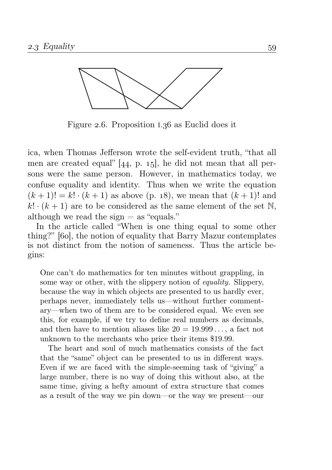

Figure 2.6. Proposition 1.36 as Euclid does it

ica, when Thomas Jefferson wrote the self-evident truth, "that all men are created equal"  $[44, p, 15]$ , he did not mean that all persons were the same person. However, in mathematics today, we confuse equality and identity. Thus when we write the equation  $(k + 1)! = k! \cdot (k + 1)$  as above (p. 18), we mean that  $(k + 1)!$  and  $k! \cdot (k+1)$  are to be considered as the same element of the set N, although we read the sign  $=$  as "equals."

In the article called "When is one thing equal to some other thing?" [60], the notion of equality that Barry Mazur contemplates is not distinct from the notion of sameness. Thus the article begins:

One can't do mathematics for ten minutes without grappling, in some way or other, with the slippery notion of *equality*. Slippery, because the way in which objects are presented to us hardly ever, perhaps never, immediately tells us—without further commentary—when two of them are to be considered equal. We even see this, for example, if we try to define real numbers as decimals, and then have to mention aliases like  $20 = 19.999...$ , a fact not unknown to the merchants who price their items \$19.99.

The heart and soul of much mathematics consists of the fact that the "same" object can be presented to us in different ways. Even if we are faced with the simple-seeming task of "giving" a large number, there is no way of doing this without also, at the same time, giving a hefty amount of extra structure that comes as a result of the way we pin down—or the way we present—our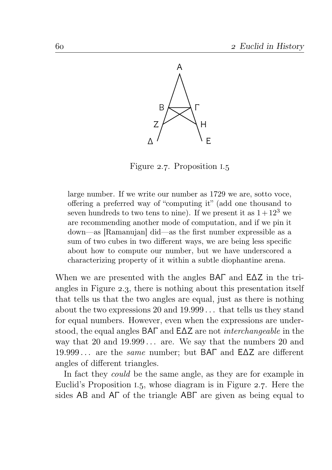

Figure 2.7. Proposition  $1.5$ 

large number. If we write our number as 1729 we are, sotto voce, offering a preferred way of "computing it" (add one thousand to seven hundreds to two tens to nine). If we present it as  $1+12^3$  we are recommending another mode of computation, and if we pin it down—as [Ramanujan] did—as the first number expressible as a sum of two cubes in two different ways, we are being less specific about how to compute our number, but we have underscored a characterizing property of it within a subtle diophantine arena.

When we are presented with the angles ΒΑΓ and Ε∆Ζ in the triangles in Figure  $2.3$ , there is nothing about this presentation itself that tells us that the two angles are equal, just as there is nothing about the two expressions 20 and 19.999 . . . that tells us they stand for equal numbers. However, even when the expressions are understood, the equal angles ΒΑΓ and Ε∆Ζ are not interchangeable in the way that 20 and  $19.999...$  are. We say that the numbers 20 and 19.999... are the *same* number; but **BA** and **E** $\Delta$ **Z** are different angles of different triangles.

In fact they could be the same angle, as they are for example in Euclid's Proposition I.5, whose diagram is in Figure 2.7. Here the sides ΑΒ and ΑΓ of the triangle ΑΒΓ are given as being equal to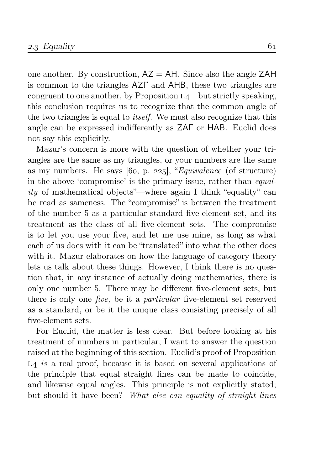one another. By construction,  $AZ = AH$ . Since also the angle ZAH is common to the triangles ΑΖΓ and ΑΗΒ, these two triangles are congruent to one another, by Proposition I.4—but strictly speaking, this conclusion requires us to recognize that the common angle of the two triangles is equal to itself. We must also recognize that this angle can be expressed indifferently as ΖΑΓ or ΗΑΒ. Euclid does not say this explicitly.

Mazur's concern is more with the question of whether your triangles are the same as my triangles, or your numbers are the same as my numbers. He says  $[60, p. 225]$ , "*Equivalence* (of structure) in the above 'compromise' is the primary issue, rather than equal*ity* of mathematical objects"—where again I think "equality" can be read as sameness. The "compromise" is between the treatment of the number 5 as a particular standard five-element set, and its treatment as the class of all five-element sets. The compromise is to let you use your five, and let me use mine, as long as what each of us does with it can be "translated" into what the other does with it. Mazur elaborates on how the language of category theory lets us talk about these things. However, I think there is no question that, in any instance of actually doing mathematics, there is only one number 5. There may be different five-element sets, but there is only one five, be it a particular five-element set reserved as a standard, or be it the unique class consisting precisely of all five-element sets.

For Euclid, the matter is less clear. But before looking at his treatment of numbers in particular, I want to answer the question raised at the beginning of this section. Euclid's proof of Proposition I.4 is a real proof, because it is based on several applications of the principle that equal straight lines can be made to coincide, and likewise equal angles. This principle is not explicitly stated; but should it have been? What else can equality of straight lines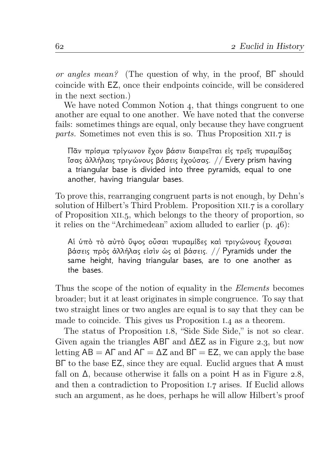or angles mean? (The question of why, in the proof, ΒΓ should coincide with ΕΖ, once their endpoints coincide, will be considered in the next section.)

We have noted Common Notion  $\alpha$ , that things congruent to one another are equal to one another. We have noted that the converse fails: sometimes things are equal, only because they have congruent parts. Sometimes not even this is so. Thus Proposition XII.7 is

Πᾶν πρίσμα τρίγωνον ἔχον βάσιν διαιρεῖται εἰς τρεῖς πυραμίδας ἴσας ἀλλήλαις τριγώνους βάσεις ἐχούσας. // Every prism having a triangular base is divided into three pyramids, equal to one another, having triangular bases.

To prove this, rearranging congruent parts is not enough, by Dehn's solution of Hilbert's Third Problem. Proposition XII.7 is a corollary of Proposition XII.5, which belongs to the theory of proportion, so it relies on the "Archimedean" axiom alluded to earlier  $(p. 46)$ :

Αἱ ὑπὸ τὸ αὐτὸ ὕψος οὖσαι πυραμίδες καὶ τριγώνους ἔχουσαι βάσεις πρὸς ἀλλήλας εἰσὶν ὡς αἱ βάσεις. // Pyramids under the same height, having triangular bases, are to one another as the bases.

Thus the scope of the notion of equality in the Elements becomes broader; but it at least originates in simple congruence. To say that two straight lines or two angles are equal is to say that they can be made to coincide. This gives us Proposition I.4 as a theorem.

The status of Proposition I.8, "Side Side Side," is not so clear. Given again the triangles  $AB\Gamma$  and  $\Delta EZ$  as in Figure 2.3, but now letting  $AB = AT$  and  $AT = \Delta Z$  and  $BT = EZ$ , we can apply the base ΒΓ to the base ΕΖ, since they are equal. Euclid argues that Α must fall on  $\Delta$ , because otherwise it falls on a point H as in Figure 2.8, and then a contradiction to Proposition I.7 arises. If Euclid allows such an argument, as he does, perhaps he will allow Hilbert's proof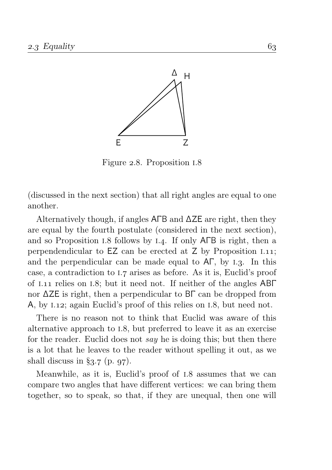

Figure 2.8. Proposition I.8

(discussed in the next section) that all right angles are equal to one another.

Alternatively though, if angles ΑΓΒ and ∆ΖΕ are right, then they are equal by the fourth postulate (considered in the next section), and so Proposition I.8 follows by I.4. If only  $AFB$  is right, then a perpendendicular to  $EZ$  can be erected at  $Z$  by Proposition I.11; and the perpendicular can be made equal to  $AF$ , by i.g. In this case, a contradiction to  $I.7$  arises as before. As it is, Euclid's proof of 1.11 relies on 1.8; but it need not. If neither of the angles ABΓ nor ∆ΖΕ is right, then a perpendicular to ΒΓ can be dropped from A, by I.12; again Euclid's proof of this relies on I.8, but need not.

There is no reason not to think that Euclid was aware of this alternative approach to i.8, but preferred to leave it as an exercise for the reader. Euclid does not say he is doing this; but then there is a lot that he leaves to the reader without spelling it out, as we shall discuss in  $\S$ 3.7 (p. 97).

Meanwhile, as it is, Euclid's proof of 1.8 assumes that we can compare two angles that have different vertices: we can bring them together, so to speak, so that, if they are unequal, then one will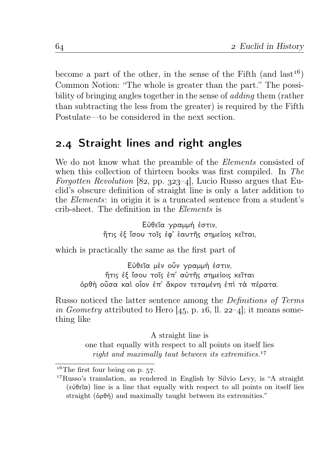become a part of the other, in the sense of the Fifth (and  $last^{16}$ ) Common Notion: "The whole is greater than the part." The possibility of bringing angles together in the sense of *adding* them (rather than subtracting the less from the greater) is required by the Fifth Postulate—to be considered in the next section.

## 2.4 Straight lines and right angles

We do not know what the preamble of the *Elements* consisted of when this collection of thirteen books was first compiled. In The Forgotten Revolution [82, pp. 323-4], Lucio Russo argues that Euclid's obscure definition of straight line is only a later addition to the Elements: in origin it is a truncated sentence from a student's crib-sheet. The definition in the Elements is

> Εὐθεῖα γραμμή ἐστιν, ἥτις ἐξ ἴσου τοῖς ἐφ᾿ ἑαυτῆς σημείοις κεῖται,

which is practically the same as the first part of

Εὐθεῖα μὲν οὖν γραμμή ἐστιν, ἥτις ἐξ ἴσου τοῖς ἐπ´ αὐτῆς σημείοις κεῖται ὀρθὴ οὖσα καὶ οἷον ἐπ´ ἄκρον τεταμένη ἐπὶ τὰ πέρατα.

Russo noticed the latter sentence among the Definitions of Terms in Geometry attributed to Hero [45, p. 16, ll. 22–4]; it means something like

> A straight line is one that equally with respect to all points on itself lies right and maximally taut between its extremities.<sup>17</sup>

 $16$ The first four being on p. 57.

Russo's translation, as rendered in English by Silvio Levy, is "A straight (εὐθεῖα) line is a line that equally with respect to all points on itself lies straight  $(\phi \phi)$  and maximally taught between its extremities."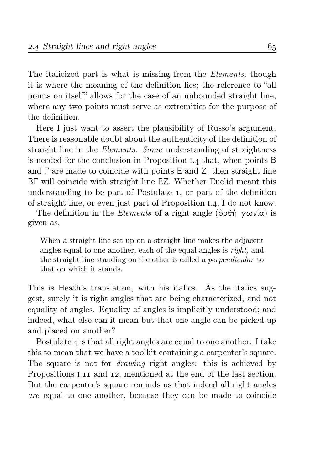The italicized part is what is missing from the Elements, though it is where the meaning of the definition lies; the reference to "all points on itself" allows for the case of an unbounded straight line, where any two points must serve as extremities for the purpose of the definition.

Here I just want to assert the plausibility of Russo's argument. There is reasonable doubt about the authenticity of the definition of straight line in the Elements. Some understanding of straightness is needed for the conclusion in Proposition I.4 that, when points B and  $\Gamma$  are made to coincide with points  $\mathsf E$  and  $\mathsf Z$ , then straight line ΒΓ will coincide with straight line ΕΖ. Whether Euclid meant this understanding to be part of Postulate 1, or part of the definition of straight line, or even just part of Proposition I.4, I do not know.

The definition in the *Elements* of a right angle ( $\phi \phi \phi \dot{\phi}$ ) is given as,

When a straight line set up on a straight line makes the adjacent angles equal to one another, each of the equal angles is right, and the straight line standing on the other is called a perpendicular to that on which it stands.

This is Heath's translation, with his italics. As the italics suggest, surely it is right angles that are being characterized, and not equality of angles. Equality of angles is implicitly understood; and indeed, what else can it mean but that one angle can be picked up and placed on another?

Postulate  $\ddot{a}$  is that all right angles are equal to one another. I take this to mean that we have a toolkit containing a carpenter's square. The square is not for *drawing* right angles: this is achieved by Propositions I.11 and 12, mentioned at the end of the last section. But the carpenter's square reminds us that indeed all right angles are equal to one another, because they can be made to coincide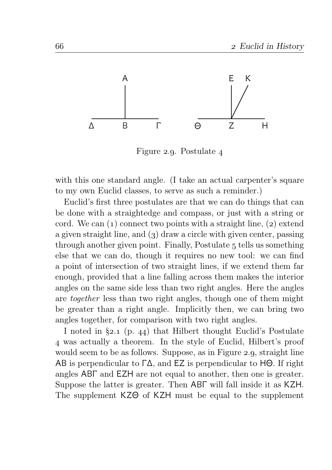

Figure 2.9. Postulate  $4$ 

with this one standard angle. (I take an actual carpenter's square to my own Euclid classes, to serve as such a reminder.)

Euclid's first three postulates are that we can do things that can be done with a straightedge and compass, or just with a string or cord. We can  $(1)$  connect two points with a straight line,  $(2)$  extend a given straight line, and  $(3)$  draw a circle with given center, passing through another given point. Finally, Postulate 5 tells us something else that we can do, though it requires no new tool: we can find a point of intersection of two straight lines, if we extend them far enough, provided that a line falling across them makes the interior angles on the same side less than two right angles. Here the angles are together less than two right angles, though one of them might be greater than a right angle. Implicitly then, we can bring two angles together, for comparison with two right angles.

I noted in  $\S$ 2.1 (p. 44) that Hilbert thought Euclid's Postulate was actually a theorem. In the style of Euclid, Hilbert's proof would seem to be as follows. Suppose, as in Figure 2.9, straight line ΑΒ is perpendicular to Γ∆, and ΕΖ is perpendicular to ΗΘ. If right angles ΑΒΓ and ΕΖΗ are not equal to another, then one is greater. Suppose the latter is greater. Then ΑΒΓ will fall inside it as ΚΖΗ. The supplement ΚΖΘ of ΚΖΗ must be equal to the supplement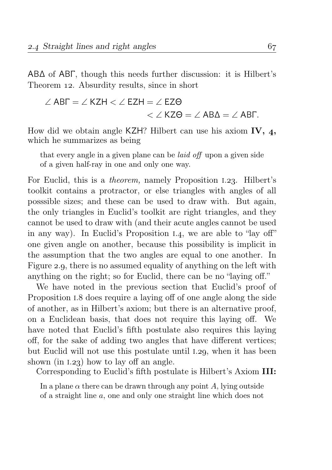ΑΒ∆ of ΑΒΓ, though this needs further discussion: it is Hilbert's Theorem 12. Absurdity results, since in short

$$
\angle ABC = \angle KZH < \angle EZH = \angle EZ\Theta \\
< \angle KZ\Theta = \angle ABA = \angle ABT.
$$

How did we obtain angle KZH? Hilbert can use his axiom IV,  $4$ , which he summarizes as being

that every angle in a given plane can be laid off upon a given side of a given half-ray in one and only one way.

For Euclid, this is a *theorem*, namely Proposition 1.23. Hilbert's toolkit contains a protractor, or else triangles with angles of all posssible sizes; and these can be used to draw with. But again, the only triangles in Euclid's toolkit are right triangles, and they cannot be used to draw with (and their acute angles cannot be used in any way). In Euclid's Proposition I.4, we are able to "lay off" one given angle on another, because this possibility is implicit in the assumption that the two angles are equal to one another. In Figure 2.9, there is no assumed equality of anything on the left with anything on the right; so for Euclid, there can be no "laying off."

We have noted in the previous section that Euclid's proof of Proposition I.8 does require a laying off of one angle along the side of another, as in Hilbert's axiom; but there is an alternative proof, on a Euclidean basis, that does not require this laying off. We have noted that Euclid's fifth postulate also requires this laying off, for the sake of adding two angles that have different vertices; but Euclid will not use this postulate until I.29, when it has been shown (in 1.23) how to lay off an angle.

Corresponding to Euclid's fifth postulate is Hilbert's Axiom III:

In a plane  $\alpha$  there can be drawn through any point A, lying outside of a straight line a, one and only one straight line which does not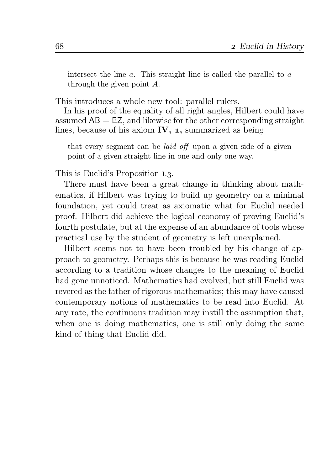intersect the line  $a$ . This straight line is called the parallel to  $a$ through the given point A.

This introduces a whole new tool: parallel rulers.

In his proof of the equality of all right angles, Hilbert could have assumed  $AB = EZ$ , and likewise for the other corresponding straight lines, because of his axiom  $IV$ , 1, summarized as being

that every segment can be laid off upon a given side of a given point of a given straight line in one and only one way.

This is Euclid's Proposition I.3.

There must have been a great change in thinking about mathematics, if Hilbert was trying to build up geometry on a minimal foundation, yet could treat as axiomatic what for Euclid needed proof. Hilbert did achieve the logical economy of proving Euclid's fourth postulate, but at the expense of an abundance of tools whose practical use by the student of geometry is left unexplained.

Hilbert seems not to have been troubled by his change of approach to geometry. Perhaps this is because he was reading Euclid according to a tradition whose changes to the meaning of Euclid had gone unnoticed. Mathematics had evolved, but still Euclid was revered as the father of rigorous mathematics; this may have caused contemporary notions of mathematics to be read into Euclid. At any rate, the continuous tradition may instill the assumption that, when one is doing mathematics, one is still only doing the same kind of thing that Euclid did.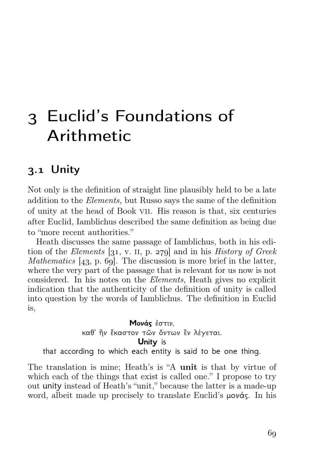# Euclid's Foundations of Arithmetic

## 3.1 Unity

Not only is the definition of straight line plausibly held to be a late addition to the Elements, but Russo says the same of the definition of unity at the head of Book vii. His reason is that, six centuries after Euclid, Iamblichus described the same definition as being due to "more recent authorities."

Heath discusses the same passage of Iamblichus, both in his edition of the Elements  $[31, v. II, p. 279]$  and in his History of Greek Mathematics  $[43, p. 69]$ . The discussion is more brief in the latter, where the very part of the passage that is relevant for us now is not considered. In his notes on the Elements, Heath gives no explicit indication that the authenticity of the definition of unity is called into question by the words of Iamblichus. The definition in Euclid is,

**Μονάς** ἐστιν, καθ᾿ ἣν ἕκαστον τῶν ὄντων ἓν λέγεται. **Unity** is that according to which each entity is said to be one thing.

The translation is mine; Heath's is "A unit is that by virtue of which each of the things that exist is called one." I propose to try out unity instead of Heath's "unit," because the latter is a made-up word, albeit made up precisely to translate Euclid's μονάς. In his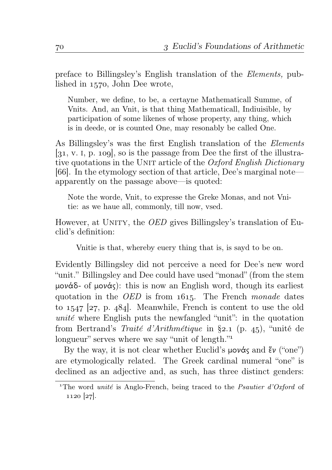preface to Billingsley's English translation of the Elements, published in 1570, John Dee wrote,

Number, we define, to be, a certayne Mathematicall Summe, of Vnits. And, an Vnit, is that thing Mathematicall, Indiuisible, by participation of some likenes of whose property, any thing, which is in deede, or is counted One, may resonably be called One.

As Billingsley's was the first English translation of the Elements  $[31, v. I, p. 109]$ , so is the passage from Dee the first of the illustrative quotations in the UNIT article of the Oxford English Dictionary [66]. In the etymology section of that article, Dee's marginal note apparently on the passage above—is quoted:

Note the worde, Vnit, to expresse the Greke Monas, and not Vnitie: as we haue all, commonly, till now, vsed.

However, at UNITY, the *OED* gives Billingsley's translation of Euclid's definition:

Vnitie is that, whereby euery thing that is, is sayd to be on.

Evidently Billingsley did not perceive a need for Dee's new word "unit." Billingsley and Dee could have used "monad" (from the stem μονάδ- of μονάς): this is now an English word, though its earliest quotation in the  $OED$  is from 1615. The French monade dates to  $1547$  [27, p. 484]. Meanwhile, French is content to use the old unité where English puts the newfangled "unit": in the quotation from Bertrand's Traité d'Arithmétique in  $\S$ 2.1 (p. 45), "unité de longueur" serves where we say "unit of length."

By the way, it is not clear whether Euclid's μονάς and ἕν ("one") are etymologically related. The Greek cardinal numeral "one" is declined as an adjective and, as such, has three distinct genders:

<sup>&</sup>lt;sup>1</sup>The word *unité* is Anglo-French, being traced to the *Psautier d'Oxford* of 1120 27.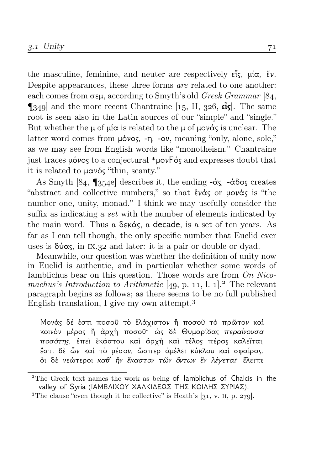the masculine, feminine, and neuter are respectively είς, μία, έν. Despite appearances, these three forms *are* related to one another: each comes from  $\sigma \epsilon \mu$ , according to Smyth's old Greek Grammar [84,  $\P$  and the more recent Chantraine [15, II, 326, **εἶς**]. The same root is seen also in the Latin sources of our "simple" and "single." But whether the μ of μία is related to the μ of μονάς is unclear. The latter word comes from μόνος, -η, -ον, meaning "only, alone, sole," as we may see from English words like "monotheism." Chantraine just traces μόνος to a conjectural \*μονϜός and expresses doubt that it is related to μανός "thin, scanty."

As Smyth  $[84, \P_{354}e]$  describes it, the ending -άς, -άδος creates "abstract and collective numbers," so that  $\epsilon \nu \dot{\alpha}$  or μονάς is "the number one, unity, monad." I think we may usefully consider the suffix as indicating a *set* with the number of elements indicated by the main word. Thus a δεκάς, a decade, is a set of ten years. As far as I can tell though, the only specific number that Euclid ever uses is  $\delta \nu \alpha \varsigma$ , in IX.32 and later: it is a pair or double or dyad.

Meanwhile, our question was whether the definition of unity now in Euclid is authentic, and in particular whether some words of Iamblichus bear on this question. Those words are from On Nicomachus's Introduction to Arithmetic  $[49, p. 11, 1, 1]^2$  The relevant paragraph begins as follows; as there seems to be no full published English translation, I give my own attempt.

Μονὰς δέ ἐστι ποσοῦ τὸ ἐλάχιστον ἢ ποσοῦ τὸ πρῶτον καὶ κοινὸν μέρος ἢ ἀρχὴ ποσοῦ· ὡς δὲ Θυμαρίδας *περαίνουσα ποσότης,* ἐπεὶ ἑκάστου καὶ ἀρχὴ καὶ τέλος πέρας καλεῖται, ἔστι δὲ ὧν καὶ τὸ μέσον, ὥσπερ ἀμέλει κύκλου καὶ σφαίρας. ὁι δὲ νεώτεροι *καθ´ ἣν ἕκαστον τῶν ὄντων ἓν λέγεται·* ἔλειπε

<sup>&</sup>lt;sup>2</sup>The Greek text names the work as being of lamblichus of Chalcis in the valley of Syria (ΙΑΜΒΛΙΧΟΥ ΧΑΛΚΙ∆ΕΩΣ ΤΗΣ ΚΟΙΛΗΣ ΣΥΡΙΑΣ).

<sup>&</sup>lt;sup>3</sup>The clause "even though it be collective" is Heath's  $[31, v. II, p. 279]$ .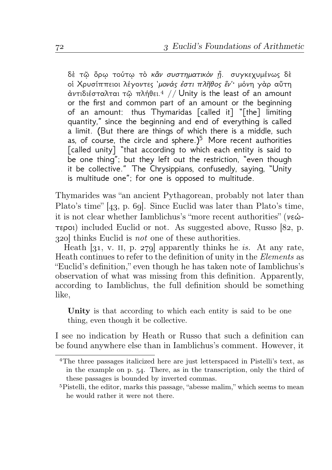δὲ τῷ ὅρῳ τούτῳ τὸ *κἂν συστηματικὸν ᾖ.* συγκεχυμένως δὲ οἱ Χρυσίππειοι λέγοντες '*μονάς ἐστι πλῆθος ἕν*'· μόνη γὰρ αὕτη άντιδιέσταλται τῷ πλήθει.<sup>4</sup> // Unity is the least of an amount or the first and common part of an amount or the beginning of an amount: thus Thymaridas [called it] "[the] limiting quantity," since the beginning and end of everything is called a limit. (But there are things of which there is a middle, such as, of course, the circle and sphere.)<sup>5</sup> More recent authorities [called unity] "that according to which each entity is said to be one thing"; but they left out the restriction, "even though it be collective." The Chrysippians, confusedly, saying, "Unity is multitude one"; for one is opposed to multitude.

Thymarides was "an ancient Pythagorean, probably not later than Plato's time"  $[43, p. 69]$ . Since Euclid was later than Plato's time, it is not clear whether Iamblichus's "more recent authorities" (νεώ- $\tau$ εροι) included Euclid or not. As suggested above, Russo [82, p. ] thinks Euclid is not one of these authorities.

Heath  $[31, v. II, p. 279]$  apparently thinks he is. At any rate, Heath continues to refer to the definition of unity in the Elements as "Euclid's definition," even though he has taken note of Iamblichus's observation of what was missing from this definition. Apparently, according to Iamblichus, the full definition should be something like,

Unity is that according to which each entity is said to be one thing, even though it be collective.

I see no indication by Heath or Russo that such a definition can be found anywhere else than in Iamblichus's comment. However, it

The three passages italicized here are just letterspaced in Pistelli's text, as in the example on p.  $54$ . There, as in the transcription, only the third of these passages is bounded by inverted commas.

Pistelli, the editor, marks this passage, "abesse malim," which seems to mean he would rather it were not there.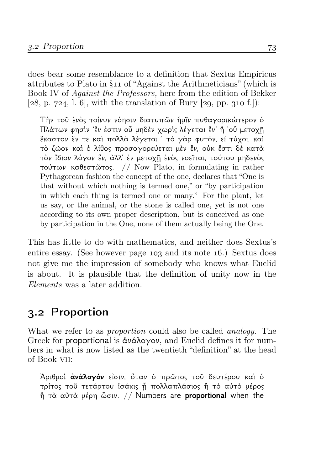does bear some resemblance to a definition that Sextus Empiricus attributes to Plato in  $\S$ 11 of "Against the Arithmeticians" (which is Book IV of Against the Professors, here from the edition of Bekker [ $28$ , p. 724, l. 6], with the translation of Bury [ $29$ , pp.  $310$  f.]):

Τὴν τοῦ ἑνὸς τοίνυν νόησιν διατυπῶν ἡμῖν πυθαγορικώτερον ὁ Πλάτων φησὶν 'ἕν ἐστιν οὗ μηδὲν χωρὶς λέγεται ἕν' ἢ 'οὗ μετοχῇ ἕκαστον ἕν τε καὶ πολλὰ λέγεται.' τὸ γὰρ φυτόν, εἰ τύχοι, καὶ τὸ ζῶον καὶ ὁ λίθος προσαγορεύεται μὲν ἕν, οὐκ ἔστι δὲ κατὰ τὸν ἴδιον λόγον ἕν, ἀλλ´ ἐν μετοχῇ ἑνὸς νοεῖται, τούτου μηδενὸς τούτων καθεστῶτος. // Now Plato, in formulating in rather Pythagorean fashion the concept of the one, declares that "One is that without which nothing is termed one," or "by participation in which each thing is termed one or many." For the plant, let us say, or the animal, or the stone is called one, yet is not one according to its own proper description, but is conceived as one by participation in the One, none of them actually being the One.

This has little to do with mathematics, and neither does Sextus's entire essay. (See however page 103 and its note 16.) Sextus does not give me the impression of somebody who knows what Euclid is about. It is plausible that the definition of unity now in the Elements was a later addition.

# 3.2 Proportion

What we refer to as proportion could also be called analogy. The Greek for proportional is ἀνάλογον, and Euclid defines it for numbers in what is now listed as the twentieth "definition" at the head of Book vii:

᾿Αριθμοὶ **ἀνάλογόν** εἰσιν, ὅταν ὁ πρῶτος τοῦ δευτέρου καὶ ὁ τρίτος τοῦ τετάρτου ἰσάκις ᾖ πολλαπλάσιος ἢ τὸ αὐτὸ μέρος ἢ τὰ αὐτὰ μέρη ὦσιν. // Numbers are **proportional** when the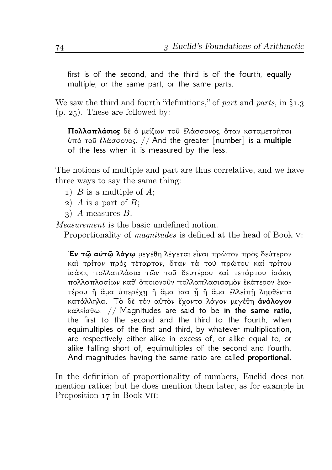first is of the second, and the third is of the fourth, equally multiple, or the same part, or the same parts.

We saw the third and fourth "definitions," of part and parts, in  $\S_{1,3}$  $(p. 25)$ . These are followed by:

**Πολλαπλάσιος** δὲ ὁ μείζων τοῦ ἐλάσσονος, ὅταν καταμετρῆται ὑπὸ τοῦ ἐλάσσονος. // And the greater [number] is a **multiple** of the less when it is measured by the less.

The notions of multiple and part are thus correlative, and we have three ways to say the same thing:

- 1) B is a multiple of A;
- 2)  $A$  is a part of  $B$ ;
- ) A measures B.

Measurement is the basic undefined notion.

Proportionality of *magnitudes* is defined at the head of Book v:

**᾿Εν τῷ αὐτῷ λόγῳ** μεγέθη λέγεται εἶναι πρῶτον πρὸς δεύτερον καὶ τρίτον πρὸς τέταρτον, ὅταν τὰ τοῦ πρώτου καί τρίτου ἰσάκις πολλαπλάσια τῶν τοῦ δευτέρου καὶ τετάρτου ἰσάκις πολλαπλασίων καθ᾿ ὁποιονοῦν πολλαπλασιασμὸν ἑκάτερον ἑκατέρου ἢ ἅμα ὑπερέχῃ ἢ ἅμα ἴσα ᾖ ἢ ἅμα ἐλλείπῇ ληφθέντα κατάλληλα. Τὰ δὲ τὸν αὐτὸν ἔχοντα λόγον μεγέθη **ἀνάλογον** καλείσθω. // Magnitudes are said to be **in the same ratio,** the first to the second and the third to the fourth, when equimultiples of the first and third, by whatever multiplication, are respectively either alike in excess of, or alike equal to, or alike falling short of, equimultiples of the second and fourth. And magnitudes having the same ratio are called **proportional.**

In the definition of proportionality of numbers, Euclid does not mention ratios; but he does mention them later, as for example in Proposition 17 in Book VII: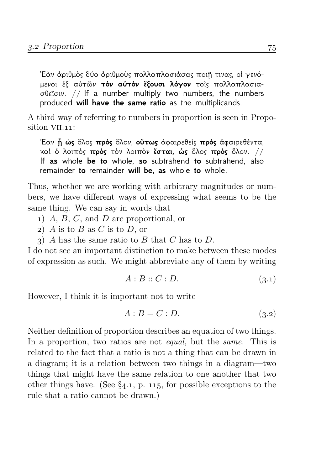᾿Εὰν ἀριθμὸς δύο ἀριθμοὺς πολλαπλασιάσας ποιῇ τινας, οἱ γενόμενοι ἐξ αὐτῶν **τὸν αὐτὸν ἕξουσι λόγον** τοῖς πολλαπλασιασθεῖσιν. // If a number multiply two numbers, the numbers produced **will have the same ratio** as the multiplicands.

A third way of referring to numbers in proportion is seen in Proposition VII 11.

᾿Εαν **ᾖ ὡς** ὅλος **πρὸς** ὅλον, **οὕτως** ἀφαιρεθεὶς **πρὸς** ἀφαιρεθέντα, καὶ ὁ λοιπὸς **πρὸς** τὸν λοιπὸν **ἔσται, ὡς** ὅλος **πρὸς** ὅλον. // If **as** whole **be to** whole, **so** subtrahend **to** subtrahend, also remainder **to** remainder **will be, as** whole **to** whole.

Thus, whether we are working with arbitrary magnitudes or numbers, we have different ways of expressing what seems to be the same thing. We can say in words that

- $A, B, C, \text{ and } D \text{ are proportional, or}$
- 2) A is to B as C is to D, or
- 3) A has the same ratio to B that C has to D.

I do not see an important distinction to make between these modes of expression as such. We might abbreviate any of them by writing

$$
A:B::C:D.\tag{3.1}
$$

However, I think it is important not to write

$$
A:B = C:D.\t\t(3.2)
$$

Neither definition of proportion describes an equation of two things. In a proportion, two ratios are not *equal*, but the *same*. This is related to the fact that a ratio is not a thing that can be drawn in a diagram; it is a relation between two things in a diagram—two things that might have the same relation to one another that two other things have. (See  $\S$ 4.1, p. 115, for possible exceptions to the rule that a ratio cannot be drawn.)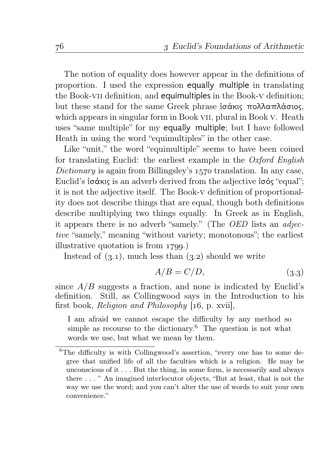The notion of equality does however appear in the definitions of proportion. I used the expression equally multiple in translating the Book-vii definition, and equimultiples in the Book-v definition; but these stand for the same Greek phrase ἰσάκις πολλαπλάσιος, which appears in singular form in Book VII, plural in Book V. Heath uses "same multiple" for my equally multiple; but I have followed Heath in using the word "equimultiples" in the other case.

Like "unit," the word "equimultiple" seems to have been coined for translating Euclid: the earliest example in the Oxford English  $Dictionary$  is again from Billingsley's  $1570$  translation. In any case, Euclid's ἰσάκις is an adverb derived from the adjective ἰσός "equal"; it is not the adjective itself. The Book-v definition of proportionality does not describe things that are equal, though both definitions describe multiplying two things equally. In Greek as in English, it appears there is no adverb "samely." (The OED lists an adjective "samely," meaning "without variety; monotonous"; the earliest illustrative quotation is from  $1799$ .

Instead of  $(3.1)$ , much less than  $(3.2)$  should we write

$$
A/B = C/D,\t\t(3.3)
$$

since  $A/B$  suggests a fraction, and none is indicated by Euclid's definition. Still, as Collingwood says in the Introduction to his first book, Religion and Philosophy  $[16, p. xvii]$ ,

I am afraid we cannot escape the difficulty by any method so simple as recourse to the dictionary.<sup> $6$ </sup> The question is not what words we use, but what we mean by them.

 ${}^{6}$ The difficulty is with Collingwood's assertion, "every one has to some degree that unified life of all the faculties which is a religion. He may be unconscious of it . . . But the thing, in some form, is necessarily and always there . . . " An imagined interlocutor objects, "But at least, that is not the way we use the word; and you can't alter the use of words to suit your own convenience."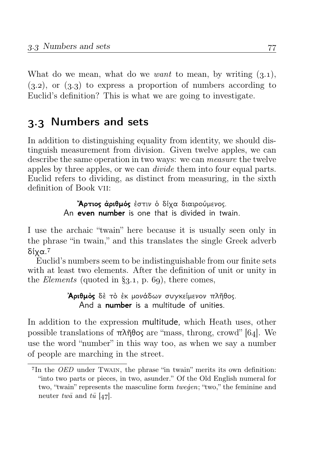What do we mean, what do we want to mean, by writing  $(3.1)$ ,  $(3.2)$ , or  $(3.3)$  to express a proportion of numbers according to Euclid's definition? This is what we are going to investigate.

### . Numbers and sets

In addition to distinguishing equality from identity, we should distinguish measurement from division. Given twelve apples, we can describe the same operation in two ways: we can *measure* the twelve apples by three apples, or we can *divide* them into four equal parts. Euclid refers to dividing, as distinct from measuring, in the sixth definition of Book vii:

> **῎Αρτιος ἀριθμός** ἐστιν ὁ δίχα διαιρούμενος. An **even number** is one that is divided in twain.

I use the archaic "twain" here because it is usually seen only in the phrase "in twain," and this translates the single Greek adverb δίχα.<sup>7</sup>

Euclid's numbers seem to be indistinguishable from our finite sets with at least two elements. After the definition of unit or unity in the *Elements* (quoted in  $\S$ 3.1, p. 69), there comes,

> **᾿Αριθμὸς** δὲ τὸ ἐκ μονάδων συγκείμενον πλῆθος. And a **number** is a multitude of unities.

In addition to the expression multitude, which Heath uses, other possible translations of πλήθος are "mass, throng, crowd" [64]. We use the word "number" in this way too, as when we say a number of people are marching in the street.

 $7$ In the OED under TWAIN, the phrase "in twain" merits its own definition: "into two parts or pieces, in two, asunder." Of the Old English numeral for two, "twain" represents the masculine form *twegen*; "two," the feminine and neuter  $tw\bar{a}$  and  $t\bar{u}$  [47].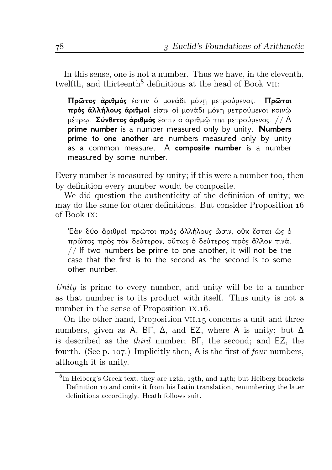In this sense, one is not a number. Thus we have, in the eleventh, twelfth, and thirteenth<sup>8</sup> definitions at the head of Book VII:

**Πρῶτος ἀριθμός** ἐστιν ὁ μονάδι μόνῃ μετρούμενος. **Πρῶτοι πρὸς ἀλλήλους ἀριθμοί** εἰσιν οἱ μονάδι μόνῃ μετρούμενοι κοινῷ μέτρῳ. **Σύνθετος ἀριθμός** ἐστιν ὁ ἀριθμῷ τινι μετρούμενος. // A **prime number** is a number measured only by unity. **Numbers prime to one another** are numbers measured only by unity as a common measure. A **composite number** is a number measured by some number.

Every number is measured by unity; if this were a number too, then by definition every number would be composite.

We did question the authenticity of the definition of unity; we may do the same for other definitions. But consider Proposition of Book ix:

᾿Εὰν δύο ἀριθμοὶ πρῶτοι πρὸς ἀλλήλους ὦσιν, οὐκ ἔσται ὡς ὁ πρῶτος πρὸς τὸν δεύτερον, οὕτως ὁ δεύτερος πρὸς ἄλλον τινά. // If two numbers be prime to one another, it will not be the case that the first is to the second as the second is to some other number.

Unity is prime to every number, and unity will be to a number as that number is to its product with itself. Thus unity is not a number in the sense of Proposition IX.16.

On the other hand, Proposition VII.15 concerns a unit and three numbers, given as A, BΓ,  $\Delta$ , and EZ, where A is unity; but  $\Delta$ is described as the third number; ΒΓ, the second; and ΕΖ, the fourth. (See p. 107.) Implicitly then, A is the first of *four* numbers, although it is unity.

 ${}^{8}$ In Heiberg's Greek text, they are 12th, 13th, and 14th; but Heiberg brackets Definition 10 and omits it from his Latin translation, renumbering the later definitions accordingly. Heath follows suit.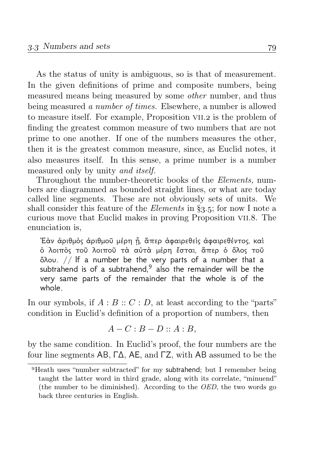As the status of unity is ambiguous, so is that of measurement. In the given definitions of prime and composite numbers, being measured means being measured by some other number, and thus being measured a number of times. Elsewhere, a number is allowed to measure itself. For example, Proposition VII.2 is the problem of finding the greatest common measure of two numbers that are not prime to one another. If one of the numbers measures the other, then it is the greatest common measure, since, as Euclid notes, it also measures itself. In this sense, a prime number is a number measured only by unity *and itself.* 

Throughout the number-theoretic books of the Elements, numbers are diagrammed as bounded straight lines, or what are today called line segments. These are not obviously sets of units. We shall consider this feature of the *Elements* in  $\S$ 3.5; for now I note a curious move that Euclid makes in proving Proposition VII.8. The enunciation is,

᾿Εὰν ἀριθμὸς ἀριθμοῦ μέρη ᾖ, ἅπερ ἀφαιρεθεὶς ἀφαιρεθέντος, καὶ ὁ λοιπὸς τοῦ λοιποῦ τὰ αὐτὰ μέρη ἔσται, ἅπερ ὁ ὅλος τοῦ ὅλου. // If a number be the very parts of a number that a subtrahend is of a subtrahend,  $9$  also the remainder will be the very same parts of the remainder that the whole is of the whole.

In our symbols, if  $A : B :: C : D$ , at least according to the "parts" condition in Euclid's definition of a proportion of numbers, then

$$
A-C:B-D::A:B,
$$

by the same condition. In Euclid's proof, the four numbers are the four line segments ΑΒ, Γ∆, ΑΕ, and ΓΖ, with ΑΒ assumed to be the

<sup>&</sup>lt;sup>9</sup>Heath uses "number subtracted" for my subtrahend; but I remember being taught the latter word in third grade, along with its correlate, "minuend" (the number to be diminished). According to the OED, the two words go back three centuries in English.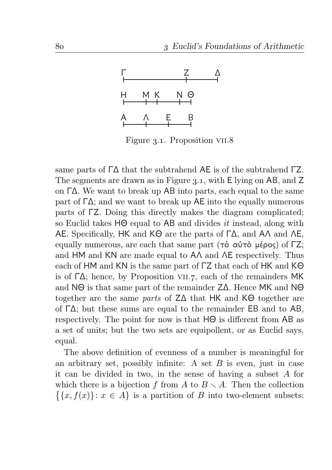

Figure 3.1. Proposition VII.8

same parts of Γ∆ that the subtrahend ΑΕ is of the subtrahend ΓΖ. The segments are drawn as in Figure 3.1, with E lying on AB, and Z on Γ∆. We want to break up ΑΒ into parts, each equal to the same part of  $\Gamma\Delta$ ; and we want to break up AE into the equally numerous parts of ΓΖ. Doing this directly makes the diagram complicated; so Euclid takes  $H\Theta$  equal to AB and divides *it* instead, along with ΑΕ. Specifically, ΗΚ and ΚΘ are the parts of Γ∆, and ΑΛ and ΛΕ, equally numerous, are each that same part (τὸ αὐτὸ μέρος) of ΓΖ; and ΗΜ and ΚΝ are made equal to ΑΛ and ΛΕ respectively. Thus each of ΗΜ and ΚΝ is the same part of ΓΖ that each of ΗΚ and ΚΘ is of  $\Gamma\Delta$ ; hence, by Proposition VII.7, each of the remainders MK and ΝΘ is that same part of the remainder Ζ∆. Hence ΜΚ and ΝΘ together are the same parts of Ζ∆ that ΗΚ and ΚΘ together are of Γ∆; but these sums are equal to the remainder ΕΒ and to ΑΒ, respectively. The point for now is that ΗΘ is different from ΑΒ as a set of units; but the two sets are equipollent, or as Euclid says, equal.

The above definition of evenness of a number is meaningful for an arbitrary set, possibly infinite: A set  $B$  is even, just in case it can be divided in two, in the sense of having a subset A for which there is a bijection f from A to  $B \setminus A$ . Then the collection  $\{\{x, f(x)\}: x \in A\}$  is a partition of B into two-element subsets: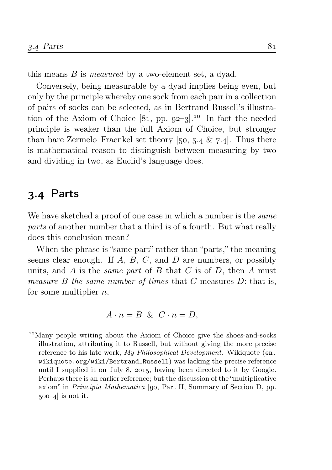this means  $B$  is *measured* by a two-element set, a dyad.

Conversely, being measurable by a dyad implies being even, but only by the principle whereby one sock from each pair in a collection of pairs of socks can be selected, as in Bertrand Russell's illustration of the Axiom of Choice  $[81, pp. 92-3]$ .<sup>10</sup> In fact the needed principle is weaker than the full Axiom of Choice, but stronger than bare Zermelo–Fraenkel set theory [50, 5.4  $\&$  7.4]. Thus there is mathematical reason to distinguish between measuring by two and dividing in two, as Euclid's language does.

#### 3.4 Parts

We have sketched a proof of one case in which a number is the *same* parts of another number that a third is of a fourth. But what really does this conclusion mean?

When the phrase is "same part" rather than "parts," the meaning seems clear enough. If  $A, B, C$ , and  $D$  are numbers, or possibly units, and  $A$  is the *same part* of  $B$  that  $C$  is of  $D$ , then  $A$  must measure  $B$  the same number of times that  $C$  measures  $D$ : that is, for some multiplier  $n$ ,

$$
A \cdot n = B \& C \cdot n = D,
$$

<sup>&</sup>lt;sup>10</sup>Many people writing about the Axiom of Choice give the shoes-and-socks illustration, attributing it to Russell, but without giving the more precise reference to his late work, My Philosophical Development. Wikiquote (en. wikiquote.org/wiki/Bertrand\_Russell) was lacking the precise reference until I supplied it on July 8,  $2015$ , having been directed to it by Google. Perhaps there is an earlier reference; but the discussion of the "multiplicative axiom" in *Principia Mathematica*  $[90, Part II, Summary of Section D, pp.$  $500-4$  is not it.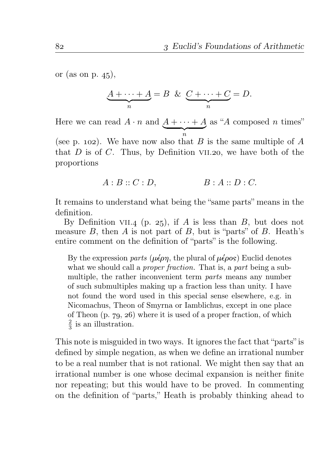or (as on p.  $45$ ),

$$
\underbrace{A + \dots + A}_{n} = B \& \underbrace{C + \dots + C}_{n} = D.
$$

Here we can read  $A \cdot n$  and  $\underbrace{A + \cdots + A}_{n}$ as " $A$  composed  $n$  times" (see p. 102). We have now also that  $B$  is the same multiple of  $A$ 

that  $D$  is of  $C$ . Thus, by Definition VII.20, we have both of the proportions

$$
A:B::C:D, \qquad B:A::D:C.
$$

It remains to understand what being the "same parts" means in the definition.

By Definition VII.4 (p. 25), if A is less than B, but does not measure  $B$ , then  $A$  is not part of  $B$ , but is "parts" of  $B$ . Heath's entire comment on the definition of "parts" is the following.

By the expression parts ( $\mu \epsilon \rho \eta$ , the plural of  $\mu \epsilon \rho \rho \delta$ ) Euclid denotes what we should call a *proper fraction*. That is, a part being a submultiple, the rather inconvenient term *parts* means any number of such submultiples making up a fraction less than unity. I have not found the word used in this special sense elsewhere, e.g. in Nicomachus, Theon of Smyrna or Iamblichus, except in one place of Theon  $(p, 79, 26)$  where it is used of a proper fraction, of which  $rac{2}{3}$  is an illustration.

This note is misguided in two ways. It ignores the fact that "parts" is defined by simple negation, as when we define an irrational number to be a real number that is not rational. We might then say that an irrational number is one whose decimal expansion is neither finite nor repeating; but this would have to be proved. In commenting on the definition of "parts," Heath is probably thinking ahead to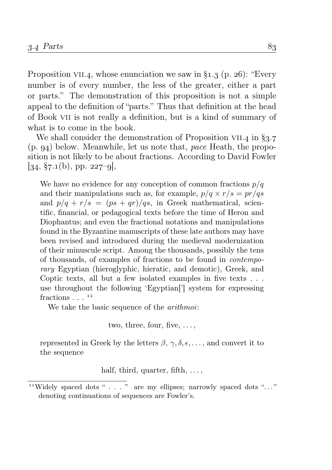Proposition VII.4, whose enunciation we saw in  $\S$ 1.3 (p. 26): "Every number is of every number, the less of the greater, either a part or parts." The demonstration of this proposition is not a simple appeal to the definition of "parts." Thus that definition at the head of Book vii is not really a definition, but is a kind of summary of what is to come in the book.

We shall consider the demonstration of Proposition VII.4 in  $\S$ 3.7  $(p. 94)$  below. Meanwhile, let us note that, pace Heath, the proposition is not likely to be about fractions. According to David Fowler  $[34, \, \frac{6}{7} \cdot 1(b), \, \text{pp.} \, 227 - 9],$ 

We have no evidence for any conception of common fractions  $p/q$ and their manipulations such as, for example,  $p/q \times r/s = pr/gs$ and  $p/q + r/s = (ps + qr)/qs$ , in Greek mathematical, scientific, financial, or pedagogical texts before the time of Heron and Diophantus; and even the fractional notations and manipulations found in the Byzantine manuscripts of these late authors may have been revised and introduced during the medieval modernization of their minuscule script. Among the thousands, possibly the tens of thousands, of examples of fractions to be found in contemporary Egyptian (hieroglyphic, hieratic, and demotic), Greek, and Coptic texts, all but a few isolated examples in five texts . . . use throughout the following 'Egyptian['] system for expressing fractions . . .  $^{\rm ^{11}}$ 

We take the basic sequence of the *arithmoi*:

two, three, four, five,  $\dots$ ,

represented in Greek by the letters  $\beta$ ,  $\gamma$ ,  $\delta$ ,  $\epsilon$ , ..., and convert it to the sequence

half, third, quarter, fifth,  $\dots$ ,

<sup>11</sup>Widely spaced dots "..." are my ellipses; narrowly spaced dots "..." denoting continuations of sequences are Fowler's.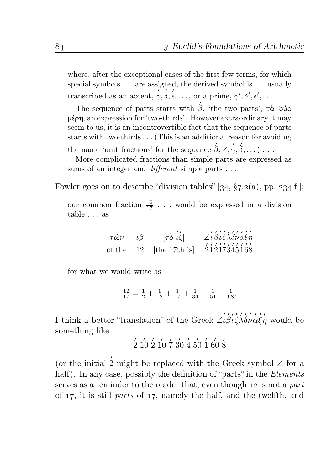where, after the exceptional cases of the first few terms, for which special symbols . . . are assigned, the derived symbol is . . . usually transcribed as an accent,  $\gamma, \delta, \epsilon, \ldots$ , or a prime,  $\gamma', \delta', \epsilon', \ldots$ 

The sequence of parts starts with  $\beta$ , 'the two parts', τὰ δύο μέρη, an expression for 'two-thirds'. However extraordinary it may seem to us, it is an incontrovertible fact that the sequence of parts starts with two-thirds . . . (This is an additional reason for avoiding the name 'unit fractions' for the sequence  $\beta, \angle, \gamma, \dot{\delta}, \dots$ )...

More complicated fractions than simple parts are expressed as sums of an integer and *different* simple parts . . .

Fowler goes on to describe "division tables"  $[34, \, §7.2(a), \, pp. \, 234 \, \text{f.}]$ :

our common fraction  $\frac{12}{17}$ ... would be expressed in a division table . . . as

| $\tau \hat{\omega} \nu$ | $\iota\beta$ | $[\tau \delta \; \vec{i} \zeta]$ | , , , , , , , , , ,<br>∠ιβιζλδνα <i>ξη</i> |
|-------------------------|--------------|----------------------------------|--------------------------------------------|
| of the                  | 12           | [the 17th is]                    | , , , , , , , , , , ,<br>21217345168       |

for what we would write as

$$
\frac{12}{17} = \frac{1}{2} + \frac{1}{12} + \frac{1}{17} + \frac{1}{34} + \frac{1}{51} + \frac{1}{68}.
$$

I think a better "translation" of the Greek ∠ ′ ι ′ β ′ ι ′ ζ ′ λ ′  $\delta$ ′ ν ′ α ′ ξ  $\eta'$  would be something like

> ′ 2 ′ 10 ′ 2 ′ 10 ′ 7 ′ 30 ′ 4 ′ 50 ′ 1 ′ 60 ′ 8

(or the initial 2 might be replaced with the Greek symbol ∠ for a half). In any case, possibly the definition of "parts" in the Elements serves as a reminder to the reader that, even though 12 is not a part of  $17$ , it is still parts of  $17$ , namely the half, and the twelfth, and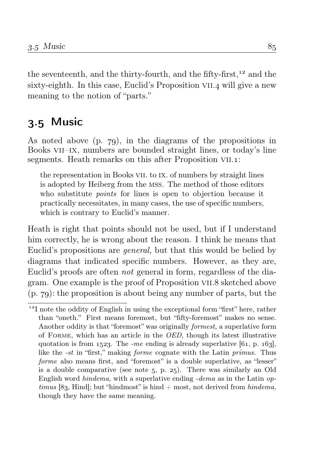the seventeenth, and the thirty-fourth, and the fifty-first,  $12$  and the sixty-eighth. In this case, Euclid's Proposition VII.4 will give a new meaning to the notion of "parts."

### 3.5 Music

As noted above  $(p, 79)$ , in the diagrams of the propositions in Books VII–IX, numbers are bounded straight lines, or today's line segments. Heath remarks on this after Proposition VII.1:

the representation in Books vii. to ix. of numbers by straight lines is adopted by Heiberg from the mss. The method of those editors who substitute *points* for lines is open to objection because it practically necessitates, in many cases, the use of specific numbers, which is contrary to Euclid's manner.

Heath is right that points should not be used, but if I understand him correctly, he is wrong about the reason. I think he means that Euclid's propositions are *general*, but that this would be belied by diagrams that indicated specific numbers. However, as they are, Euclid's proofs are often *not* general in form, regardless of the diagram. One example is the proof of Proposition VII.8 sketched above  $(p, 79)$ : the proposition is about being any number of parts, but the

 $12$ I note the oddity of English in using the exceptional form "first" here, rather than "oneth." First means foremost, but "fifty-foremost" makes no sense. Another oddity is that "foremost" was originally formest, a superlative form of Forme, which has an article in the OED, though its latest illustrative quotation is from 1523. The -me ending is already superlative  $[61, p. 163]$ , like the  $-st$  in "first," making *forme* cognate with the Latin  $\overline{pr}$ *mus*. Thus forme also means first, and "foremost" is a double superlative, as "lesser" is a double comparative (see note  $5, p. 25$ ). There was similarly an Old English word *hindema*, with a superlative ending  $-dema$  as in the Latin op*timus* [83, Hind]; but "hindmost" is hind  $+$  most, not derived from *hindema*, though they have the same meaning.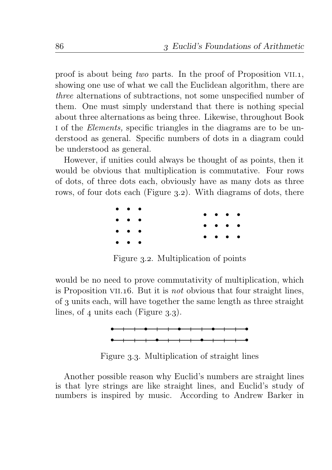proof is about being two parts. In the proof of Proposition VII.1, showing one use of what we call the Euclidean algorithm, there are three alternations of subtractions, not some unspecified number of them. One must simply understand that there is nothing special about three alternations as being three. Likewise, throughout Book I of the *Elements*, specific triangles in the diagrams are to be understood as general. Specific numbers of dots in a diagram could be understood as general.

However, if unities could always be thought of as points, then it would be obvious that multiplication is commutative. Four rows of dots, of three dots each, obviously have as many dots as three rows, of four dots each (Figure  $3.2$ ). With diagrams of dots, there

| $\bullet\quad\bullet\quad\bullet$ |  |  |  |                                               |  |
|-----------------------------------|--|--|--|-----------------------------------------------|--|
| $\bullet\quad\bullet\quad\bullet$ |  |  |  | $\bullet\quad\bullet\quad\bullet\quad\bullet$ |  |
|                                   |  |  |  | $\bullet\quad\bullet\quad\bullet\quad\bullet$ |  |
| $\bullet\quad\bullet\quad\bullet$ |  |  |  | $\bullet\quad\bullet\quad\bullet\quad\bullet$ |  |
| $\bullet\quad\bullet\quad\bullet$ |  |  |  |                                               |  |

Figure 3.2. Multiplication of points

would be no need to prove commutativity of multiplication, which is Proposition VII.16. But it is *not* obvious that four straight lines, of 3 units each, will have together the same length as three straight lines, of 4 units each (Figure  $3.3$ ).



Figure 3.3. Multiplication of straight lines

Another possible reason why Euclid's numbers are straight lines is that lyre strings are like straight lines, and Euclid's study of numbers is inspired by music. According to Andrew Barker in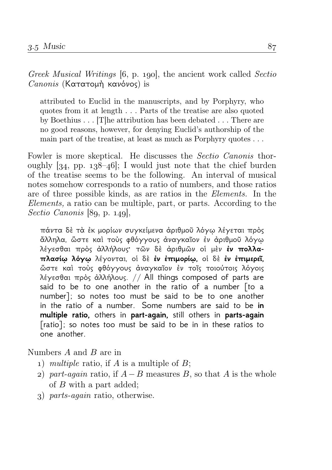Greek Musical Writings [6, p. 190], the ancient work called Sectio Canonis (Κατατομὴ κανόνος) is

attributed to Euclid in the manuscripts, and by Porphyry, who quotes from it at length . . . Parts of the treatise are also quoted by Boethius . . . [T]he attribution has been debated . . . There are no good reasons, however, for denying Euclid's authorship of the main part of the treatise, at least as much as Porphyry quotes . . .

Fowler is more skeptical. He discusses the *Sectio Canonis* thoroughly  $[34, pp. 138-46]$ : I would just note that the chief burden of the treatise seems to be the following. An interval of musical notes somehow corresponds to a ratio of numbers, and those ratios are of three possible kinds, as are ratios in the Elements. In the Elements, a ratio can be multiple, part, or parts. According to the Sectio Canonis [89, p. 149],

πάντα δὲ τὰ ἐκ μορίων συγκείμενα ἀριθμοῦ λόγῳ λέγεται πρὸς ἄλληλα, ὥστε καὶ τοὺς φθόγγους ἀναγκαῖον ἐν ἀριθμοῦ λόγῳ λέγεσθαι πρὸς ἀλλήλους· τῶν δὲ ἀριθμῶν οἱ μὲν **ἐν πολλαπλασίῳ λόγῳ** λέγονται, οἱ δὲ **ἐν ἐπιμορίῳ,** οἱ δὲ **ἐν ἐπιμερεῖ,** ὥστε καὶ τοὺς φθόγγους ἀναγκαῖον ἐν τοῖς τοιούτοις λόγοις λέγεσθαι πρὸς ἀλλήλους. // All things composed of parts are said to be to one another in the ratio of a number [to a number]; so notes too must be said to be to one another in the ratio of a number. Some numbers are said to be **in multiple ratio,** others in **part-again,** still others in **parts-again** [ratio]; so notes too must be said to be in in these ratios to one another.

Numbers  $A$  and  $B$  are in

- 1) multiple ratio, if A is a multiple of  $B$ ;
- 2) part-again ratio, if  $A B$  measures B, so that A is the whole of B with a part added;
- ) parts-again ratio, otherwise.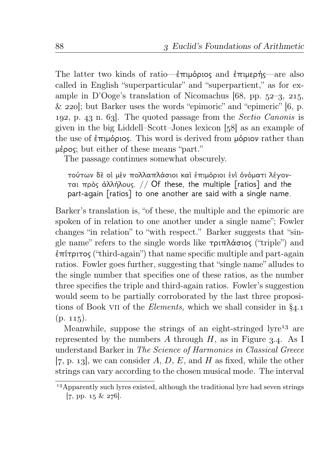The latter two kinds of ratio—ἐπιμόριος and ἐπιμερής—are also called in English "superparticular" and "superpartient," as for example in D'Ooge's translation of Nicomachus  $[68, pp. 52-3, 215,$  $\&$  220: but Barker uses the words "epimoric" and "epimeric" [6, p. 192, p. 43 n.  $63$ . The quoted passage from the Sectio Canonis is given in the big Liddell–Scott–Jones lexicon  $[58]$  as an example of the use of ἐπιμόριος. This word is derived from μόριον rather than μέρος; but either of these means "part."

The passage continues somewhat obscurely.

τούτων δὲ οἱ μὲν πολλαπλάσιοι καὶ ἐπιμόριοι ἑνὶ ὀνόματι λέγονται πρὸς ἀλλήλους. // Of these, the multiple [ratios] and the part-again [ratios] to one another are said with a single name.

Barker's translation is, "of these, the multiple and the epimoric are spoken of in relation to one another under a single name"; Fowler changes "in relation" to "with respect." Barker suggests that "single name" refers to the single words like τριπλάσιος ("triple") and ἐπίτριτος ("third-again") that name specific multiple and part-again ratios. Fowler goes further, suggesting that "single name" alludes to the single number that specifies one of these ratios, as the number three specifies the triple and third-again ratios. Fowler's suggestion would seem to be partially corroborated by the last three propositions of Book VII of the *Elements*, which we shall consider in  $\S_{4.1}$  $(p. 115).$ 

Meanwhile, suppose the strings of an eight-stringed  $\rm lyr^{23}$  are represented by the numbers  $A$  through  $H$ , as in Figure 3.4. As I understand Barker in The Science of Harmonics in Classical Greece [7, p. 13], we can consider A, D, E, and H as fixed, while the other strings can vary according to the chosen musical mode. The interval

 $13$ Apparently such lyres existed, although the traditional lyre had seven strings  $[7, pp. 15 \& 276].$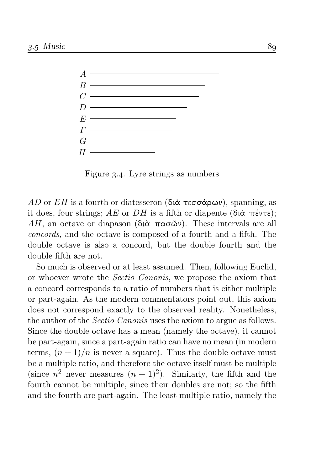

Figure 3.4. Lyre strings as numbers

 $AD$  or  $EH$  is a fourth or diatesseron (διά τεσσάρων), spanning, as it does, four strings; AE or DH is a fifth or diapente (διά πέντε);  $AH$ , an octave or diapason (διά πασῶν). These intervals are all concords, and the octave is composed of a fourth and a fifth. The double octave is also a concord, but the double fourth and the double fifth are not.

So much is observed or at least assumed. Then, following Euclid, or whoever wrote the Sectio Canonis, we propose the axiom that a concord corresponds to a ratio of numbers that is either multiple or part-again. As the modern commentators point out, this axiom does not correspond exactly to the observed reality. Nonetheless, the author of the Sectio Canonis uses the axiom to argue as follows. Since the double octave has a mean (namely the octave), it cannot be part-again, since a part-again ratio can have no mean (in modern terms,  $(n+1)/n$  is never a square). Thus the double octave must be a multiple ratio, and therefore the octave itself must be multiple (since  $n^2$  never measures  $(n + 1)^2$ ). Similarly, the fifth and the fourth cannot be multiple, since their doubles are not; so the fifth and the fourth are part-again. The least multiple ratio, namely the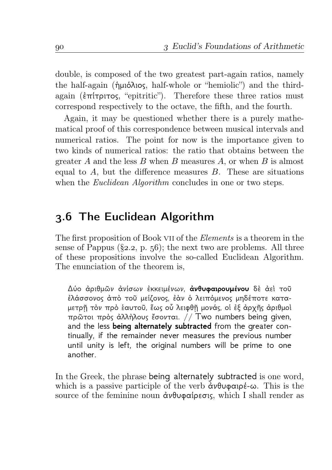double, is composed of the two greatest part-again ratios, namely the half-again (ἡμιόλιος, half-whole or "hemiolic") and the thirdagain (ἐπίτριτος, "epitritic"). Therefore these three ratios must correspond respectively to the octave, the fifth, and the fourth.

Again, it may be questioned whether there is a purely mathematical proof of this correspondence between musical intervals and numerical ratios. The point for now is the importance given to two kinds of numerical ratios: the ratio that obtains between the greater  $A$  and the less  $B$  when  $B$  measures  $A$ , or when  $B$  is almost equal to  $A$ , but the difference measures  $B$ . These are situations when the *Euclidean Algorithm* concludes in one or two steps.

# . The Euclidean Algorithm

The first proposition of Book vii of the Elements is a theorem in the sense of Pappus  $(\S2.2, p. 56)$ ; the next two are problems. All three of these propositions involve the so-called Euclidean Algorithm. The enunciation of the theorem is,

∆ύο ἀριθμῶν ἀνίσων ἐκκειμένων, **ἀνθυφαιρουμένου** δὲ ἀεὶ τοῦ ἐλάσσονος ἀπὸ τοῦ μείζονος, ἐὰν ὁ λειπόμενος μηδέποτε καταμετρῇ τὸν πρὸ ἑαυτοῦ, ἕως οὗ λειφθῇ μονάς, οἱ ἐξ ἀρχῆς ἀριθμοὶ πρῶτοι πρὸς ἀλλὴλους ἔσονται. // Two numbers being given, and the less **being alternately subtracted** from the greater continually, if the remainder never measures the previous number until unity is left, the original numbers will be prime to one another.

In the Greek, the phrase being alternately subtracted is one word, which is a passive participle of the verb ἀνθυφαιρέ-ω. This is the source of the feminine noun ἀνθυφαίρεσις, which I shall render as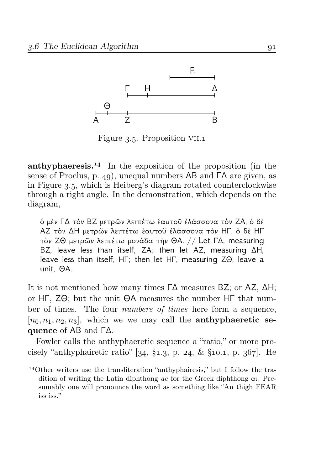

Figure 3.5. Proposition VII.1

anthyphaeresis.<sup>14</sup> In the exposition of the proposition (in the sense of Proclus, p. 49), unequal numbers  $AB$  and  $\Gamma\Delta$  are given, as in Figure 3.5, which is Heiberg's diagram rotated counterclockwise through a right angle. In the demonstration, which depends on the diagram,

ὁ μὲν Γ∆ τὸν ΒΖ μετρῶν λειπέτω ἑαυτοῦ ἐλάσσονα τὸν ΖΑ, ὁ δὲ ΑΖ τὸν ∆Η μετρῶν λειπέτω ἑαυτοῦ ἐλάσσονα τὸν ΗΓ, ὁ δὲ ΗΓ τὸν ΖΘ μετρῶν λειπέτω μονάδα τὴν ΘΑ. // Let Γ∆, measuring ΒΖ, leave less than itself, ΖΑ; then let ΑΖ, measuring ∆Η, leave less than itself, ΗΓ; then let ΗΓ, measuring ΖΘ, leave a unit, ΘΑ.

It is not mentioned how many times Γ∆ measures ΒΖ; or ΑΖ, ∆Η; or ΗΓ, ΖΘ; but the unit ΘΑ measures the number ΗΓ that number of times. The four *numbers of times* here form a sequence,  $[n_0, n_1, n_2, n_3]$ , which we we may call the **anthyphaeretic se**quence of ΑΒ and Γ∆.

Fowler calls the anthyphaeretic sequence a "ratio," or more precisely "anthyphairetic ratio"  $[34, 9, 1, 3, p. 24, 8, 9, 10, 1, p. 367]$ . He

 $14$ Other writers use the transliteration "anthyphairesis," but I follow the tradition of writing the Latin diphthong ae for the Greek diphthong  $\alpha$ . Presumably one will pronounce the word as something like "An thigh FEAR iss iss."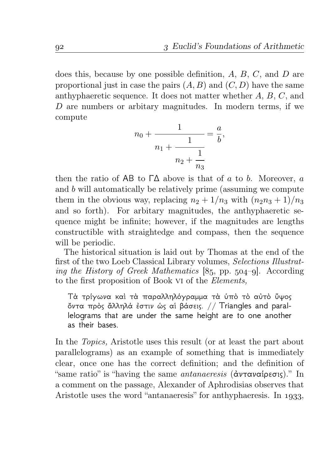does this, because by one possible definition, A, B, C, and D are proportional just in case the pairs  $(A, B)$  and  $(C, D)$  have the same anthyphaeretic sequence. It does not matter whether A, B, C, and  $D$  are numbers or arbitary magnitudes. In modern terms, if we compute

$$
n_0 + \cfrac{1}{n_1 + \cfrac{1}{n_2 + \cfrac{1}{n_3}}} = \frac{a}{b},
$$

then the ratio of AB to  $\Gamma\Delta$  above is that of a to b. Moreover, a and b will automatically be relatively prime (assuming we compute them in the obvious way, replacing  $n_2 + 1/n_3$  with  $(n_2n_3 + 1)/n_3$ and so forth). For arbitary magnitudes, the anthyphaeretic sequence might be infinite; however, if the magnitudes are lengths constructible with straightedge and compass, then the sequence will be periodic.

The historical situation is laid out by Thomas at the end of the first of the two Loeb Classical Library volumes, Selections Illustrating the History of Greek Mathematics  $[85, pp. 504-9]$ . According to the first proposition of Book vi of the Elements,

Τὰ τρίγωνα καὶ τὰ παραλληλόγραμμα τὰ ὑπὸ τὸ αὐτὸ ὕψος ὄντα πρὸς ἄλληλά ἐστιν ὡς αἱ βάσεις. // Triangles and parallelograms that are under the same height are to one another as their bases.

In the *Topics*, Aristotle uses this result (or at least the part about parallelograms) as an example of something that is immediately clear, once one has the correct definition; and the definition of "same ratio" is "having the same *antanaeresis* ( $\alpha$ νταναίρεσις)." In a comment on the passage, Alexander of Aphrodisias observes that Aristotle uses the word "antanaeresis" for anthyphaeresis. In 1933,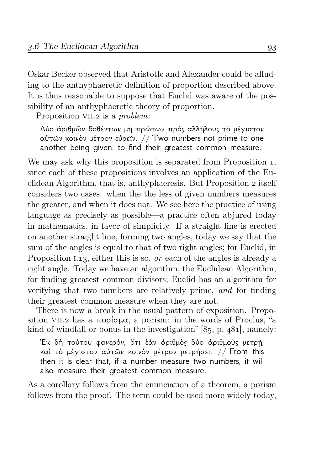Oskar Becker observed that Aristotle and Alexander could be alluding to the anthyphaeretic definition of proportion described above. It is thus reasonable to suppose that Euclid was aware of the possibility of an anthyphaeretic theory of proportion.

Proposition VII.2 is a *problem*:

∆ύο ἀριθμῶν δοθέντων μὴ πρώτων πρὸς ἀλλήλους τὸ μέγιστον αὐτῶν κοινὸν μέτρον εὑρεῖν. // Two numbers not prime to one another being given, to find their greatest common measure.

We may ask why this proposition is separated from Proposition 1, since each of these propositions involves an application of the Euclidean Algorithm, that is, anthyphaeresis. But Proposition 2 itself considers two cases: when the the less of given numbers measures the greater, and when it does not. We see here the practice of using language as precisely as possible—a practice often abjured today in mathematics, in favor of simplicity. If a straight line is erected on another straight line, forming two angles, today we say that the sum of the angles is equal to that of two right angles; for Euclid, in Proposition I.13, either this is so, *or* each of the angles is already a right angle. Today we have an algorithm, the Euclidean Algorithm, for finding greatest common divisors; Euclid has an algorithm for verifying that two numbers are relatively prime, and for finding their greatest common measure when they are not.

There is now a break in the usual pattern of exposition. Proposition VII.2 has a πορίσμα, a porism: in the words of Proclus, "a kind of windfall or bonus in the investigation"  $[85, p. 481]$ , namely:

᾿Εκ δὴ τούτου φανερόν, ὅτι ἐὰν ἀριθμὸς δύο ἀριθμοὺς μετρῇ, καὶ τὸ μέγιστον αὐτῶν κοινὸν μέτρον μετρήσει. // From this then it is clear that, if a number measure two numbers, it will also measure their greatest common measure.

As a corollary follows from the enunciation of a theorem, a porism follows from the proof. The term could be used more widely today,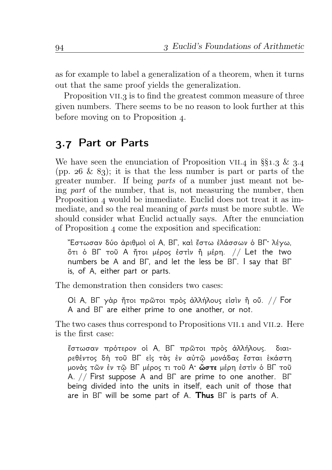as for example to label a generalization of a theorem, when it turns out that the same proof yields the generalization.

Proposition VII.3 is to find the greatest common measure of three given numbers. There seems to be no reason to look further at this before moving on to Proposition  $\alpha$ .

### 3.7 Part or Parts

We have seen the enunciation of Proposition VII.4 in  $\S$  $\S$ 1.3 & 3.4 (pp.  $26 \&$  83); it is that the less number is part or parts of the greater number. If being parts of a number just meant not being part of the number, that is, not measuring the number, then Proposition 4 would be immediate. Euclid does not treat it as immediate, and so the real meaning of parts must be more subtle. We should consider what Euclid actually says. After the enunciation of Proposition 4 come the exposition and specification:

῎Εστωσαν δύο ἀριθμοὶ οἱ Α, ΒΓ, καὶ ἔστω ἐλάσσων ὁ ΒΓ· λέγω, ὅτι ὁ ΒΓ τοῦ Α ἤτοι μέρος ἐστὶν ἢ μέρη. // Let the two numbers be Α and ΒΓ, and let the less be ΒΓ. I say that ΒΓ is, of Α, either part or parts.

The demonstration then considers two cases:

Οἱ Α, ΒΓ γὰρ ἤτοι πρῶτοι πρὸς ἀλλήλους εἰσὶν ἢ οὔ. // For Α and ΒΓ are either prime to one another, or not.

The two cases thus correspond to Propositions VII.1 and VII.2. Here is the first case:

ἔστωσαν πρότερον οἱ Α, ΒΓ πρῶτοι πρὸς ἀλλήλους. διαιρεθέντος δὴ τοῦ ΒΓ εἰς τὰς ἐν αὐτῷ μονάδας ἔσται ἑκάστη μονὰς τῶν ἐν τῷ ΒΓ μέρος τι τοῦ Α· **ὥστε** μέρη ἐστὶν ὁ ΒΓ τοῦ Α. // First suppose Α and ΒΓ are prime to one another. ΒΓ being divided into the units in itself, each unit of those that are in ΒΓ will be some part of Α. **Thus** ΒΓ is parts of Α.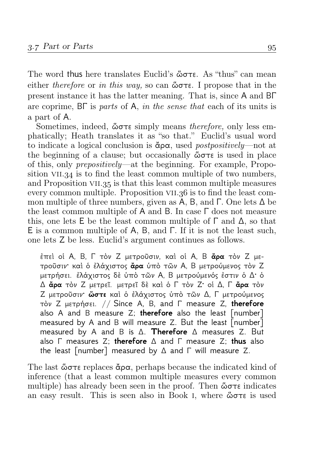The word thus here translates Euclid's ὥστε. As "thus" can mean either therefore or in this way, so can ὥστε. I propose that in the present instance it has the latter meaning. That is, since Α and ΒΓ are coprime, ΒΓ is parts of Α, in the sense that each of its units is a part of Α.

Sometimes, indeed, ὥστε simply means therefore, only less emphatically; Heath translates it as "so that." Euclid's usual word to indicate a logical conclusion is άρα, used *postpositively*—not at the beginning of a clause; but occasionally ὥστε is used in place of this, only prepositively—at the beginning. For example, Proposition VII. 34 is to find the least common multiple of two numbers, and Proposition VII.35 is that this least common multiple measures every common multiple. Proposition  $VII.36$  is to find the least common multiple of three numbers, given as A, B, and  $\Gamma$ . One lets  $\Delta$  be the least common multiple of Α and Β. In case Γ does not measure this, one lets E be the least common multiple of  $\Gamma$  and  $\Delta$ , so that Ε is a common multiple of Α, Β, and Γ. If it is not the least such, one lets Ζ be less. Euclid's argument continues as follows.

ἐπεὶ οἱ Α, Β, Γ τὸν Ζ μετροῦσιν, καὶ οἱ Α, Β **ἄρα** τὸν Ζ μετροῦσιν· καὶ ὁ ἐλάχιστος **ἄρα** ὑπὸ τῶν Α, Β μετρούμενος τὸν Ζ μετρήσει. ἐλάχιστος δὲ ὑπὸ τῶν Α, Β μετρούμενός ἐστιν ὁ ∆· ὁ ∆ **ἄρα** τὸν Ζ μετρεῖ. μετρεῖ δὲ καὶ ὁ Γ τὸν Ζ· οἱ ∆, Γ **ἄρα** τὸν Ζ μετροῦσιν· **ὥστε** καὶ ὁ ἐλάχιστος ὑπὸ τῶν ∆, Γ μετρούμενος τὸν Ζ μετρήσει. // Since Α, Β, and Γ measure Ζ, **therefore** also Α and Β measure Ζ; **therefore** also the least [number] measured by Α and Β will measure Ζ. But the least [number] measured by Α and Β is ∆. **Therefore** ∆ measures Ζ. But also Γ measures Ζ; **therefore** ∆ and Γ measure Ζ; **thus** also the least [number] measured by ∆ and Γ will measure Ζ.

The last ὥστε replaces ἄρα, perhaps because the indicated kind of inference (that a least common multiple measures every common multiple) has already been seen in the proof. Then ὥστε indicates an easy result. This is seen also in Book i, where ὥστε is used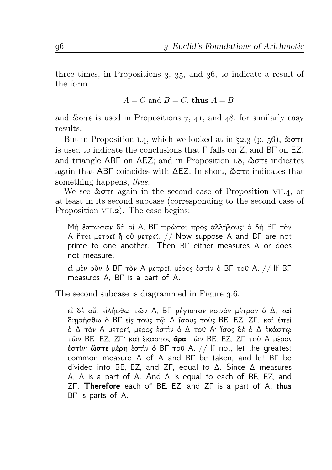three times, in Propositions  $3, 35,$  and  $36$ , to indicate a result of the form

$$
A = C \text{ and } B = C, \text{ thus } A = B;
$$

and  $\&\sigma\tau\epsilon$  is used in Propositions 7, 41, and 48, for similarly easy results.

But in Proposition I.4, which we looked at in §2.3 (p. 56), ὥστε is used to indicate the conclusions that Γ falls on Ζ, and ΒΓ on ΕΖ, and triangle ABΓ on ΔΕΖ; and in Proposition 1.8, ώστε indicates again that ΑΒΓ coincides with ∆ΕΖ. In short, ὥστε indicates that something happens, *thus*.

We see ὥστε again in the second case of Proposition VII.4, or at least in its second subcase (corresponding to the second case of Proposition VII.2). The case begins:

Μὴ ἔστωσαν δὴ οἱ Α, ΒΓ πρῶτοι πρὸς ἀλλήλους· ὁ δὴ ΒΓ τὸν Α ἤτοι μετρεῖ ἢ οὐ μετρεῖ. // Now suppose Α and ΒΓ are not prime to one another. Then ΒΓ either measures Α or does not measure.

εἰ μὲν οὖν ὁ ΒΓ τὸν Α μετρεῖ, μέρος ἐστὶν ὁ ΒΓ τοῦ Α. // If ΒΓ measures Α, ΒΓ is a part of Α.

The second subcase is diagrammed in Figure 3.6.

εἰ δὲ οὔ, εἰλήφθω τῶν Α, ΒΓ μέγιστον κοινὸν μέτρον ὁ ∆, καὶ διῃρήσθω ὁ ΒΓ εἰς τοὺς τῷ ∆ ἴσους τοὺς ΒΕ, ΕΖ, ΖΓ. καὶ ἐπεὶ ὁ ∆ τὸν Α μετρεῖ, μέρος ἐστὶν ὁ ∆ τοῦ Α· ἴσος δὲ ὁ ∆ ἑκάστῳ τῶν ΒΕ, ΕΖ, ΖΓ· καὶ ἕκαστος **ἄρα** τῶν ΒΕ, ΕΖ, ΖΓ τοῦ Α μέρος ἐστίν· **ὥστε** μέρη ἐστὶν ὁ ΒΓ τοῦ Α. // If not, let the greatest common measure ∆ of Α and ΒΓ be taken, and let ΒΓ be divided into ΒΕ, ΕΖ, and ΖΓ, equal to ∆. Since ∆ measures Α, ∆ is a part of Α. And ∆ is equal to each of ΒΕ, ΕΖ, and ΖΓ. **Therefore** each of ΒΕ, ΕΖ, and ΖΓ is a part of Α; **thus** ΒΓ is parts of Α.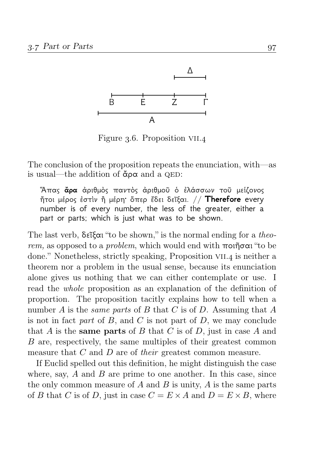

Figure 3.6. Proposition VII.4

The conclusion of the proposition repeats the enunciation, with—as is usual—the addition of άρα and a QED:

῞Απας **ἄρα** ἀριθμὸς παντὸς ἀριθμοῦ ὁ ἐλάσσων τοῦ μείζονος ἤτοι μέρος ἐστὶν ἢ μέρη· ὅπερ ἔδει δεῖξαι. // **Therefore** every number is of every number, the less of the greater, either a part or parts; which is just what was to be shown.

The last verb, δεῖξαι "to be shown," is the normal ending for a theorem, as opposed to a problem, which would end with ποιῆσαι "to be done." Nonetheless, strictly speaking, Proposition VII.4 is neither a theorem nor a problem in the usual sense, because its enunciation alone gives us nothing that we can either contemplate or use. I read the whole proposition as an explanation of the definition of proportion. The proposition tacitly explains how to tell when a number A is the *same parts* of B that C is of D. Assuming that A is not in fact part of  $B$ , and  $C$  is not part of  $D$ , we may conclude that A is the same parts of B that C is of D, just in case A and B are, respectively, the same multiples of their greatest common measure that  $C$  and  $D$  are of their greatest common measure.

If Euclid spelled out this definition, he might distinguish the case where, say,  $A$  and  $B$  are prime to one another. In this case, since the only common measure of  $A$  and  $B$  is unity,  $A$  is the same parts of B that C is of D, just in case  $C = E \times A$  and  $D = E \times B$ , where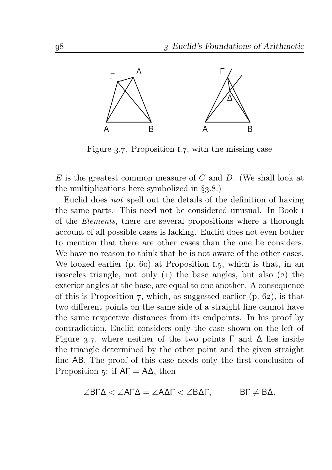

Figure  $3.7$ . Proposition I.7, with the missing case

 $E$  is the greatest common measure of  $C$  and  $D$ . (We shall look at the multiplications here symbolized in  $\S$ 3.8.)

Euclid does not spell out the details of the definition of having the same parts. This need not be considered unusual. In Book i of the Elements, there are several propositions where a thorough account of all possible cases is lacking. Euclid does not even bother to mention that there are other cases than the one he considers. We have no reason to think that he is not aware of the other cases. We looked earlier  $(p. 60)$  at Proposition I.5, which is that, in an isosceles triangle, not only  $(1)$  the base angles, but also  $(2)$  the exterior angles at the base, are equal to one another. A consequence of this is Proposition  $7$ , which, as suggested earlier  $(p. 62)$ , is that two different points on the same side of a straight line cannot have the same respective distances from its endpoints. In his proof by contradiction, Euclid considers only the case shown on the left of Figure 3.7, where neither of the two points  $\Gamma$  and  $\Delta$  lies inside the triangle determined by the other point and the given straight line ΑΒ. The proof of this case needs only the first conclusion of Proposition 5: if  $A\Gamma = A\Delta$ , then

$$
\angle B\Gamma\Delta < \angle A\Gamma\Delta = \angle A\Delta\Gamma < \angle B\Delta\Gamma, \qquad \quad BF \neq B\Delta.
$$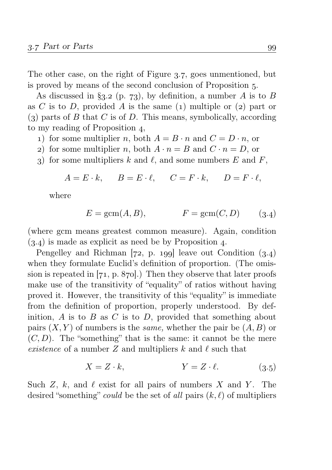The other case, on the right of Figure 3.7, goes unmentioned, but is proved by means of the second conclusion of Proposition .

As discussed in §3.2 (p. 73), by definition, a number A is to B as C is to D, provided A is the same  $(1)$  multiple or  $(2)$  part or  $(3)$  parts of B that C is of D. This means, symbolically, according to my reading of Proposition 4,

- 1) for some multiplier n, both  $A = B \cdot n$  and  $C = D \cdot n$ , or
- 2) for some multiplier n, both  $A \cdot n = B$  and  $C \cdot n = D$ , or
- 3) for some multipliers k and  $\ell$ , and some numbers E and F,

$$
A = E \cdot k, \qquad B = E \cdot \ell, \qquad C = F \cdot k, \qquad D = F \cdot \ell,
$$

where

$$
E = \text{gcm}(A, B), \qquad F = \text{gcm}(C, D) \qquad (3.4)
$$

(where gcm means greatest common measure). Again, condition  $(3.4)$  is made as explicit as need be by Proposition 4.

Pengelley and Richman  $[72, p. 199]$  leave out Condition  $(3.4)$ when they formulate Euclid's definition of proportion. (The omission is repeated in  $[71, p. 870]$ .) Then they observe that later proofs make use of the transitivity of "equality" of ratios without having proved it. However, the transitivity of this "equality" is immediate from the definition of proportion, properly understood. By definition,  $A$  is to  $B$  as  $C$  is to  $D$ , provided that something about pairs  $(X, Y)$  of numbers is the *same*, whether the pair be  $(A, B)$  or  $(C, D)$ . The "something" that is the same: it cannot be the mere existence of a number Z and multipliers k and  $\ell$  such that

$$
X = Z \cdot k, \qquad \qquad Y = Z \cdot \ell. \tag{3.5}
$$

Such  $Z$ ,  $k$ , and  $\ell$  exist for all pairs of numbers  $X$  and  $Y$ . The desired "something" could be the set of all pairs  $(k, \ell)$  of multipliers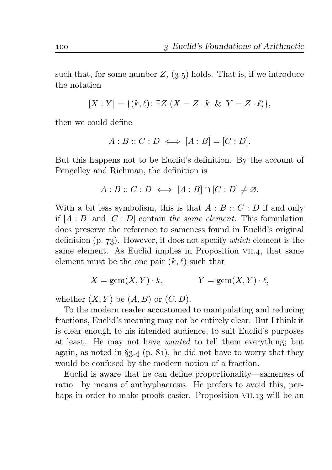such that, for some number  $Z$ ,  $(3.5)$  holds. That is, if we introduce the notation

$$
[X:Y] = \{(k,\ell) \colon \exists Z \ (X = Z \cdot k \And Y = Z \cdot \ell)\},\
$$

then we could define

$$
A:B::C:D \iff [A:B]=[C:D].
$$

But this happens not to be Euclid's definition. By the account of Pengelley and Richman, the definition is

$$
A:B::C:D \iff [A:B]\cap [C:D]\neq \varnothing.
$$

With a bit less symbolism, this is that  $A : B :: C : D$  if and only if  $[A : B]$  and  $[C : D]$  contain the same element. This formulation does preserve the reference to sameness found in Euclid's original definition  $(p, 73)$ . However, it does not specify which element is the same element. As Euclid implies in Proposition VII.4, that same element must be the one pair  $(k, \ell)$  such that

$$
X = \text{gcm}(X, Y) \cdot k, \qquad \qquad Y = \text{gcm}(X, Y) \cdot \ell,
$$

whether  $(X, Y)$  be  $(A, B)$  or  $(C, D)$ .

To the modern reader accustomed to manipulating and reducing fractions, Euclid's meaning may not be entirely clear. But I think it is clear enough to his intended audience, to suit Euclid's purposes at least. He may not have wanted to tell them everything; but again, as noted in  $\S$ 3.4 (p. 81), he did not have to worry that they would be confused by the modern notion of a fraction.

Euclid is aware that he can define proportionality—sameness of ratio—by means of anthyphaeresis. He prefers to avoid this, perhaps in order to make proofs easier. Proposition VII.13 will be an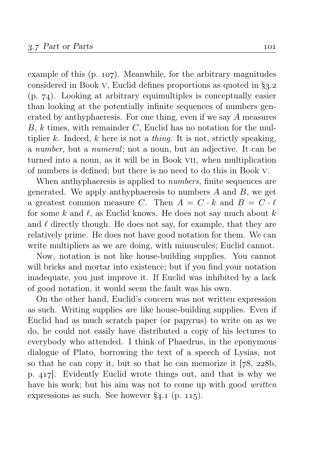example of this  $(p. 107)$ . Meanwhile, for the arbitrary magnitudes considered in Book v, Euclid defines proportions as quoted in  $\S$ 3.2  $(p. 74)$ . Looking at arbitrary equimultiples is conceptually easier than looking at the potentially infinite sequences of numbers generated by anthyphaeresis. For one thing, even if we say A measures B, k times, with remainder C, Euclid has no notation for the multiplier k. Indeed, k here is not a *thing*. It is not, strictly speaking, a number, but a numeral; not a noun, but an adjective. It can be turned into a noun, as it will be in Book vii, when multiplication of numbers is defined; but there is no need to do this in Book v.

When anthyphaeresis is applied to *numbers*, finite sequences are generated. We apply anthyphaeresis to numbers  $A$  and  $B$ , we get a greatest common measure C. Then  $A = C \cdot k$  and  $B = C \cdot \ell$ for some k and  $\ell$ , as Euclid knows. He does not say much about k and  $\ell$  directly though. He does not say, for example, that they are relatively prime. He does not have good notation for them. We can write multipliers as we are doing, with minuscules; Euclid cannot.

Now, notation is not like house-building supplies. You cannot will bricks and mortar into existence; but if you find your notation inadequate, you just improve it. If Euclid was inhibited by a lack of good notation, it would seem the fault was his own.

On the other hand, Euclid's concern was not written expression as such. Writing supplies are like house-building supplies. Even if Euclid had as much scratch paper (or papyrus) to write on as we do, he could not easily have distributed a copy of his lectures to everybody who attended. I think of Phaedrus, in the eponymous dialogue of Plato, borrowing the text of a speech of Lysias, not so that he can copy it, but so that he can memorize it [, b, p. 417. Evidently Euclid wrote things out, and that is why we have his work; but his aim was not to come up with good *written* expressions as such. See however  $\S$ 4.1 (p. 115).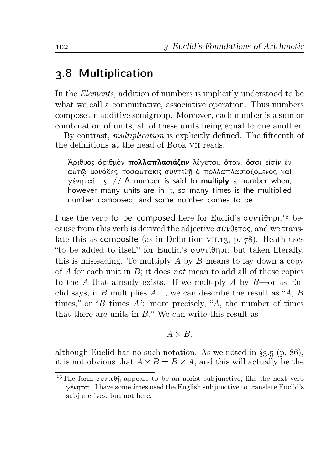# 3.8 Multiplication

In the Elements, addition of numbers is implicitly understood to be what we call a commutative, associative operation. Thus numbers compose an additive semigroup. Moreover, each number is a sum or combination of units, all of these units being equal to one another.

By contrast, *multiplication* is explicitly defined. The fifteenth of the definitions at the head of Book vii reads,

᾿Αριθμὸς ἀριθμὸν **πολλαπλασιάζειν** λέγεται, ὅταν, ὅσαι εἰσὶν ἐν αὐτῷ μονάδες, τοσαυτάκις συντεθῇ ὁ πολλαπλασιαζόμενος, καὶ γένηταί τις. // A number is said to **multiply** a number when, however many units are in it, so many times is the multiplied number composed, and some number comes to be.

I use the verb to be composed here for Euclid's συντίθημι,<sup>15</sup> because from this verb is derived the adjective  $\sigma \dot{\nu} \nu \theta \epsilon \tau \circ \zeta$ , and we translate this as composite (as in Definition VII.13, p.  $78$ ). Heath uses "to be added to itself" for Euclid's συντίθημι; but taken literally, this is misleading. To multiply  $A$  by  $B$  means to lay down a copy of  $A$  for each unit in  $B$ ; it does not mean to add all of those copies to the A that already exists. If we multiply A by  $B$ —or as Euclid says, if B multiplies  $A$ —, we can describe the result as "A, B times," or "B times  $A$ ": more precisely, "A, the number of times that there are units in  $B$ ." We can write this result as

$$
A\times B,
$$

although Euclid has no such notation. As we noted in  $\S$ 3.5 (p. 86), it is not obvious that  $A \times B = B \times A$ , and this will actually be the

<sup>&</sup>lt;sup>15</sup>The form συντεθῆ appears to be an aorist subjunctive, like the next verb γένηται. I have sometimes used the English subjunctive to translate Euclid's subjunctives, but not here.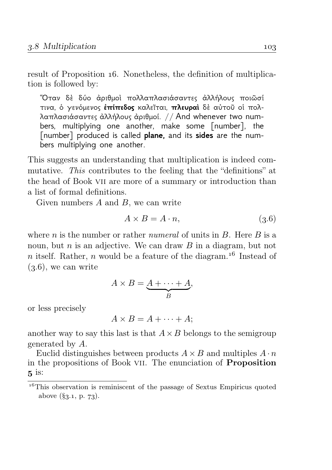result of Proposition 16. Nonetheless, the definition of multiplication is followed by:

῞Οταν δὲ δύο ἀριθμοὶ πολλαπλασιάσαντες ἀλλήλους ποιῶσί τινα, ὁ γενόμενος **ἐπίπεδος** καλεῖται, **πλευραὶ** δὲ αὐτοῦ οἱ πολλαπλασιάσαντες ἀλλήλους ἀριθμοί. // And whenever two numbers, multiplying one another, make some [number], the [number] produced is called **plane,** and its **sides** are the numbers multiplying one another.

This suggests an understanding that multiplication is indeed commutative. This contributes to the feeling that the "definitions" at the head of Book vii are more of a summary or introduction than a list of formal definitions.

Given numbers  $A$  and  $B$ , we can write

$$
A \times B = A \cdot n,\tag{3.6}
$$

where *n* is the number or rather *numeral* of units in B. Here B is a noun, but *n* is an adjective. We can draw  $B$  in a diagram, but not n itself. Rather, n would be a feature of the diagram.<sup>16</sup> Instead of  $(3.6)$ , we can write

$$
A \times B = \underbrace{A + \cdots + A}_{B},
$$

or less precisely

$$
A \times B = A + \cdots + A;
$$

another way to say this last is that  $A \times B$  belongs to the semigroup generated by A.

Euclid distinguishes between products  $A \times B$  and multiples  $A \cdot n$ in the propositions of Book vii. The enunciation of Proposition  $\overline{5}$  is:

 $^{16}\mathrm{This}$  observation is reminiscent of the passage of Sextus Empiricus quoted above  $(\S_3.1, p. 73)$ .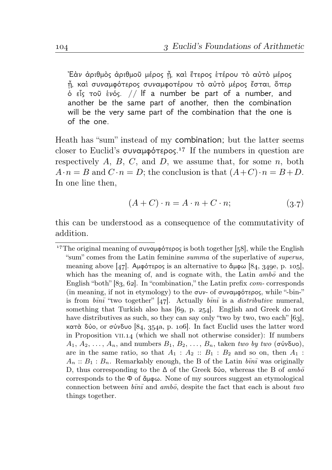᾿Εὰν ἀριθμὸς ἀριθμοῦ μέρος ᾖ, καὶ ἕτερος ἑτέρου τὸ αὐτὸ μέρος ᾖ, καὶ συναμφότερος συναμφοτέρου τὸ αὐτὸ μέρος ἔσται, ὅπερ ὁ εἷς τοῦ ἑνός. // If a number be part of a number, and another be the same part of another, then the combination will be the very same part of the combination that the one is of the one.

Heath has "sum" instead of my combination; but the latter seems closer to Euclid's συναμφότερος.<sup>17</sup> If the numbers in question are respectively  $A, B, C,$  and  $D$ , we assume that, for some  $n$ , both  $A \cdot n = B$  and  $C \cdot n = D$ ; the conclusion is that  $(A+C) \cdot n = B+D$ . In one line then,

$$
(A+C) \cdot n = A \cdot n + C \cdot n; \tag{3.7}
$$

this can be understood as a consequence of the commutativity of addition.

<sup>&</sup>lt;sup>17</sup>The original meaning of συναμφότερος is both together [58], while the English "sum" comes from the Latin feminine summa of the superlative of superus, meaning above [47]. Aμφότερος is an alternative to ἄμφω [84, 349e, p. 105], which has the meaning of, and is cognate with, the Latin  $amb\bar{o}$  and the English "both"  $[83, 62]$ . In "combination," the Latin prefix com- corresponds (in meaning, if not in etymology) to the συν- of συναμφότερος, while "-bin-" is from  $b\bar{n}\bar{i}$  "two together" [47]. Actually  $b\bar{n}\bar{i}$  is a *distributive* numeral, something that Turkish also has  $[6g, p. 254]$ . English and Greek do not have distributives as such, so they can say only "two by two, two each"  $[63]$ , κατά δύο, or σύνδυο [84, 354a, p. 106]. In fact Euclid uses the latter word in Proposition VII.14 (which we shall not otherwise consider): If numbers  $A_1, A_2, \ldots, A_n$ , and numbers  $B_1, B_2, \ldots, B_n$ , taken two by two (σύνδυο), are in the same ratio, so that  $A_1 : A_2 :: B_1 : B_2$  and so on, then  $A_1 :$  $A_n$ :  $B_1$ :  $B_n$ . Remarkably enough, the B of the Latin  $b\bar{n}\bar{i}$  was originally D, thus corresponding to the Δ of the Greek δύο, whereas the B of  $amb\bar{o}$ corresponds to the Φ of ἄμφω. None of my sources suggest an etymological connection between  $b\bar{m}\bar{i}$  and ambo, despite the fact that each is about two things together.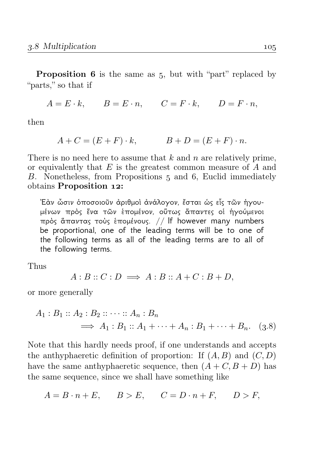**Proposition 6** is the same as  $5$ , but with "part" replaced by "parts," so that if

 $A = E \cdot k$ ,  $B = E \cdot n$ ,  $C = F \cdot k$ ,  $D = F \cdot n$ .

then

$$
A + C = (E + F) \cdot k, \qquad B + D = (E + F) \cdot n.
$$

There is no need here to assume that  $k$  and  $n$  are relatively prime, or equivalently that  $E$  is the greatest common measure of  $A$  and B. Nonetheless, from Propositions 5 and 6, Euclid immediately obtains Proposition 12:

᾿Εὰν ὦσιν ὁποσοιοῦν ἀριθμοὶ ἀνάλογον, ἔσται ὡς εἷς τῶν ἡγουμένων πρὸς ἕνα τῶν ἑπομένον, οὕτως ἅπαντες οἱ ἡγούμενοι πρὸς ἅπαντας τοὺς ἑπομένους. // If however many numbers be proportional, one of the leading terms will be to one of the following terms as all of the leading terms are to all of the following terms.

Thus

$$
A:B::C:D \implies A:B::A+C:B+D,
$$

or more generally

$$
A_1 : B_1 :: A_2 : B_2 :: \cdots :: A_n : B_n
$$
  

$$
\implies A_1 : B_1 :: A_1 + \cdots + A_n : B_1 + \cdots + B_n. \quad (3.8)
$$

Note that this hardly needs proof, if one understands and accepts the anthyphaeretic definition of proportion: If  $(A, B)$  and  $(C, D)$ have the same anthyphaeretic sequence, then  $(A+C, B+D)$  has the same sequence, since we shall have something like

$$
A = B \cdot n + E, \qquad B > E, \qquad C = D \cdot n + F, \qquad D > F,
$$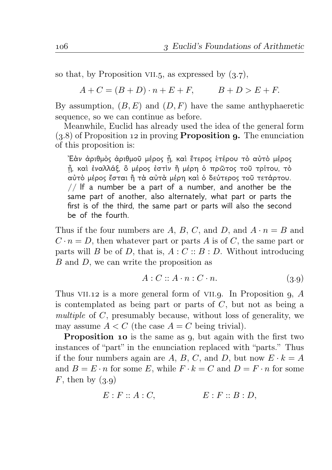so that, by Proposition VII.5, as expressed by  $(3.7)$ ,

$$
A + C = (B + D) \cdot n + E + F,
$$
  $B + D > E + F.$ 

By assumption,  $(B, E)$  and  $(D, F)$  have the same anthyphaeretic sequence, so we can continue as before.

Meanwhile, Euclid has already used the idea of the general form  $(3.8)$  of Proposition 12 in proving **Proposition 9.** The enunciation of this proposition is:

᾿Εὰν ἀριθμὸς ἀριθμοῦ μέρος ᾖ, καὶ ἕτερος ἑτέρου τὸ αὐτὸ μέρος ᾖ, καὶ ἐναλλάξ, ὃ μέρος ἐστὶν ἢ μέρη ὁ πρῶτος τοῦ τρίτου, τὸ αὐτὸ μέρος ἔσται ἢ τὰ αὐτὰ μέρη καὶ ὁ δεύτερος τοῦ τετάρτου.  $//$  If a number be a part of a number, and another be the same part of another, also alternately, what part or parts the first is of the third, the same part or parts will also the second be of the fourth.

Thus if the four numbers are A, B, C, and D, and  $A \cdot n = B$  and  $C \cdot n = D$ , then whatever part or parts A is of C, the same part or parts will B be of D, that is,  $A : C :: B : D$ . Without introducing B and D, we can write the proposition as

$$
A:C::A\cdot n:C\cdot n.
$$
 (3.9)

Thus VII.12 is a more general form of VII.9. In Proposition 9,  $A$ is contemplated as being part or parts of  $C$ , but not as being a multiple of  $C$ , presumably because, without loss of generality, we may assume  $A < C$  (the case  $A = C$  being trivial).

**Proposition 10** is the same as  $q$ , but again with the first two instances of "part" in the enunciation replaced with "parts." Thus if the four numbers again are A, B, C, and D, but now  $E \cdot k = A$ and  $B = E \cdot n$  for some E, while  $F \cdot k = C$  and  $D = F \cdot n$  for some  $F$ , then by  $(3.9)$ 

$$
E: F :: A:C, \qquad E: F :: B: D,
$$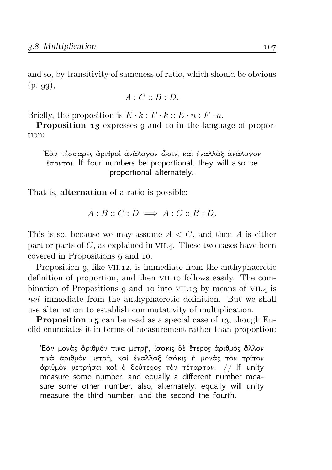and so, by transitivity of sameness of ratio, which should be obvious  $(p. 99),$ 

$$
A:C::B:D.
$$

Briefly, the proposition is  $E \cdot k : F \cdot k :: E \cdot n : F \cdot n$ .

Proposition 13 expresses 9 and 10 in the language of proportion:

᾿Εὰν τέσσαρες ἀριθμοὶ ἀνάλογον ὦσιν, καὶ ἐναλλὰξ ἀνάλογον ἔσονται. If four numbers be proportional, they will also be proportional alternately.

That is, alternation of a ratio is possible:

 $A \cdot B \cdot C \cdot D \implies A \cdot C \cdot B \cdot D$ .

This is so, because we may assume  $A < C$ , and then A is either part or parts of  $C$ , as explained in VII.4. These two cases have been covered in Propositions  $\alpha$  and 10.

Proposition 9, like VII.12, is immediate from the anthyphaeretic definition of proportion, and then VII.10 follows easily. The combination of Propositions  $\alpha$  and  $\alpha$  into VII. 13 by means of VII. 4 is not immediate from the anthyphaeretic definition. But we shall use alternation to establish commutativity of multiplication.

**Proposition 15** can be read as a special case of 13, though Euclid enunciates it in terms of measurement rather than proportion:

᾿Εὰν μονὰς ἀριθμόν τινα μετρῇ, ἰσακις δὲ ἕτερος ἀριθμὸς ἄλλον τινὰ ἀριθμὸν μετρῆ, καὶ ἐναλλὰξ ἰσάκις ἡ μονὰς τὸν τρίτον ἀριθμὸν μετρήσει καὶ ὁ δεύτερος τὸν τέταρτον. // If unity measure some number, and equally a different number measure some other number, also, alternately, equally will unity measure the third number, and the second the fourth.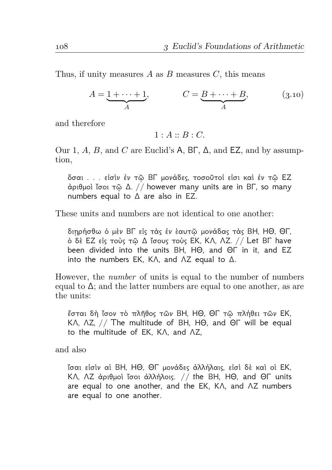Thus, if unity measures  $A$  as  $B$  measures  $C$ , this means

$$
A = \underbrace{1 + \dots + 1}_{A}, \qquad C = \underbrace{B + \dots + B}_{A}, \qquad (3.10)
$$

and therefore

$$
1:A::B:C.
$$

Our 1, A, B, and C are Euclid's A,  $B\Gamma$ ,  $\Delta$ , and EZ, and by assumption,

ὅσαι . . . εἰσὶν ἐν τῷ ΒΓ μονάδες, τοσοῦτοί εἰσι καὶ ἐν τῷ ΕΖ ἀριθμοὶ ἴσοι τῷ ∆. // however many units are in ΒΓ, so many numbers equal to ∆ are also in ΕΖ.

These units and numbers are not identical to one another:

διῃρήσθω ὁ μὲν ΒΓ εἰς τὰς ἐν ἑαυτῷ μονάδας τὰς ΒΗ, ΗΘ, ΘΓ, ὁ δὲ ΕΖ εἰς τοὺς τῷ ∆ ἴσους τοὺς ΕΚ, ΚΛ, ΛΖ. // Let ΒΓ have been divided into the units ΒΗ, ΗΘ, and ΘΓ in it, and ΕΖ into the numbers EK, K $\Lambda$ , and  $\Lambda$ Z equal to  $\Delta$ .

However, the number of units is equal to the number of numbers equal to  $\Delta$ ; and the latter numbers are equal to one another, as are the units:

ἔσται δὴ ἴσον τὸ πλῆθος τῶν ΒΗ, ΗΘ, ΘΓ τῷ πλήθει τῶν ΕΚ, ΚΛ, ΛΖ, // The multitude of ΒΗ, ΗΘ, and ΘΓ will be equal to the multitude of ΕΚ, ΚΛ, and ΛΖ,

and also

ἴσαι εἰσὶν αἱ ΒΗ, ΗΘ, ΘΓ μονάδες ἀλλήλαις, εἰσὶ δὲ καὶ οἱ ΕΚ, ΚΛ, ΛΖ ἀριθμοὶ ἴσοι ἀλλήλοις. // the ΒΗ, ΗΘ, and ΘΓ units are equal to one another, and the ΕΚ, ΚΛ, and ΛΖ numbers are equal to one another.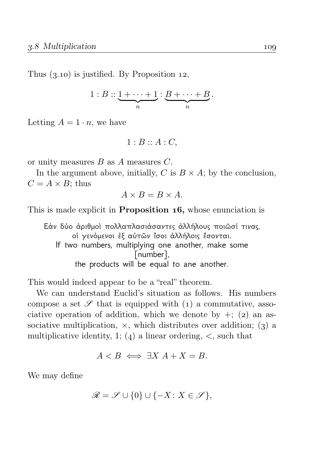Thus  $(3.10)$  is justified. By Proposition 12,

$$
1:B::\underbrace{1+\cdots+1}_{n}:\underbrace{B+\cdots+B}_{n}.
$$

Letting  $A = 1 \cdot n$ , we have

$$
1:B::A:C,
$$

or unity measures  $B$  as  $A$  measures  $C$ .

In the argument above, initially, C is  $B \times A$ ; by the conclusion,  $C = A \times B$ ; thus

$$
A \times B = B \times A.
$$

This is made explicit in **Proposition 16**, whose enunciation is

Εὰν δύο ἀριθμοὶ πολλαπλασιάσαντες ἀλλήλους ποιῶσί τινας, οἱ γενόμενοι ἐξ αὐτῶν ἴσοι ἀλλήλοις ἔσονται. If two numbers, multiplying one another, make some [number], the products will be equal to ane another.

This would indeed appear to be a "real" theorem.

We can understand Euclid's situation as follows. His numbers compose a set  $\mathscr S$  that is equipped with (1) a commutative, associative operation of addition, which we denote by  $+$ ; (2) an associative multiplication,  $\times$ , which distributes over addition; (3) a multiplicative identity, 1; (4) a linear ordering,  $\lt$ , such that

$$
A < B \iff \exists X \ A + X = B.
$$

We may define

$$
\mathscr{R} = \mathscr{S} \cup \{0\} \cup \{-X \colon X \in \mathscr{S}\},\
$$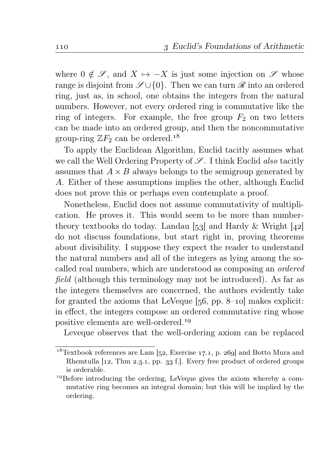where  $0 \notin \mathscr{S}$ , and  $X \mapsto -X$  is just some injection on  $\mathscr{S}$  whose range is disjoint from  $\mathscr{S} \cup \{0\}$ . Then we can turn  $\mathscr{R}$  into an ordered ring, just as, in school, one obtains the integers from the natural numbers. However, not every ordered ring is commutative like the ring of integers. For example, the free group  $F_2$  on two letters can be made into an ordered group, and then the noncommutative group-ring  $\mathbb{Z}F_2$  can be ordered.<sup>18</sup>

To apply the Euclidean Algorithm, Euclid tacitly assumes what we call the Well Ordering Property of  $\mathscr{S}$ . I think Euclid also tacitly assumes that  $A \times B$  always belongs to the semigroup generated by A. Either of these assumptions implies the other, although Euclid does not prove this or perhaps even contemplate a proof.

Nonetheless, Euclid does not assume commutativity of multiplication. He proves it. This would seem to be more than numbertheory textbooks do today. Landau  $[53]$  and Hardy & Wright  $[42]$ do not discuss foundations, but start right in, proving theorems about divisibility. I suppose they expect the reader to understand the natural numbers and all of the integers as lying among the socalled real numbers, which are understood as composing an ordered field (although this terminology may not be introduced). As far as the integers themselves are concerned, the authors evidently take for granted the axioms that LeVeque  $\left[56, pp. 8{\text -}10\right]$  makes explicit: in effect, the integers compose an ordered commutative ring whose positive elements are well-ordered.

Leveque observes that the well-ordering axiom can be replaced

<sup>&</sup>lt;sup>18</sup> Textbook references are Lam  $\left[52, \right.$  Exercise 17.1, p. 260 and Botto Mura and Rhemtulla  $[12, Thm 2.3.1, pp. 33 f.].$  Every free product of ordered groups is orderable.

<sup>&</sup>lt;sup>19</sup>Before introducing the ordering, LeVeque gives the axiom whereby a commutative ring becomes an integral domain; but this will be implied by the ordering.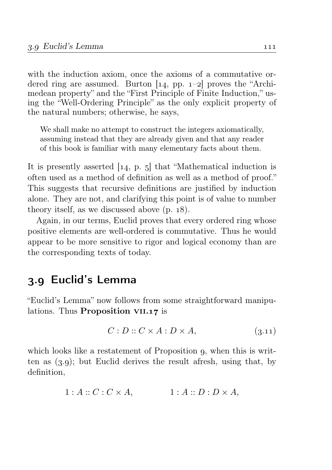with the induction axiom, once the axioms of a commutative ordered ring are assumed. Burton  $[14, pp. 1-2]$  proves the "Archimedean property" and the "First Principle of Finite Induction," using the "Well-Ordering Principle" as the only explicit property of the natural numbers; otherwise, he says,

We shall make no attempt to construct the integers axiomatically, assuming instead that they are already given and that any reader of this book is familiar with many elementary facts about them.

It is presently asserted  $[14, p. 5]$  that "Mathematical induction is often used as a method of definition as well as a method of proof." This suggests that recursive definitions are justified by induction alone. They are not, and clarifying this point is of value to number theory itself, as we discussed above  $(p. 18)$ .

Again, in our terms, Euclid proves that every ordered ring whose positive elements are well-ordered is commutative. Thus he would appear to be more sensitive to rigor and logical economy than are the corresponding texts of today.

### 3.9 Euclid's Lemma

"Euclid's Lemma" now follows from some straightforward manipulations. Thus **Proposition VII. 17** is

$$
C: D :: C \times A : D \times A,
$$
\n
$$
(3.11)
$$

which looks like a restatement of Proposition 9, when this is written as  $(3.9)$ ; but Euclid derives the result afresh, using that, by definition,

$$
1: A :: C : C \times A, \qquad 1: A :: D : D \times A,
$$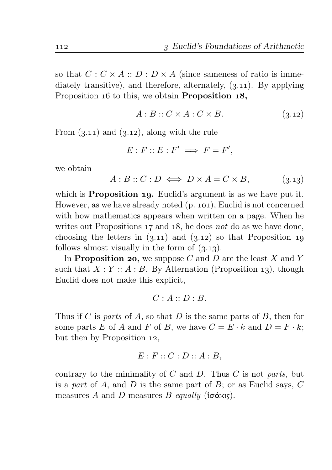so that  $C: C \times A :: D : D \times A$  (since sameness of ratio is immediately transitive), and therefore, alternately,  $(3.11)$ . By applying Proposition  $16$  to this, we obtain **Proposition 18,** 

$$
A:B::C\times A:C\times B.
$$
\n
$$
(3.12)
$$

From  $(3.11)$  and  $(3.12)$ , along with the rule

$$
E: F :: E : F' \implies F = F',
$$

we obtain

$$
A: B :: C : D \iff D \times A = C \times B, \tag{3.13}
$$

which is **Proposition 19.** Euclid's argument is as we have put it. However, as we have already noted  $(p. 101)$ , Euclid is not concerned with how mathematics appears when written on a page. When he writes out Propositions  $17$  and  $18$ , he does not do as we have done, choosing the letters in  $(3.11)$  and  $(3.12)$  so that Proposition 19 follows almost visually in the form of  $(3.13)$ .

In Proposition 20, we suppose  $C$  and  $D$  are the least  $X$  and  $Y$ such that  $X: Y :: A : B$ . By Alternation (Proposition 13), though Euclid does not make this explicit,

$$
C:A::D:B.
$$

Thus if C is parts of A, so that D is the same parts of B, then for some parts E of A and F of B, we have  $C = E \cdot k$  and  $D = F \cdot k$ ; but then by Proposition 12,

$$
E: F :: C : D :: A : B,
$$

contrary to the minimality of  $C$  and  $D$ . Thus  $C$  is not parts, but is a part of A, and D is the same part of B; or as Euclid says, C measures A and D measures B equally ( $i\sigma\alpha$ <sub>Kls</sub>).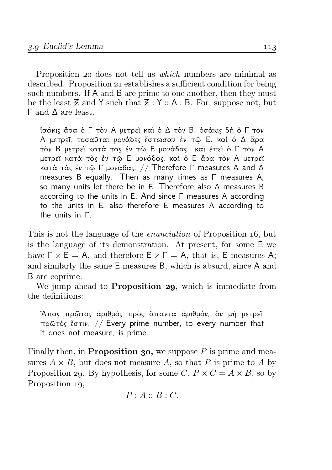Proposition 20 does not tell us *which* numbers are minimal as described. Proposition 21 establishes a sufficient condition for being such numbers. If A and B are prime to one another, then they must be the least  $\Xi$  and Y such that  $\Xi$  : Y :: A : B. For, suppose not, but Γ and ∆ are least.

ἰσάκις ἄρα ὁ Γ τὸν Α μετρεῖ καὶ ὁ ∆ τὸν Β. ὁσάκις δὴ ὁ Γ τὸν Α μετρεῖ, τοσαῦται μονάδες ἔστωσαν ἐν τῷ Ε. καὶ ὁ ∆ ἄρα τὸν Β μετρεῖ κατὰ τὰς ἐν τῷ Ε μονάδας. καὶ ἐπεὶ ὁ Γ τὸν Α μετρεῖ κατὰ τὰς ἐν τῷ Ε μονάδας, καί ὁ Ε ἄρα τὸν Α μετρεῖ κατὰ τὰς ἐν τῷ Γ μονάδας. // Therefore Γ measures Α and ∆ measures Β equally. Then as many times as Γ measures Α, so many units let there be in Ε. Therefore also ∆ measures Β according to the units in Ε. And since Γ measures Α according to the units in Ε, also therefore Ε measures Α according to the units in Γ.

This is not the language of the *enunciation* of Proposition 16, but is the language of its demonstration. At present, for some Ε we have  $\Gamma \times E = A$ , and therefore  $E \times \Gamma = A$ , that is, E measures A; and similarly the same Ε measures Β, which is absurd, since Α and Β are coprime.

We jump ahead to **Proposition 29**, which is immediate from the definitions:

῞Απας πρῶτος ἀριθμὸς πρὸς ἅπαντα ἀριθμόν, ὃν μὴ μετρεῖ, πρῶτός ἐστιν. // Every prime number, to every number that it does not measure, is prime.

Finally then, in **Proposition 30**, we suppose  $P$  is prime and measures  $A \times B$ , but does not measure A, so that P is prime to A by Proposition 29. By hypothesis, for some C,  $P \times C = A \times B$ , so by Proposition 19,

 $P : A :: B : C$ .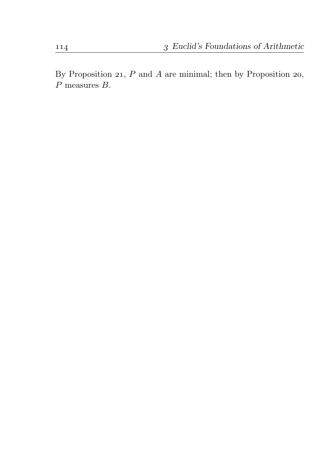By Proposition 21,  $P$  and  $A$  are minimal; then by Proposition 20, P measures B.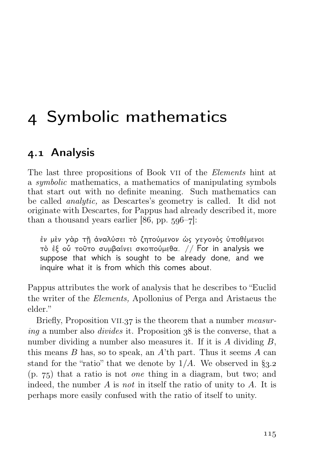# Symbolic mathematics

### 4.1 Analysis

The last three propositions of Book VII of the *Elements* hint at a *symbolic* mathematics, a mathematics of manipulating symbols that start out with no definite meaning. Such mathematics can be called analytic, as Descartes's geometry is called. It did not originate with Descartes, for Pappus had already described it, more than a thousand years earlier [86, pp.  $596-7$ ]:

ἐν μὲν γὰρ τῇ ἀναλύσει τὸ ζητούμενον ὡς γεγονὸς ὑποθέμενοι τὸ ἐξ οὗ τοῦτο συμβαίνει σκοπούμεθα. // For in analysis we suppose that which is sought to be already done, and we inquire what it is from which this comes about.

Pappus attributes the work of analysis that he describes to "Euclid the writer of the Elements, Apollonius of Perga and Aristaeus the elder."

Briefly, Proposition VII.37 is the theorem that a number *measuring* a number also *divides* it. Proposition  $38$  is the converse, that a number dividing a number also measures it. If it is A dividing  $B$ , this means  $B$  has, so to speak, an  $A$ 'th part. Thus it seems  $A$  can stand for the "ratio" that we denote by  $1/A$ . We observed in  $\S$ 3.2  $(p, 75)$  that a ratio is not *one* thing in a diagram, but two; and indeed, the number A is not in itself the ratio of unity to A. It is perhaps more easily confused with the ratio of itself to unity.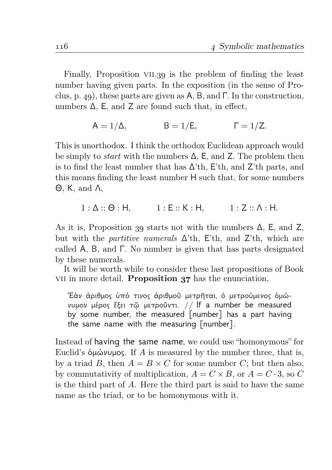Finally, Proposition VII.39 is the problem of finding the least number having given parts. In the exposition (in the sense of Proclus, p. 49), these parts are given as A, B, and  $\Gamma$ . In the construction, numbers  $\Delta$ , E, and Z are found such that, in effect,

$$
A = 1/\Delta, \qquad B = 1/E, \qquad \Gamma = 1/Z.
$$

This is unorthodox. I think the orthodox Euclidean approach would be simply to *start* with the numbers  $\Delta$ , **E**, and **Z**. The problem then is to find the least number that has  $\Delta'$ th, E'th, and Z'th parts, and this means finding the least number Η such that, for some numbers Θ, Κ, and Λ,

$$
1: \Delta :: \Theta : \mathsf{H}, \qquad 1: \mathsf{E} :: \mathsf{K} : \mathsf{H}, \qquad 1: \mathsf{Z} :: \mathsf{\Lambda} : \mathsf{H}.
$$

As it is, Proposition 39 starts not with the numbers  $\Delta$ , E, and Z, but with the *partitive numerals*  $\Delta$ 'th, E'th, and Z'th, which are called Α, Β, and Γ. No number is given that has parts designated by these numerals.

It will be worth while to consider these last propositions of Book VII in more detail. Proposition  $37$  has the enunciation,

᾿Εὰν ἀριθμος ὑπό τινος ἀριθμοῦ μετρῆται, ὁ μετρούμενος ὁμώνυμον μέρος ἕξει τῷ μετροῦντι. // If a number be measured by some number, the measured [number] has a part having the same name with the measuring [number].

Instead of having the same name, we could use "homonymous" for Euclid's όμώνυμος. If A is measured by the number three, that is, by a triad B, then  $A = B \times C$  for some number C; but then also, by commutativity of multiplication,  $A = C \times B$ , or  $A = C \cdot 3$ , so C is the third part of A. Here the third part is said to have the same name as the triad, or to be homonymous with it.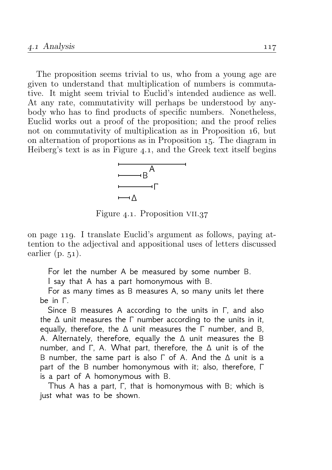The proposition seems trivial to us, who from a young age are given to understand that multiplication of numbers is commutative. It might seem trivial to Euclid's intended audience as well. At any rate, commutativity will perhaps be understood by anybody who has to find products of specific numbers. Nonetheless, Euclid works out a proof of the proposition; and the proof relies not on commutativity of multiplication as in Proposition , but on alternation of proportions as in Proposition 15. The diagram in Heiberg's text is as in Figure  $4.1$ , and the Greek text itself begins



Figure 4.1. Proposition VII.37

on page 119. I translate Euclid's argument as follows, paying attention to the adjectival and appositional uses of letters discussed earlier  $(p. 51)$ .

For let the number Α be measured by some number Β.

I say that Α has a part homonymous with Β.

For as many times as Β measures Α, so many units let there be in Γ.

Since Β measures Α according to the units in Γ, and also the ∆ unit measures the Γ number according to the units in it, equally, therefore, the ∆ unit measures the Γ number, and Β, Α. Alternately, therefore, equally the ∆ unit measures the Β number, and Γ, Α. What part, therefore, the ∆ unit is of the Β number, the same part is also Γ of Α. And the ∆ unit is a part of the Β number homonymous with it; also, therefore, Γ is a part of Α homonymous with Β.

Thus Α has a part, Γ, that is homonymous with Β; which is just what was to be shown.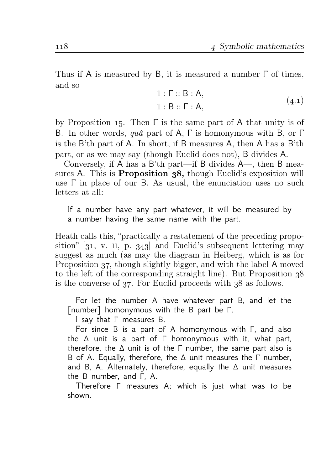Thus if A is measured by B, it is measured a number  $\Gamma$  of times, and so

$$
1 : \Gamma :: B : A,
$$
  

$$
1 : B :: \Gamma : A,
$$
  

$$
(4.1)
$$

by Proposition 15. Then  $\Gamma$  is the same part of A that unity is of Β. In other words, quâ part of Α, Γ is homonymous with Β, or Γ is the Β'th part of Α. In short, if Β measures Α, then Α has a Β'th part, or as we may say (though Euclid does not), Β divides Α.

Conversely, if Α has a Β'th part—if Β divides Α—, then Β measures A. This is **Proposition 38**, though Euclid's exposition will use Γ in place of our Β. As usual, the enunciation uses no such letters at all:

If a number have any part whatever, it will be measured by a number having the same name with the part.

Heath calls this, "practically a restatement of the preceding proposition"  $[31, v. II, p. 343]$  and Euclid's subsequent lettering may suggest as much (as may the diagram in Heiberg, which is as for Proposition 37, though slightly bigger, and with the label A moved to the left of the corresponding straight line). But Proposition is the converse of  $37$ . For Euclid proceeds with  $38$  as follows.

For let the number Α have whatever part Β, and let the [number] homonymous with the Β part be Γ.

I say that Γ measures Β.

For since Β is a part of Α homonymous with Γ, and also the  $\Delta$  unit is a part of  $\Gamma$  homonymous with it, what part, therefore, the  $\Delta$  unit is of the  $\Gamma$  number, the same part also is Β of Α. Equally, therefore, the ∆ unit measures the Γ number, and Β, Α. Alternately, therefore, equally the ∆ unit measures the Β number, and Γ, Α.

Therefore Γ measures Α; which is just what was to be shown.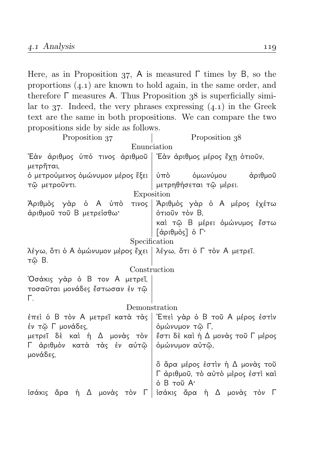Here, as in Proposition 37, A is measured  $\Gamma$  times by B, so the proportions  $(4.1)$  are known to hold again, in the same order, and therefore  $\Gamma$  measures A. Thus Proposition 38 is superficially similar to  $37$ . Indeed, the very phrases expressing  $(4.1)$  in the Greek text are the same in both propositions. We can compare the two propositions side by side as follows.

| Proposition 37                                                                   | Proposition 38                                                  |  |
|----------------------------------------------------------------------------------|-----------------------------------------------------------------|--|
| Enunciation                                                                      |                                                                 |  |
| Έάν ἀριθμος ύπό τινος ἀριθμοῦ   Ἐάν ἀριθμος μέρος ἔχῃ ὁτιοῦν,<br>μετρῆται,       |                                                                 |  |
| ό μετρούμενος ὁμώνυμον μέρος ἕξει   ὑπὸ         ὁμωνύμου         ἀριθμοῦ         |                                                                 |  |
| τῷ μετροῦντι.                                                                    | μετρηθήσεται τω μέρει.                                          |  |
| Exposition                                                                       |                                                                 |  |
| Άριθμὸς γὰρ ὁ Α ὑπὸ τινος Ἀριθμὸς γὰρ ὁ Α μέρος ἐχέτω<br>άριθμοῦ τοῦ Β μετρείσθω | ότιοῦν τὸν Β,                                                   |  |
|                                                                                  | καί τῷ Β μέρει ομώνυμος έστω<br>[ἀριθμὸς] ὁ Γ·                  |  |
| Specification                                                                    |                                                                 |  |
| λέγω, ὅτι ὁ Α ὁμώνυμον μέρος ἔχει   λέγω, ὅτι ὁ Γ τὸν Α μετρεῖ.<br>тῶ В.         |                                                                 |  |
| Construction                                                                     |                                                                 |  |
| Όσάκις γάρ ό Β τον Α μετρεΐ,                                                     |                                                                 |  |
| τοσαῦται μονάδες ἔστωσαν ἐν τῷ<br>Г.                                             |                                                                 |  |
| Demonstration                                                                    |                                                                 |  |
|                                                                                  | έπεί ό Β τόν Α μετρεῖ κατά τάς   Έπεί γάρ ό Β τοῦ Α μέρος έστίν |  |
|                                                                                  |                                                                 |  |
| έν τῷ Γ μονάδες,                                                                 | όμώνυμον τῷ Γ,                                                  |  |
|                                                                                  | μετρεῖ δὲ καὶ ἡ Δ μονάς τὸν   ἔστι δὲ καὶ ἡ Δ μονάς τοῦ Γ μέρος |  |
| Γ ἀριθμὸν κατὰ τὰς ἐν αὐτῷ   ὁμώνυμον αὐτῷ,                                      |                                                                 |  |
| μονάδες,                                                                         |                                                                 |  |
|                                                                                  | ὃ ἅρα μέρος ἐστὶν ἡ Δ μονὰς τοῦ                                 |  |
|                                                                                  | Γάριθμοῦ, τὸ αὐτὸ μέρος ἐστὶ καὶ                                |  |
|                                                                                  | ό Β τοῦ Α·                                                      |  |
|                                                                                  | ίσάκις ἄρα ἡ Δ μονὰς τὸν Γ  ἰσάκις ἄρα ἡ Δ μονὰς τὸν Γ          |  |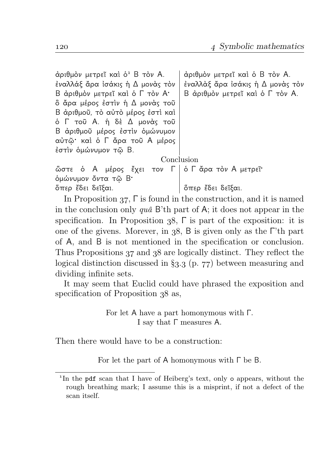| άριθμόν μετρεῖ καὶ ὁ <sup>1</sup> Β τὸν Α.                    | άριθμόν μετρεῖ καὶ ὁ Β τὸν Α.    |  |
|---------------------------------------------------------------|----------------------------------|--|
| έναλλάξ ἄρα ἰσάκις ή Δ μονάς τόν                              | έναλλάξ άρα Ισάκις ή Δ μονάς τόν |  |
| Β ἀριθμὸν μετρεῖ καὶ ὁ Γ τὸν Α.                               | Β άριθμόν μετρεῖ καὶ ὁ Γ τὸν Α.  |  |
| ὃ ἄρα μέρος ἐστὶν ἡ Δ μονὰς τοῦ                               |                                  |  |
| Β άριθμοῦ, τὸ αὐτὸ μέρος ἐστὶ καὶ                             |                                  |  |
| ό Γ τοῦ Α. ἡ δὲ Δ μονὰς τοῦ                                   |                                  |  |
| Β ἀριθμοῦ μέρος ἐστὶν ὁμώνυμον                                |                                  |  |
| αὐτῷ· καὶ ὁ Γ ἄρα τοῦ Α μέρος                                 |                                  |  |
| ἐστὶν ὁμώνυμον τῷ Β.                                          |                                  |  |
| Conclusion                                                    |                                  |  |
| ὥστε ὁ Α μέρος ἔχει τον Γ   ὁ Γ ἄρα τὸν Α μετρεῖ <sup>.</sup> |                                  |  |
| όμώνυμον όντα τ <b>ώ</b> Β·                                   |                                  |  |
| ὄπερ ἔδει δεῖξαι.                                             | όπερ έδει δεΐξαι.                |  |

In Proposition  $37$ ,  $\Gamma$  is found in the construction, and it is named in the conclusion only  $qu\hat{a}$  B'th part of A; it does not appear in the specification. In Proposition  $38$ ,  $\Gamma$  is part of the exposition: it is one of the givens. Morever, in  $38$ , B is given only as the Γ'th part of Α, and Β is not mentioned in the specification or conclusion. Thus Propositions 37 and 38 are logically distinct. They reflect the logical distinction discussed in  $\S$ 3.3 (p. 77) between measuring and dividing infinite sets.

It may seem that Euclid could have phrased the exposition and specification of Proposition  $38$  as,

> For let Α have a part homonymous with Γ. I say that Γ measures Α.

Then there would have to be a construction:

For let the part of Α homonymous with Γ be Β.

<sup>&</sup>lt;sup>1</sup>In the pdf scan that I have of Heiberg's text, only o appears, without the rough breathing mark; I assume this is a misprint, if not a defect of the scan itself.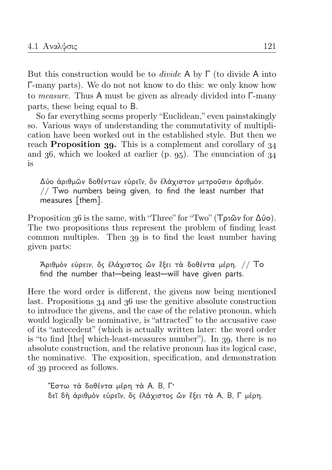But this construction would be to *divide* A by  $\Gamma$  (to divide A into Γ-many parts). We do not not know to do this: we only know how to measure. Thus Α must be given as already divided into Γ-many parts, these being equal to Β.

So far everything seems properly "Euclidean," even painstakingly so. Various ways of understanding the commutativity of multiplication have been worked out in the established style. But then we reach **Proposition 39.** This is a complement and corollary of  $34$ and  $36$ , which we looked at earlier (p. 95). The enunciation of  $34$ is

∆ύο ἀριθμῶν δοθέντων εὑρεῖν, ὃν ἐλάχιστον μετροῦσιν ἀριθμόν. // Two numbers being given, to find the least number that measures [them].

Proposition 36 is the same, with "Three" for "Two" (Τριῶν for Δύο). The two propositions thus represent the problem of finding least common multiples. Then 39 is to find the least number having given parts:

᾿Αριθμὸν εὑρειν, ὃς ἐλάχιστος ὢν ἕξει τὰ δοθέντα μέρη. // To find the number that—being least—will have given parts.

Here the word order is different, the givens now being mentioned last. Propositions  $34$  and  $36$  use the genitive absolute construction to introduce the givens, and the case of the relative pronoun, which would logically be nominative, is "attracted" to the accusative case of its "antecedent" (which is actually written later: the word order is "to find  $[the]$  which-least-measures number"). In 39, there is no absolute construction, and the relative pronoun has its logical case, the nominative. The exposition, specification, and demonstration of 39 proceed as follows.

῎Εστω τὰ δοθέντα μέρη τὰ Α, Β, Γ· δεῖ δὴ ἀριθμὸν εὑρεῖν, ὃς ἐλάχιστος ὢν ἕξει τὰ Α, Β, Γ μέρη.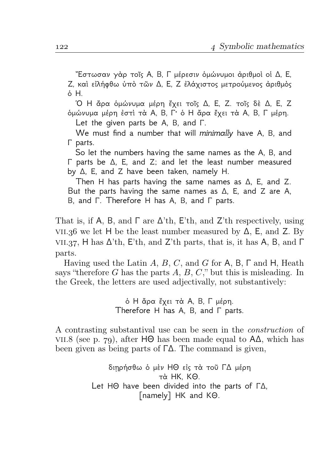῎Εστωσαν γὰρ τοῖς Α, Β, Γ μέρεσιν ὁμώνυμοι ἀριθμοὶ οἱ ∆, Ε, Ζ, καὶ εἰλήφθω ὑπὸ τῶν ∆, Ε, Ζ ἐλάχιστος μετρούμενος ἀριθμὸς ὁ Η.

῾Ο Η ἄρα ὁμώνυμα μέρη ἔχει τοῖς ∆, Ε, Ζ. τοῖς δὲ ∆, Ε, Ζ ὁμώνυμα μέρη ἐστὶ τὰ Α, Β, Γ· ὁ Η ἄρα ἔχει τὰ Α, Β, Γ μέρη.

Let the given parts be Α, Β, and Γ.

We must find a number that will *minimally* have Α, Β, and Γ parts.

So let the numbers having the same names as the Α, Β, and Γ parts be ∆, Ε, and Ζ; and let the least number measured by ∆, Ε, and Ζ have been taken, namely Η.

Then Η has parts having the same names as ∆, Ε, and Ζ. But the parts having the same names as  $\Delta$ , E, and Z are A, Β, and Γ. Therefore Η has Α, Β, and Γ parts.

That is, if A, B, and  $\Gamma$  are  $\Delta$ 'th, E'th, and Z'th respectively, using VII.36 we let H be the least number measured by  $\Delta$ , E, and Z. By VII.37, H has  $\Delta'$ th, E'th, and Z'th parts, that is, it has A, B, and  $\Gamma$ parts.

Having used the Latin A, B, C, and G for A, B,  $\Gamma$  and H, Heath says "therefore G has the parts  $A, B, C$ ," but this is misleading. In the Greek, the letters are used adjectivally, not substantively:

> ὁ Η ἄρα ἔχει τὰ Α, Β, Γ μέρη. Therefore Η has Α, Β, and Γ parts.

A contrasting substantival use can be seen in the construction of vII.8 (see p.  $\overline{79}$ ), after HΘ has been made equal to  $\overline{A}\Delta$ , which has been given as being parts of Γ∆. The command is given,

> διῃρήσθω ὁ μὲν ΗΘ εἰς τὰ τοῦ Γ∆ μέρη τὰ ΗΚ, ΚΘ. Let ΗΘ have been divided into the parts of Γ∆, [namely] ΗΚ and ΚΘ.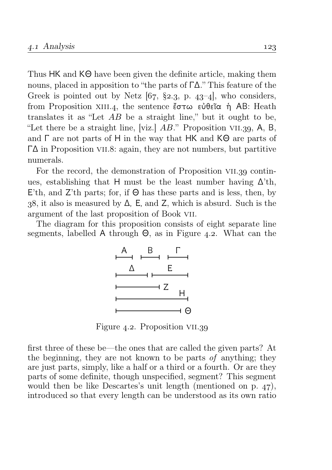Thus ΗΚ and ΚΘ have been given the definite article, making them nouns, placed in apposition to "the parts of Γ∆." This feature of the Greek is pointed out by Netz  $[67, §2.3, p. 43-4]$ , who considers, from Proposition xiii., the sentence ἔστω εὐθεῖα ἡ ΑΒ: Heath translates it as "Let AB be a straight line," but it ought to be, "Let there be a straight line, [viz.]  $AB$ ." Proposition VII.39, A, B, and Γ are not parts of Η in the way that ΗΚ and ΚΘ are parts of  $\Gamma\Delta$  in Proposition VII.8: again, they are not numbers, but partitive numerals.

For the record, the demonstration of Proposition VII.39 continues, establishing that Η must be the least number having ∆'th, E'th, and Z'th parts; for, if  $\Theta$  has these parts and is less, then, by 38, it also is measured by  $Δ$ , E, and Z, which is absurd. Such is the argument of the last proposition of Book vii.

The diagram for this proposition consists of eight separate line segments, labelled A through  $\Theta$ , as in Figure 4.2. What can the



Figure 4.2. Proposition VII.39

first three of these be—the ones that are called the given parts? At the beginning, they are not known to be parts of anything; they are just parts, simply, like a half or a third or a fourth. Or are they parts of some definite, though unspecified, segment? This segment would then be like Descartes's unit length (mentioned on p.  $47$ ), introduced so that every length can be understood as its own ratio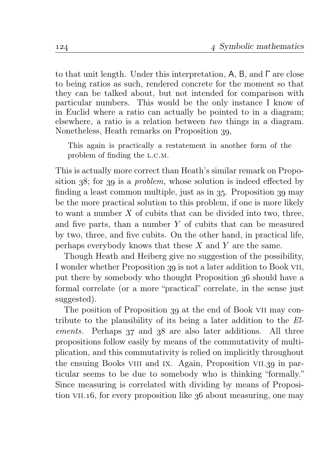to that unit length. Under this interpretation, Α, Β, and Γ are close to being ratios as such, rendered concrete for the moment so that they can be talked about, but not intended for comparison with particular numbers. This would be the only instance I know of in Euclid where a ratio can actually be pointed to in a diagram; elsewhere, a ratio is a relation between two things in a diagram. Nonetheless, Heath remarks on Proposition 39,

This again is practically a restatement in another form of the problem of finding the l.c.m.

This is actually more correct than Heath's similar remark on Proposition  $38$ ; for  $39$  is a *problem*, whose solution is indeed effected by finding a least common multiple, just as in  $35$ . Proposition  $39$  may be the more practical solution to this problem, if one is more likely to want a number  $X$  of cubits that can be divided into two, three, and five parts, than a number  $Y$  of cubits that can be measured by two, three, and five cubits. On the other hand, in practical life, perhaps everybody knows that these  $X$  and  $Y$  are the same.

Though Heath and Heiberg give no suggestion of the possibility, I wonder whether Proposition 39 is not a later addition to Book VII, put there by somebody who thought Proposition 36 should have a formal correlate (or a more "practical" correlate, in the sense just suggested).

The position of Proposition 39 at the end of Book VII may contribute to the plausibility of its being a later addition to the El $ements.$  Perhaps  $37$  and  $38$  are also later additions. All three propositions follow easily by means of the commutativity of multiplication, and this commutativity is relied on implicitly throughout the ensuing Books VIII and IX. Again, Proposition VII.39 in particular seems to be due to somebody who is thinking "formally." Since measuring is correlated with dividing by means of Proposition VII.16, for every proposition like 36 about measuring, one may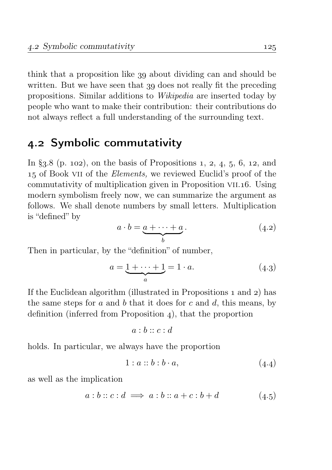think that a proposition like 39 about dividing can and should be written. But we have seen that 39 does not really fit the preceding propositions. Similar additions to Wikipedia are inserted today by people who want to make their contribution: their contributions do not always reflect a full understanding of the surrounding text.

#### . Symbolic commutativity

In §3.8 (p. 102), on the basis of Propositions 1, 2, 4, 5, 6, 12, and 15 of Book VII of the *Elements*, we reviewed Euclid's proof of the commutativity of multiplication given in Proposition VII.16. Using modern symbolism freely now, we can summarize the argument as follows. We shall denote numbers by small letters. Multiplication is "defined" by

$$
a \cdot b = \underbrace{a + \dots + a}_{b}.\tag{4.2}
$$

Then in particular, by the "definition" of number,

$$
a = \underbrace{1 + \dots + 1}_{a} = 1 \cdot a. \tag{4.3}
$$

If the Euclidean algorithm (illustrated in Propositions 1 and 2) has the same steps for a and b that it does for c and d, this means, by definition (inferred from Proposition  $\phi$ ), that the proportion

$$
a:b::c:d
$$

holds. In particular, we always have the proportion

$$
1: a::b:b\cdot a,
$$
\n
$$
(4.4)
$$

as well as the implication

$$
a:b::c:d \implies a:b::a+c:b+d \qquad (4.5)
$$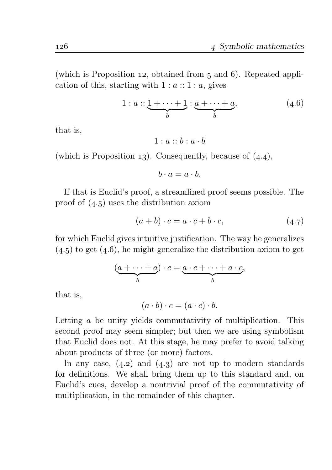(which is Proposition 12, obtained from  $5$  and 6). Repeated application of this, starting with  $1 : a :: 1 : a$ , gives

$$
1: a:: \underbrace{1+\cdots+1}_{b}:\underbrace{a+\cdots+a}_{b}, \tag{4.6}
$$

that is,

 $1 : a :: b : a \cdot b$ 

(which is Proposition 13). Consequently, because of  $(4.4)$ ,

$$
b \cdot a = a \cdot b.
$$

If that is Euclid's proof, a streamlined proof seems possible. The proof of  $(4.5)$  uses the distribution axiom

$$
(a+b)\cdot c = a\cdot c + b\cdot c,\tag{4.7}
$$

for which Euclid gives intuitive justification. The way he generalizes  $(4.5)$  to get  $(4.6)$ , he might generalize the distribution axiom to get

$$
(\underbrace{a + \dots + a}_{b}) \cdot c = \underbrace{a \cdot c + \dots + a \cdot c}_{b},
$$

that is,

$$
(a \cdot b) \cdot c = (a \cdot c) \cdot b.
$$

Letting a be unity yields commutativity of multiplication. This second proof may seem simpler; but then we are using symbolism that Euclid does not. At this stage, he may prefer to avoid talking about products of three (or more) factors.

In any case,  $(4.2)$  and  $(4.3)$  are not up to modern standards for definitions. We shall bring them up to this standard and, on Euclid's cues, develop a nontrivial proof of the commutativity of multiplication, in the remainder of this chapter.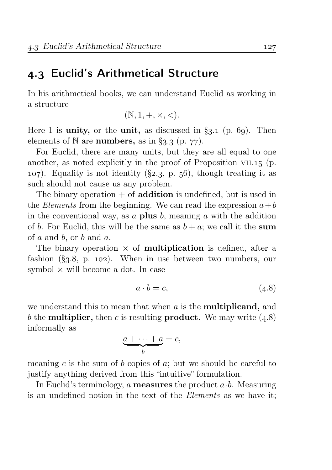#### . Euclid's Arithmetical Structure

In his arithmetical books, we can understand Euclid as working in a structure

$$
(\mathbb{N},1,+,\times,<).
$$

Here 1 is **unity**, or the **unit**, as discussed in  $\S$ 3.1 (p. 69). Then elements of N are **numbers**, as in  $\S$ 3.3 (p. 77).

For Euclid, there are many units, but they are all equal to one another, as noted explicitly in the proof of Proposition  $VII.15$  (p. 107). Equality is not identity  $(\S_2, \S_2, \S_1, \S_2, \S_3)$ , though treating it as such should not cause us any problem.

The binary operation  $+$  of **addition** is undefined, but is used in the Elements from the beginning. We can read the expression  $a+b$ in the conventional way, as  $a$  plus  $b$ , meaning  $a$  with the addition of b. For Euclid, this will be the same as  $b + a$ ; we call it the sum of a and b, or b and a.

The binary operation  $\times$  of **multiplication** is defined, after a fashion  $(\S_3, \S_2, \S_1, \S_3, \S_2)$ . When in use between two numbers, our symbol  $\times$  will become a dot. In case

$$
a \cdot b = c,\tag{4.8}
$$

we understand this to mean that when  $a$  is the **multiplicand**, and b the **multiplier**, then c is resulting **product.** We may write  $(4.8)$ informally as

$$
\underbrace{a+\cdots+a}_{b}=c,
$$

meaning c is the sum of b copies of a; but we should be careful to justify anything derived from this "intuitive" formulation.

In Euclid's terminology, a **measures** the product  $a \cdot b$ . Measuring is an undefined notion in the text of the Elements as we have it;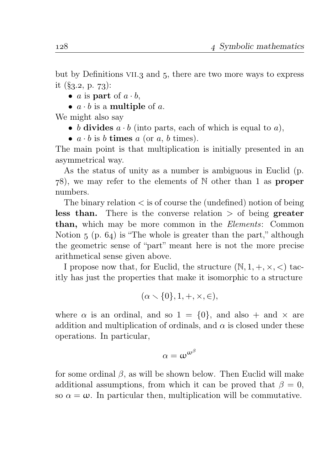but by Definitions VII.3 and 5, there are two more ways to express it  $(\S_3.2, p. 73)$ :

- $a$  is part of  $a \cdot b$ ,
- $a \cdot b$  is a multiple of a.

We might also say

- b divides  $a \cdot b$  (into parts, each of which is equal to a),
- $a \cdot b$  is b times a (or a, b times).

The main point is that multiplication is initially presented in an asymmetrical way.

As the status of unity as a number is ambiguous in Euclid (p.  $(78)$ , we may refer to the elements of N other than 1 as **proper** numbers.

The binary relation  $\lt$  is of course the (undefined) notion of being less than. There is the converse relation  $>$  of being greater than, which may be more common in the *Elements*: Common Notion  $5$  (p. 64) is "The whole is greater than the part," although the geometric sense of "part" meant here is not the more precise arithmetical sense given above.

I propose now that, for Euclid, the structure  $(N, 1, +, \times, <)$  tacitly has just the properties that make it isomorphic to a structure

$$
(\alpha\smallsetminus\{0\},1, +, \times, \in),
$$

where  $\alpha$  is an ordinal, and so  $1 = \{0\}$ , and also + and  $\times$  are addition and multiplication of ordinals, and  $\alpha$  is closed under these operations. In particular,

$$
\alpha=\omega^{\omega^\beta}
$$

for some ordinal  $\beta$ , as will be shown below. Then Euclid will make additional assumptions, from which it can be proved that  $\beta = 0$ , so  $\alpha = \omega$ . In particular then, multiplication will be commutative.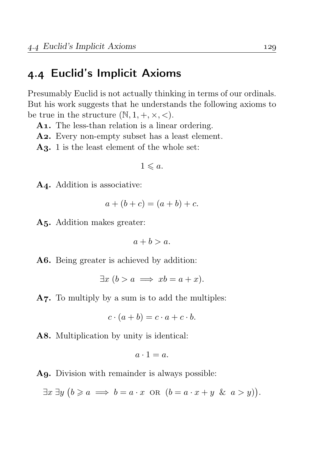#### . Euclid's Implicit Axioms

Presumably Euclid is not actually thinking in terms of our ordinals. But his work suggests that he understands the following axioms to be true in the structure  $(N, 1, +, \times, <)$ .

A<sub>1</sub>. The less-than relation is a linear ordering.

A2. Every non-empty subset has a least element.

A<sub>3</sub>. 1 is the least element of the whole set:

```
1 \leq a.
```
A<sub>4</sub>. Addition is associative:

 $a + (b + c) = (a + b) + c.$ 

A.5. Addition makes greater:

 $a + b > a$ .

A.6. Being greater is achieved by addition:

 $\exists x (b > a \implies xb = a + x).$ 

 $A_7$ . To multiply by a sum is to add the multiples:

$$
c \cdot (a+b) = c \cdot a + c \cdot b.
$$

A. Multiplication by unity is identical:

$$
a\cdot 1=a.
$$

Ag. Division with remainder is always possible:

 $\exists x \exists y \ (b \geq a \implies b = a \cdot x \text{ on } (b = a \cdot x + y \And a > y)).$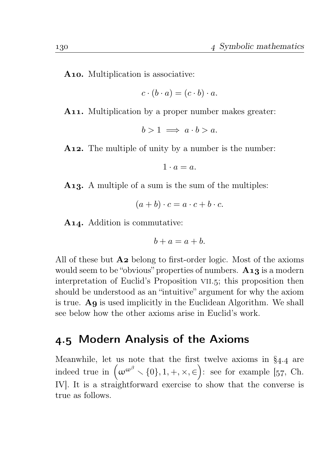A<sub>10</sub>. Multiplication is associative:

$$
c \cdot (b \cdot a) = (c \cdot b) \cdot a.
$$

A11. Multiplication by a proper number makes greater:

$$
b>1 \implies a \cdot b > a.
$$

A<sub>12</sub>. The multiple of unity by a number is the number:

$$
1 \cdot a = a.
$$

A<sub>13</sub>. A multiple of a sum is the sum of the multiples:

$$
(a+b)\cdot c = a\cdot c + b\cdot c.
$$

A<sub>14</sub>. Addition is commutative:

$$
b + a = a + b.
$$

All of these but  $A_2$  belong to first-order logic. Most of the axioms would seem to be "obvious" properties of numbers.  $\mathbf{A}_1 \mathbf{3}$  is a modern interpretation of Euclid's Proposition VII.5; this proposition then should be understood as an "intuitive" argument for why the axiom is true.  $\mathbf{A}\mathbf{g}$  is used implicitly in the Euclidean Algorithm. We shall see below how the other axioms arise in Euclid's work.

#### . Modern Analysis of the Axioms

Meanwhile, let us note that the first twelve axioms in  $\S$ 4.4 are indeed true in  $(\omega^{\omega^{\beta}} \setminus \{0\}, 1, +, \times, \in)$ : see for example [57, Ch. IV]. It is a straightforward exercise to show that the converse is true as follows.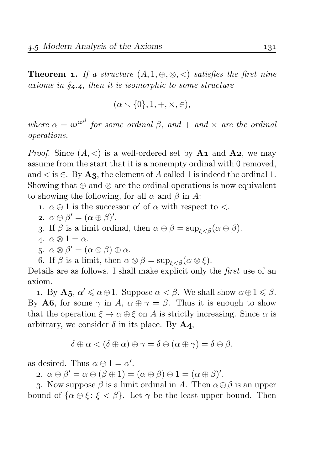**Theorem 1.** If a structure  $(A, 1, \oplus, \otimes, \leq)$  satisfies the first nine axioms in  $\S_4.4$ , then it is isomorphic to some structure

$$
(\alpha\smallsetminus\{0\},1,+,\times,\in),
$$

where  $\alpha = \omega^{\omega^{\beta}}$  for some ordinal  $\beta$ , and  $+$  and  $\times$  are the ordinal operations.

*Proof.* Since  $(A, \leq)$  is a well-ordered set by **A1** and **A2**, we may assume from the start that it is a nonempty ordinal with 0 removed, and  $\lt$  is  $\in$ . By A<sub>3</sub>, the element of A called 1 is indeed the ordinal 1. Showing that  $\oplus$  and  $\otimes$  are the ordinal operations is now equivalent to showing the following, for all  $\alpha$  and  $\beta$  in A:

- 1.  $\alpha \oplus 1$  is the successor  $\alpha'$  of  $\alpha$  with respect to <.
- 2.  $\alpha \oplus \beta' = (\alpha \oplus \beta)'$ .
- 3. If  $\beta$  is a limit ordinal, then  $\alpha \oplus \beta = \sup_{\xi \leq \beta} (\alpha \oplus \beta)$ .
- 4.  $\alpha \otimes 1 = \alpha$ .
- 5.  $\alpha \otimes \beta' = (\alpha \otimes \beta) \oplus \alpha$ .
- 6. If  $\beta$  is a limit, then  $\alpha \otimes \beta = \sup_{\xi < \beta} (\alpha \otimes \xi)$ .

Details are as follows. I shall make explicit only the first use of an axiom.

1. By  $\mathbf{A}_5, \alpha' \leq \alpha \oplus 1$ . Suppose  $\alpha < \beta$ . We shall show  $\alpha \oplus 1 \leq \beta$ . By **A6**, for some  $\gamma$  in A,  $\alpha \oplus \gamma = \beta$ . Thus it is enough to show that the operation  $\xi \mapsto \alpha \oplus \xi$  on A is strictly increasing. Since  $\alpha$  is arbitrary, we consider  $\delta$  in its place. By  $\mathbf{A}_4$ ,

$$
\delta \oplus \alpha < (\delta \oplus \alpha) \oplus \gamma = \delta \oplus (\alpha \oplus \gamma) = \delta \oplus \beta,
$$

as desired. Thus  $\alpha \oplus 1 = \alpha'$ .

2.  $\alpha \oplus \beta' = \alpha \oplus (\beta \oplus 1) = (\alpha \oplus \beta) \oplus 1 = (\alpha \oplus \beta)'$ .

3. Now suppose  $\beta$  is a limit ordinal in A. Then  $\alpha \oplus \beta$  is an upper bound of  $\{\alpha \oplus \xi : \xi < \beta\}$ . Let  $\gamma$  be the least upper bound. Then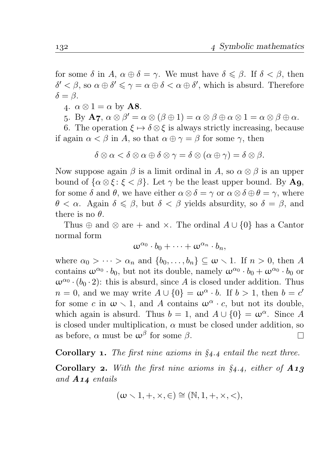for some  $\delta$  in  $A, \alpha \oplus \delta = \gamma$ . We must have  $\delta \leq \beta$ . If  $\delta < \beta$ , then  $\delta' < \beta$ , so  $\alpha \oplus \delta' \leq \gamma = \alpha \oplus \delta < \alpha \oplus \delta'$ , which is absurd. Therefore  $\delta = \beta$ .

4.  $\alpha \otimes 1 = \alpha$  by **A8**.

5. By  $\mathbf{A}_7$ ,  $\alpha \otimes \beta' = \alpha \otimes (\beta \oplus 1) = \alpha \otimes \beta \oplus \alpha \otimes 1 = \alpha \otimes \beta \oplus \alpha$ .

6. The operation  $\xi \mapsto \delta \otimes \xi$  is always strictly increasing, because if again  $\alpha < \beta$  in A, so that  $\alpha \oplus \gamma = \beta$  for some  $\gamma$ , then

$$
\delta\otimes\alpha<\delta\otimes\alpha\oplus\delta\otimes\gamma=\delta\otimes(\alpha\oplus\gamma)=\delta\otimes\beta.
$$

Now suppose again  $\beta$  is a limit ordinal in A, so  $\alpha \otimes \beta$  is an upper bound of  $\{\alpha \otimes \xi : \xi < \beta\}$ . Let  $\gamma$  be the least upper bound. By  $\mathbf{A}\mathbf{g}$ , for some  $\delta$  and  $\theta$ , we have either  $\alpha \otimes \delta = \gamma$  or  $\alpha \otimes \delta \oplus \theta = \gamma$ , where  $\theta < \alpha$ . Again  $\delta \leq \beta$ , but  $\delta < \beta$  yields absurdity, so  $\delta = \beta$ , and there is no  $\theta$ .

Thus ⊕ and ⊗ are + and  $\times$ . The ordinal  $A \cup \{0\}$  has a Cantor normal form

$$
\omega^{\alpha_0}\cdot b_0+\cdots+\omega^{\alpha_n}\cdot b_n,
$$

where  $\alpha_0 > \cdots > \alpha_n$  and  $\{b_0, \ldots, b_n\} \subseteq \omega \setminus 1$ . If  $n > 0$ , then A contains  $\omega^{\alpha_0} \cdot b_0$ , but not its double, namely  $\omega^{\alpha_0} \cdot b_0 + \omega^{\alpha_0} \cdot b_0$  or  $\omega^{\alpha_0} \cdot (b_0 \cdot 2)$ : this is absurd, since A is closed under addition. Thus  $n = 0$ , and we may write  $A \cup \{0\} = \omega^{\alpha} \cdot b$ . If  $b > 1$ , then  $b = c'$ for some c in  $\omega \setminus 1$ , and A contains  $\omega^{\alpha} \cdot c$ , but not its double, which again is absurd. Thus  $b = 1$ , and  $A \cup \{0\} = \omega^{\alpha}$ . Since A is closed under multiplication,  $\alpha$  must be closed under addition, so as before,  $\alpha$  must be  $\omega^{\beta}$  for some  $\beta$ .  $\Box$ 

**Corollary 1.** The first nine axioms in  $\S_4.4$  entail the next three.

**Corollary 2.** With the first nine axioms in  $\S_{4.4}$ , either of **A13** and  $A_{14}$  entails

$$
(\omega\smallsetminus 1, +, \times, \in)\cong (\mathbb{N}, 1, +, \times, <),
$$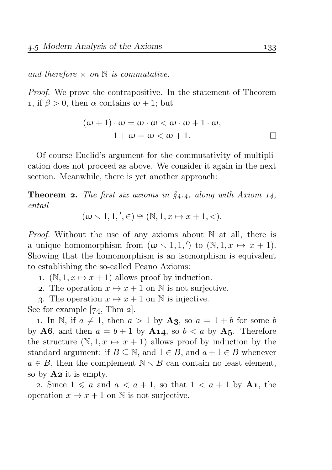and therefore  $\times$  on  $\mathbb N$  is commutative.

*Proof.* We prove the contrapositive. In the statement of Theorem 1, if  $\beta > 0$ , then  $\alpha$  contains  $\omega + 1$ ; but

$$
(\omega + 1) \cdot \omega = \omega \cdot \omega < \omega \cdot \omega + 1 \cdot \omega,
$$
  

$$
1 + \omega = \omega < \omega + 1.
$$

Of course Euclid's argument for the commutativity of multiplication does not proceed as above. We consider it again in the next section. Meanwhile, there is yet another approach:

**Theorem 2.** The first six axioms in  $\S_{4.4}$ , along with Axiom 14, entail

$$
(\omega \smallsetminus 1, 1, ', \in ) \cong (\mathbb{N}, 1, x \mapsto x + 1, <).
$$

*Proof.* Without the use of any axioms about  $\mathbb N$  at all, there is a unique homomorphism from  $(\omega \setminus 1, 1,')$  to  $(\mathbb{N}, 1, x \mapsto x + 1)$ . Showing that the homomorphism is an isomorphism is equivalent to establishing the so-called Peano Axioms:

1.  $(N, 1, x \mapsto x + 1)$  allows proof by induction.

2. The operation  $x \mapsto x + 1$  on N is not surjective.

3. The operation  $x \mapsto x + 1$  on N is injective.

See for example  $[74, Thm 2]$ .

1. In N, if  $a \neq 1$ , then  $a > 1$  by A<sub>3</sub>, so  $a = 1 + b$  for some b by **A6**, and then  $a = b + 1$  by **A14**, so  $b < a$  by **A5**. Therefore the structure  $(N, 1, x \mapsto x + 1)$  allows proof by induction by the standard argument: if  $B \subseteq \mathbb{N}$ , and  $1 \in B$ , and  $a + 1 \in B$  whenever  $a \in B$ , then the complement  $\mathbb{N} \setminus B$  can contain no least element, so by  $A_2$  it is empty.

2. Since  $1 \leq a$  and  $a < a + 1$ , so that  $1 < a + 1$  by **A**<sub>1</sub>, the operation  $x \mapsto x + 1$  on N is not surjective.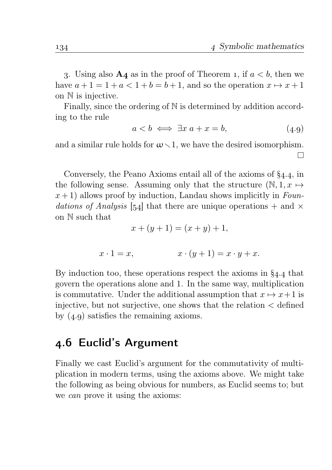3. Using also  $\mathbf{A}_4$  as in the proof of Theorem 1, if  $a < b$ , then we have  $a+1=1+a<1+b=b+1$ , and so the operation  $x\mapsto x+1$ on N is injective.

Finally, since the ordering of N is determined by addition according to the rule

$$
a < b \iff \exists x \ a + x = b,\tag{4.9}
$$

and a similar rule holds for  $\omega \setminus 1$ , we have the desired isomorphism.  $\Box$ 

Conversely, the Peano Axioms entail all of the axioms of  $\S$ <sub>4</sub>.4, in the following sense. Assuming only that the structure  $(\mathbb{N}, 1, x \mapsto$  $x + 1$ ) allows proof by induction, Landau shows implicitly in Foundations of Analysis [54] that there are unique operations + and  $\times$ on N such that

$$
x + (y + 1) = (x + y) + 1,
$$
  

$$
x \cdot 1 = x, \qquad x \cdot (y + 1) = x \cdot y + x.
$$

By induction too, these operations respect the axioms in  $\S$ 4.4 that govern the operations alone and 1. In the same way, multiplication is commutative. Under the additional assumption that  $x \mapsto x+1$  is injective, but not surjective, one shows that the relation  $\lt$  defined by  $(4.9)$  satisfies the remaining axioms.

#### 4.6 Euclid's Argument

Finally we cast Euclid's argument for the commutativity of multiplication in modern terms, using the axioms above. We might take the following as being obvious for numbers, as Euclid seems to; but we *can* prove it using the axioms: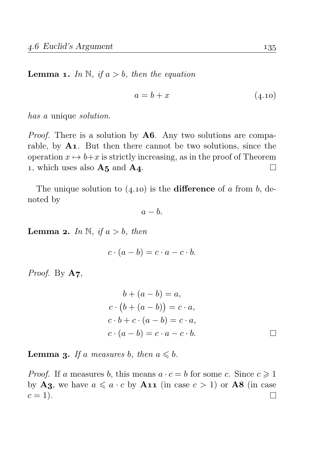**Lemma 1.** In N, if  $a > b$ , then the equation

$$
a = b + x \tag{4.10}
$$

has a unique solution.

*Proof.* There is a solution by  $\bf{A6}$ . Any two solutions are comparable, by  $\mathbf{A}_1$ . But then there cannot be two solutions, since the operation  $x \mapsto b+x$  is strictly increasing, as in the proof of Theorem<br>1. which uses also  $A5$  and  $A4$ . 1, which uses also  $A_5$  and  $A_4$ .

The unique solution to  $(4.10)$  is the **difference** of a from b, denoted by

$$
a-b.
$$

**Lemma 2.** In N, if  $a > b$ , then

$$
c \cdot (a - b) = c \cdot a - c \cdot b.
$$

Proof. By  $A_7$ ,

$$
b + (a - b) = a,
$$
  
\n
$$
c \cdot (b + (a - b)) = c \cdot a,
$$
  
\n
$$
c \cdot b + c \cdot (a - b) = c \cdot a,
$$
  
\n
$$
c \cdot (a - b) = c \cdot a - c \cdot b.
$$

**Lemma 3.** If a measures b, then  $a \leq b$ .

*Proof.* If a measures b, this means  $a \cdot c = b$  for some c. Since  $c \ge 1$ by **A<sub>3</sub>**, we have  $a \leq a \cdot c$  by **A<sub>11</sub>** (in case  $c > 1$ ) or **A8** (in case  $c = 1$ ).  $c=1$ ).

 $\Box$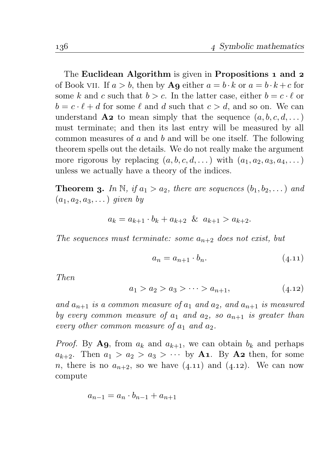The Euclidean Algorithm is given in Propositions  $\bf{1}$  and  $\bf{2}$ of Book VII. If  $a > b$ , then by **Ag** either  $a = b \cdot k$  or  $a = b \cdot k + c$  for some k and c such that  $b > c$ . In the latter case, either  $b = c \cdot \ell$  or  $b = c \cdot \ell + d$  for some  $\ell$  and  $d$  such that  $c > d$ , and so on. We can understand  $\mathbf{A_2}$  to mean simply that the sequence  $(a, b, c, d, \dots)$ must terminate; and then its last entry will be measured by all common measures of  $a$  and  $b$  and will be one itself. The following theorem spells out the details. We do not really make the argument more rigorous by replacing  $(a, b, c, d, ...)$  with  $(a_1, a_2, a_3, a_4, ...)$ unless we actually have a theory of the indices.

**Theorem 3.** In N, if  $a_1 > a_2$ , there are sequences  $(b_1, b_2, \dots)$  and  $(a_1, a_2, a_3, \dots)$  given by

$$
a_k = a_{k+1} \cdot b_k + a_{k+2} \& a_{k+1} > a_{k+2}.
$$

The sequences must terminate: some  $a_{n+2}$  does not exist, but

$$
a_n = a_{n+1} \cdot b_n. \tag{4.11}
$$

Then

$$
a_1 > a_2 > a_3 > \cdots > a_{n+1}, \qquad (4.12)
$$

and  $a_{n+1}$  is a common measure of  $a_1$  and  $a_2$ , and  $a_{n+1}$  is measured by every common measure of  $a_1$  and  $a_2$ , so  $a_{n+1}$  is greater than every other common measure of  $a_1$  and  $a_2$ .

*Proof.* By A9, from  $a_k$  and  $a_{k+1}$ , we can obtain  $b_k$  and perhaps  $a_{k+2}$ . Then  $a_1 > a_2 > a_3 > \cdots$  by **A1**. By **A2** then, for some n, there is no  $a_{n+2}$ , so we have  $(4.11)$  and  $(4.12)$ . We can now compute

$$
a_{n-1} = a_n \cdot b_{n-1} + a_{n+1}
$$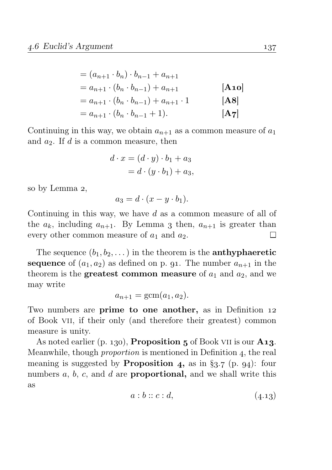$$
= (a_{n+1} \cdot b_n) \cdot b_{n-1} + a_{n+1}
$$
  
\n
$$
= a_{n+1} \cdot (b_n \cdot b_{n-1}) + a_{n+1}
$$
 [A10]  
\n
$$
= a_{n+1} \cdot (b_n \cdot b_{n-1}) + a_{n+1} \cdot 1
$$
 [A8]  
\n
$$
= a_{n+1} \cdot (b_n \cdot b_{n-1} + 1).
$$
 [A7]

Continuing in this way, we obtain  $a_{n+1}$  as a common measure of  $a_1$ and  $a_2$ . If d is a common measure, then

$$
d \cdot x = (d \cdot y) \cdot b_1 + a_3
$$
  
= 
$$
d \cdot (y \cdot b_1) + a_3,
$$

so by Lemma 2,

$$
a_3 = d \cdot (x - y \cdot b_1).
$$

Continuing in this way, we have  $d$  as a common measure of all of the  $a_k$ , including  $a_{n+1}$ . By Lemma 3 then,  $a_{n+1}$  is greater than every other common measure of  $a_1$  and  $a_2$ . П

The sequence  $(b_1, b_2, \dots)$  in the theorem is the **anthyphaeretic** sequence of  $(a_1, a_2)$  as defined on p. 91. The number  $a_{n+1}$  in the theorem is the **greatest common measure** of  $a_1$  and  $a_2$ , and we may write

$$
a_{n+1} = \operatorname{gcm}(a_1, a_2).
$$

Two numbers are **prime to one another**, as in Definition 12 of Book vii, if their only (and therefore their greatest) common measure is unity.

As noted earlier  $(p. 130)$ , **Proposition 5** of Book VII is our  $A13$ . Meanwhile, though *proportion* is mentioned in Definition  $\alpha$ , the real meaning is suggested by **Proposition 4**, as in  $\S$ 3.7 (p. 94): four numbers  $a, b, c$ , and  $d$  are **proportional**, and we shall write this as

$$
a:b::c:d,
$$
\n
$$
(4.13)
$$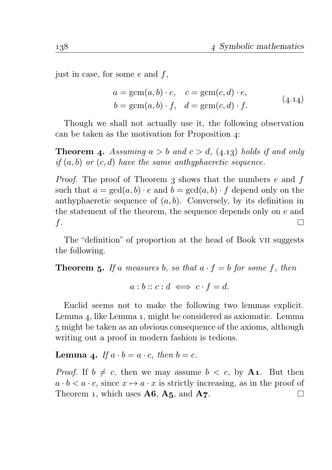just in case, for some  $e$  and  $f$ ,

$$
a = \text{gcm}(a, b) \cdot e, \quad c = \text{gcm}(c, d) \cdot e,
$$
  
\n
$$
b = \text{gcm}(a, b) \cdot f, \quad d = \text{gcm}(c, d) \cdot f.
$$
\n(4.14)

Though we shall not actually use it, the following observation can be taken as the motivation for Proposition  $\alpha$ :

**Theorem 4.** Assuming  $a > b$  and  $c > d$ , (4.13) holds if and only if  $(a, b)$  or  $(c, d)$  have the same anthyphaeretic sequence.

*Proof.* The proof of Theorem 3 shows that the numbers  $e$  and  $f$ such that  $a = \gcd(a, b) \cdot e$  and  $b = \gcd(a, b) \cdot f$  depend only on the anthyphaeretic sequence of  $(a, b)$ . Conversely, by its definition in the statement of the theorem, the sequence depends only on e and f.  $\Box$ 

The "definition" of proportion at the head of Book VII suggests the following.

**Theorem 5.** If a measures b, so that  $a \cdot f = b$  for some f, then

$$
a:b::c:d \iff c \cdot f = d.
$$

Euclid seems not to make the following two lemmas explicit. Lemma 4, like Lemma 1, might be considered as axiomatic. Lemma might be taken as an obvious consequence of the axioms, although writing out a proof in modern fashion is tedious.

**Lemma 4.** If  $a \cdot b = a \cdot c$ , then  $b = c$ .

*Proof.* If  $b \neq c$ , then we may assume  $b < c$ , by **A1**. But then  $a \cdot b < a \cdot c$ , since  $x \mapsto a \cdot x$  is strictly increasing, as in the proof of Theorem 1, which uses  $A6$ ,  $A_5$ , and  $A_7$ . □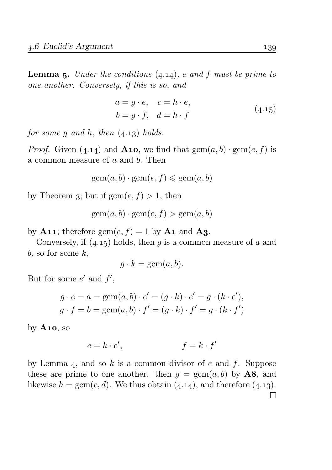**Lemma 5.** Under the conditions  $(4.14)$ , e and f must be prime to one another. Conversely, if this is so, and

$$
a = g \cdot e, \quad c = h \cdot e,
$$
  
\n
$$
b = g \cdot f, \quad d = h \cdot f
$$
\n(4.15)

for some  $q$  and  $h$ , then  $(4.13)$  holds.

*Proof.* Given (4.14) and **A10**, we find that  $\text{gcm}(a, b) \cdot \text{gcm}(e, f)$  is a common measure of a and b. Then

$$
gcm(a, b) \cdot gcm(e, f) \le gcm(a, b)
$$

by Theorem 3; but if  $gcm(e, f) > 1$ , then

$$
gcm(a, b) \cdot gcm(e, f) > gcm(a, b)
$$

by **A11**; therefore  $\text{gcm}(e, f) = 1$  by **A1** and **A3**.

Conversely, if  $(4.15)$  holds, then g is a common measure of a and  $b$ , so for some  $k$ ,

$$
g \cdot k = \text{gcm}(a, b).
$$

But for some  $e'$  and  $f'$ ,

$$
g \cdot e = a = \text{gcm}(a, b) \cdot e' = (g \cdot k) \cdot e' = g \cdot (k \cdot e'),
$$
  

$$
g \cdot f = b = \text{gcm}(a, b) \cdot f' = (g \cdot k) \cdot f' = g \cdot (k \cdot f')
$$

by  $A_{10}$ , so

$$
e = k \cdot e', \qquad f = k \cdot f'
$$

by Lemma 4, and so  $k$  is a common divisor of  $e$  and  $f$ . Suppose these are prime to one another. then  $q = \text{gcm}(a, b)$  by **A8**, and likewise  $h = \text{gcm}(c, d)$ . We thus obtain  $(4.14)$ , and therefore  $(4.13)$ .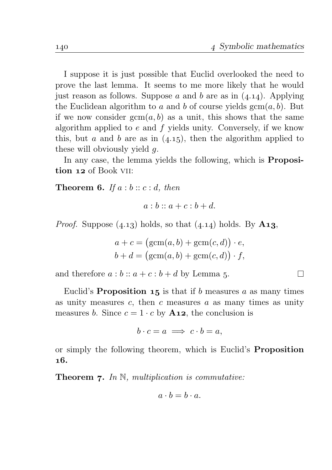I suppose it is just possible that Euclid overlooked the need to prove the last lemma. It seems to me more likely that he would just reason as follows. Suppose a and b are as in  $(4.14)$ . Applying the Euclidean algorithm to a and b of course yields  $gcm(a, b)$ . But if we now consider  $gcm(a, b)$  as a unit, this shows that the same algorithm applied to  $e$  and  $f$  yields unity. Conversely, if we know this, but a and b are as in  $(4.15)$ , then the algorithm applied to these will obviously yield g.

In any case, the lemma yields the following, which is **Proposi**tion  $12$  of Book VII:

**Theorem 6.** If  $a:b::c:d$ , then

$$
a:b::a+c:b+d.
$$

*Proof.* Suppose  $(4.13)$  holds, so that  $(4.14)$  holds. By  $\mathbf{A13}$ ,

$$
a + c = (\text{gcm}(a, b) + \text{gcm}(c, d)) \cdot e,
$$
  

$$
b + d = (\text{gcm}(a, b) + \text{gcm}(c, d)) \cdot f,
$$

and therefore  $a:b:: a+c:b+d$  by Lemma 5.

Euclid's **Proposition 15** is that if b measures a as many times as unity measures  $c$ , then  $c$  measures  $a$  as many times as unity measures b. Since  $c = 1 \cdot c$  by **A12**, the conclusion is

$$
b \cdot c = a \implies c \cdot b = a,
$$

or simply the following theorem, which is Euclid's Proposition 16.

**Theorem 7.** In  $\mathbb N$ , multiplication is commutative:

$$
a \cdot b = b \cdot a.
$$

 $\Box$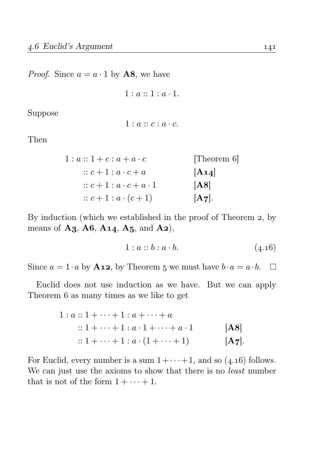*Proof.* Since  $a = a \cdot 1$  by **A8**, we have

$$
1 : a :: 1 : a \cdot 1.
$$

Suppose

```
1 : a :: c : a \cdot c.
```
Then

| $1:a::1+c:a+a\cdot c$                  | [Theorem 6] |
|----------------------------------------|-------------|
| $\therefore$ $c+1:a\cdot c+a$          | $[A_14]$    |
| $\therefore$ $c+1:a\cdot c+a\cdot 1$   | [A8]        |
| $\therefore$ $c + 1 : a \cdot (c + 1)$ | $[A7]$ .    |

By induction (which we established in the proof of Theorem 2, by means of  $\mathbf{A_3}$ ,  $\mathbf{A6}$ ,  $\mathbf{A14}$ ,  $\mathbf{A5}$ , and  $\mathbf{A2}$ ),

$$
1: a::b:a\cdot b. \tag{4.16}
$$

Since  $a = 1 \cdot a$  by **A12**, by Theorem 5 we must have  $b \cdot a = a \cdot b$ .  $\Box$ 

Euclid does not use induction as we have. But we can apply Theorem 6 as many times as we like to get

1: 
$$
a :: 1 + \cdots + 1 : a + \cdots + a
$$
  
\n $:: 1 + \cdots + 1 : a \cdot 1 + \cdots + a \cdot 1$  [A8]  
\n $:: 1 + \cdots + 1 : a \cdot (1 + \cdots + 1)$  [A7].

For Euclid, every number is a sum  $1+\cdots+1$ , and so  $(4.16)$  follows. We can just use the axioms to show that there is no *least* number that is not of the form  $1 + \cdots + 1$ .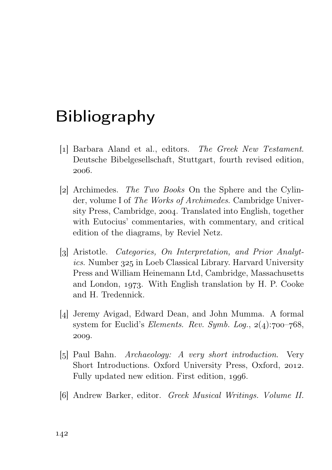## Bibliography

- [1] Barbara Aland et al., editors. The Greek New Testament. Deutsche Bibelgesellschaft, Stuttgart, fourth revised edition, 2006.
- [2] Archimedes. The Two Books On the Sphere and the Cylinder, volume I of The Works of Archimedes. Cambridge University Press, Cambridge, 2004. Translated into English, together with Eutocius' commentaries, with commentary, and critical edition of the diagrams, by Reviel Netz.
- [3] Aristotle. Categories, On Interpretation, and Prior Analytics. Number 325 in Loeb Classical Library. Harvard University Press and William Heinemann Ltd, Cambridge, Massachusetts and London,  $1973$ . With English translation by H. P. Cooke and H. Tredennick.
- [] Jeremy Avigad, Edward Dean, and John Mumma. A formal system for Euclid's *Elements. Rev. Symb. Log.*,  $2(4):700-768$ . 2009.
- [5] Paul Bahn. *Archaeology: A very short introduction*. Very Short Introductions. Oxford University Press, Oxford, 2012. Fully updated new edition. First edition, 1996.
- [] Andrew Barker, editor. Greek Musical Writings. Volume II.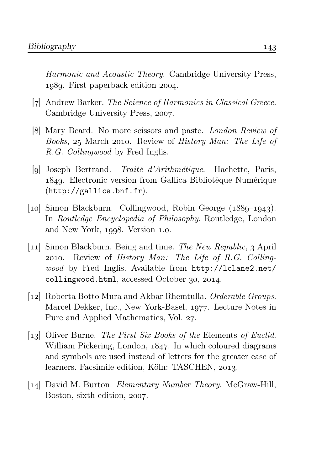Harmonic and Acoustic Theory. Cambridge University Press, 1989. First paperback edition 2004.

- [7] Andrew Barker. The Science of Harmonics in Classical Greece. Cambridge University Press, 2007.
- [8] Mary Beard. No more scissors and paste. *London Review of Books*, 25 March 2010. Review of *History Man: The Life of* R.G. Collingwood by Fred Inglis.
- [] Joseph Bertrand. Traité d'Arithmétique. Hachette, Paris, . Electronic version from Gallica Bibliotèque Numérique (http://gallica.bnf.fr).
- $\vert$ 10 Simon Blackburn. Collingwood, Robin George (1889–1943). In Routledge Encyclopedia of Philosophy. Routledge, London and New York,  $1998$ . Version 1.0.
- [11] Simon Blackburn. Being and time. The New Republic, 3 April . Review of History Man: The Life of R.G. Collingwood by Fred Inglis. Available from http://lclane2.net/ collingwood.html, accessed October 30, 2014.
- [12] Roberta Botto Mura and Akbar Rhemtulla. Orderable Groups. Marcel Dekker, Inc., New York-Basel, 1977. Lecture Notes in Pure and Applied Mathematics, Vol. 27.
- [13] Oliver Burne. The First Six Books of the Elements of Euclid. William Pickering, London, 1847. In which coloured diagrams and symbols are used instead of letters for the greater ease of learners. Facsimile edition, Köln: TASCHEN, 2013.
- [14] David M. Burton. *Elementary Number Theory*. McGraw-Hill, Boston, sixth edition, 2007.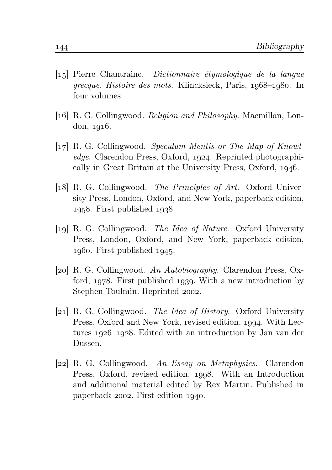- [] Pierre Chantraine. Dictionnaire étymologique de la langue  $grecque. *Histoire des mots*. Klincksieck, Paris, 1968–1980. In$ four volumes.
- [16] R. G. Collingwood. *Religion and Philosophy*. Macmillan, Lon $don. 1916.$
- [17] R. G. Collingwood. Speculum Mentis or The Map of Knowl $edge.$  Clarendon Press, Oxford, 1924. Reprinted photographically in Great Britain at the University Press, Oxford,  $1946$ .
- [18] R. G. Collingwood. *The Principles of Art.* Oxford University Press, London, Oxford, and New York, paperback edition,  $1958.$  First published  $1938.$
- [19] R. G. Collingwood. *The Idea of Nature.* Oxford University Press, London, Oxford, and New York, paperback edition,  $1060$ . First published  $1045$ .
- [20] R. G. Collingwood. An Autobiography. Clarendon Press, Oxford,  $1978$ . First published 1939. With a new introduction by Stephen Toulmin. Reprinted 2002.
- $|21|$  R. G. Collingwood. *The Idea of History*. Oxford University Press, Oxford and New York, revised edition, 1994. With Lectures 1926–1928. Edited with an introduction by Jan van der Dussen.
- [ $22$ ] R. G. Collingwood. An Essay on Metaphysics. Clarendon Press, Oxford, revised edition, 1998. With an Introduction and additional material edited by Rex Martin. Published in paperback  $2002$ . First edition  $1940$ .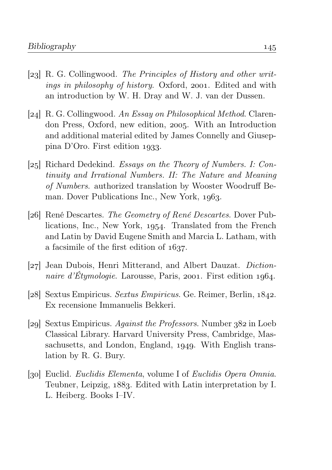- $[23]$  R. G. Collingwood. The Principles of History and other writings in philosophy of history. Oxford, 2001. Edited and with an introduction by W. H. Dray and W. J. van der Dussen.
- [ $24$ ] R. G. Collingwood. An Essay on Philosophical Method. Clarendon Press, Oxford, new edition, 2005. With an Introduction and additional material edited by James Connelly and Giuseppina D'Oro. First edition  $1933$ .
- [25] Richard Dedekind. Essays on the Theory of Numbers. I: Continuity and Irrational Numbers. II: The Nature and Meaning of Numbers. authorized translation by Wooster Woodruff Beman. Dover Publications Inc., New York, 1963.
- [26] René Descartes. The Geometry of René Descartes. Dover Publications, Inc., New York, 1954. Translated from the French and Latin by David Eugene Smith and Marcia L. Latham, with a facsimile of the first edition of  $1637$ .
- [27] Jean Dubois, Henri Mitterand, and Albert Dauzat. *Diction*naire d'Étymologie. Larousse, Paris, 2001. First edition 1964.
- [28] Sextus Empiricus. Sextus Empiricus. Ge. Reimer, Berlin, 1842. Ex recensione Immanuelis Bekkeri.
- [29] Sextus Empiricus. Against the Professors. Number  $382$  in Loeb Classical Library. Harvard University Press, Cambridge, Massachusetts, and London, England, 1949. With English translation by R. G. Bury.
- [30] Euclid. *Euclidis Elementa*, volume I of *Euclidis Opera Omnia*. Teubner, Leipzig, 1883. Edited with Latin interpretation by I. L. Heiberg. Books I–IV.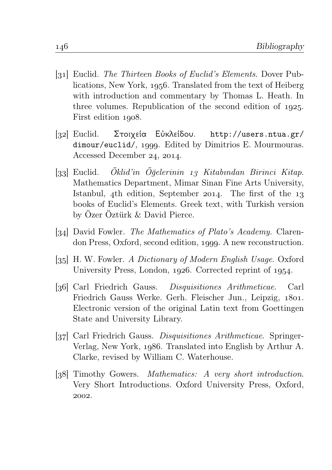- [31] Euclid. *The Thirteen Books of Euclid's Elements*. Dover Publications, New York, 1956. Translated from the text of Heiberg with introduction and commentary by Thomas L. Heath. In three volumes. Republication of the second edition of  $1925$ . First edition 1008.
- [] Euclid. Στοιχεία Εὐκλείδου. http://users.ntua.gr/ dimour/euclid/, 1999. Edited by Dimitrios E. Mourmouras. Accessed December 24, 2014.
- [33] Euclid. Öklid'in Öğelerinin 13 Kitabından Birinci Kitap. Mathematics Department, Mimar Sinan Fine Arts University, Istanbul, 4th edition, September 2014. The first of the  $13$ books of Euclid's Elements. Greek text, with Turkish version by Özer Öztürk & David Pierce.
- [34] David Fowler. *The Mathematics of Plato's Academy*. Clarendon Press, Oxford, second edition, 1999. A new reconstruction.
- [35] H. W. Fowler. A Dictionary of Modern English Usage. Oxford University Press, London, 1926. Corrected reprint of 1954.
- [36] Carl Friedrich Gauss. Disquisitiones Arithmeticae. Carl Friedrich Gauss Werke. Gerh. Fleischer Jun., Leipzig, 1801. Electronic version of the original Latin text from Goettingen State and University Library.
- [37] Carl Friedrich Gauss. *Disquisitiones Arithmeticae*. Springer-Verlag, New York, 1986. Translated into English by Arthur A. Clarke, revised by William C. Waterhouse.
- [38] Timothy Gowers. Mathematics: A very short introduction. Very Short Introductions. Oxford University Press, Oxford, 2002.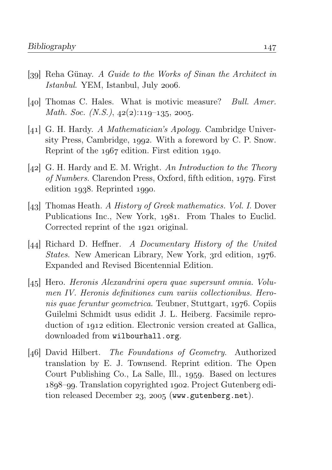- [39] Reha Günay. A Guide to the Works of Sinan the Architect in *Istanbul.* YEM, Istanbul, July 2006.
- [40] Thomas C. Hales. What is motivic measure? *Bull. Amer. Math. Soc.*  $(N.S.), 42(2):119-135, 2005.$
- $\lbrack 41\rbrack$  G. H. Hardy. A Mathematician's Apology. Cambridge University Press, Cambridge, 1992. With a foreword by C. P. Snow. Reprint of the  $1967$  edition. First edition  $1940$ .
- $[42]$  G. H. Hardy and E. M. Wright. An Introduction to the Theory  $of Numbers.$  Clarendon Press, Oxford, fifth edition, 1979. First edition 1938. Reprinted 1990.
- [43] Thomas Heath. A History of Greek mathematics. Vol. I. Dover Publications Inc., New York, 1981. From Thales to Euclid. Corrected reprint of the 1921 original.
- [44] Richard D. Heffner. A Documentary History of the United *States.* New American Library, New York, 3rd edition, 1976. Expanded and Revised Bicentennial Edition.
- [45] Hero. Heronis Alexandrini opera quae supersunt omnia. Volumen IV. Heronis definitiones cum variis collectionibus. Heronis quae feruntur geometrica. Teubner, Stuttgart, 1976. Copiis Guilelmi Schmidt usus edidit J. L. Heiberg. Facsimile reproduction of 1912 edition. Electronic version created at Gallica, downloaded from wilbourhall.org.
- [46] David Hilbert. *The Foundations of Geometry*. Authorized translation by E. J. Townsend. Reprint edition. The Open Court Publishing Co., La Salle, Ill., 1959. Based on lectures 1898–99. Translation copyrighted 1902. Project Gutenberg edition released December 23, 2005 (www.gutenberg.net).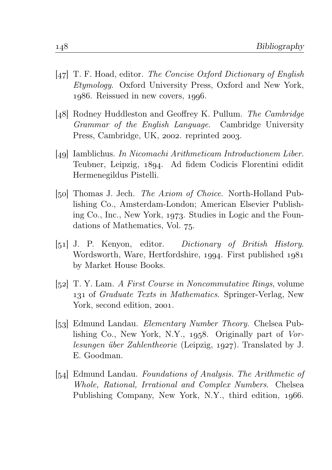- $\lbrack 47\rbrack$  T. F. Hoad, editor. The Concise Oxford Dictionary of English Etymology. Oxford University Press, Oxford and New York,  $1986.$  Reissued in new covers,  $1996.$
- [48] Rodney Huddleston and Geoffrey K. Pullum. The Cambridge Grammar of the English Language. Cambridge University Press, Cambridge, UK, 2002, reprinted 2003.
- [40] Iamblichus. In Nicomachi Arithmeticam Introductionem Liber. Teubner, Leipzig, 1894. Ad fidem Codicis Florentini edidit Hermenegildus Pistelli.
- [50] Thomas J. Jech. *The Axiom of Choice*. North-Holland Publishing Co., Amsterdam-London; American Elsevier Publishing Co., Inc., New York, 1973. Studies in Logic and the Foundations of Mathematics, Vol. 75.
- [51] J. P. Kenyon, editor. Dictionary of British History. Wordsworth, Ware, Hertfordshire, 1994. First published 1981 by Market House Books.
- $[52]$  T. Y. Lam. A First Course in Noncommutative Rings, volume 131 of *Graduate Texts in Mathematics*. Springer-Verlag, New York, second edition, 2001.
- [53] Edmund Landau. *Elementary Number Theory*. Chelsea Publishing Co., New York, N.Y., 1958. Originally part of Vorlesungen über Zahlentheorie (Leipzig, 1927). Translated by J. E. Goodman.
- [54] Edmund Landau. Foundations of Analysis. The Arithmetic of Whole, Rational, Irrational and Complex Numbers. Chelsea Publishing Company, New York, N.Y., third edition, 1966.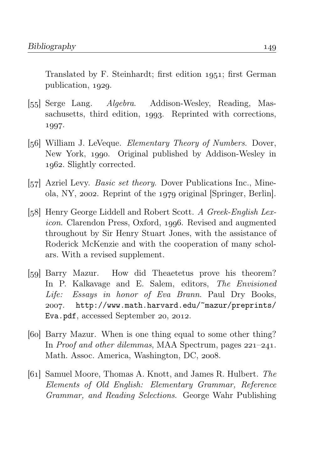Translated by F. Steinhardt; first edition 1951; first German publication, 1929.

- [55] Serge Lang. *Algebra*. Addison-Wesley, Reading, Massachusetts, third edition, 1993. Reprinted with corrections, 1997.
- [56] William J. LeVeque. *Elementary Theory of Numbers*. Dover, New York, 1990. Original published by Addison-Wesley in . Slightly corrected.
- $[57]$  Azriel Levy. *Basic set theory*. Dover Publications Inc., Mineola, NY, 2002. Reprint of the  $1979$  original [Springer, Berlin].
- [58] Henry George Liddell and Robert Scott. A Greek-English Lexicon. Clarendon Press, Oxford, 1996. Revised and augmented throughout by Sir Henry Stuart Jones, with the assistance of Roderick McKenzie and with the cooperation of many scholars. With a revised supplement.
- [59] Barry Mazur. How did Theaetetus prove his theorem? In P. Kalkavage and E. Salem, editors, The Envisioned Life: Essays in honor of Eva Brann. Paul Dry Books, . http://www.math.harvard.edu/~mazur/preprints/ Eva.pdf, accessed September 20, 2012.
- [60] Barry Mazur. When is one thing equal to some other thing? In *Proof and other dilemmas*, MAA Spectrum, pages  $221-241$ . Math. Assoc. America, Washington, DC, 2008.
- [61] Samuel Moore, Thomas A. Knott, and James R. Hulbert. The Elements of Old English: Elementary Grammar, Reference Grammar, and Reading Selections. George Wahr Publishing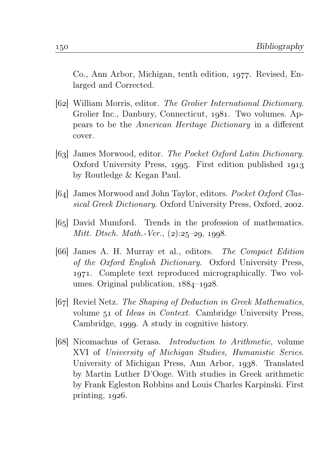Co., Ann Arbor, Michigan, tenth edition, 1977. Revised, Enlarged and Corrected.

- [62] William Morris, editor. The Grolier International Dictionary. Grolier Inc., Danbury, Connecticut, 1981. Two volumes. Appears to be the American Heritage Dictionary in a different cover.
- [63] James Morwood, editor. The Pocket Oxford Latin Dictionary. Oxford University Press,  $1995$ . First edition published  $1913$ by Routledge & Kegan Paul.
- [64] James Morwood and John Taylor, editors. Pocket Oxford Classical Greek Dictionary. Oxford University Press, Oxford, 2002.
- [65] David Mumford. Trends in the profession of mathematics. Mitt. Dtsch. Math.-Ver.,  $(2):25-29, 1998$ .
- [66] James A. H. Murray et al., editors. The Compact Edition of the Oxford English Dictionary. Oxford University Press, . Complete text reproduced micrographically. Two volumes. Original publication,  $1884-1928$ .
- [67] Reviel Netz. The Shaping of Deduction in Greek Mathematics, volume 51 of *Ideas in Context*. Cambridge University Press, Cambridge, 1999. A study in cognitive history.
- [68] Nicomachus of Gerasa. *Introduction to Arithmetic*, volume XVI of University of Michigan Studies, Humanistic Series. University of Michigan Press, Ann Arbor, 1938. Translated by Martin Luther D'Ooge. With studies in Greek arithmetic by Frank Egleston Robbins and Louis Charles Karpinski. First printing,  $1926$ .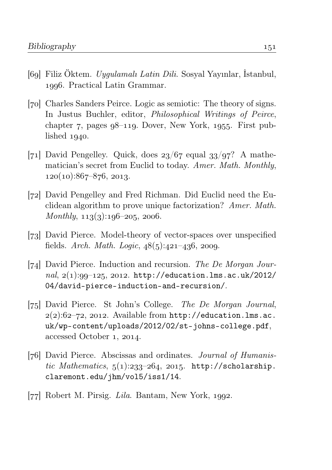- [] Filiz Öktem. Uygulamalı Latin Dili. Sosyal Yayınlar, İstanbul, . Practical Latin Grammar.
- [70] Charles Sanders Peirce. Logic as semiotic: The theory of signs. In Justus Buchler, editor, Philosophical Writings of Peirce, chapter 7, pages  $98-119$ . Dover, New York, 1955. First published  $1940$ .
- [71] David Pengelley. Quick, does  $23/67$  equal  $33/97$ ? A mathematician's secret from Euclid to today. Amer. Math. Monthly,  $120(10):867 - 876, 2013.$
- [72] David Pengelley and Fred Richman. Did Euclid need the Euclidean algorithm to prove unique factorization? Amer. Math. Monthly,  $113(3):196-205$ , 2006.
- [73] David Pierce. Model-theory of vector-spaces over unspecified fields. Arch. Math. Logic,  $48(5):421-436$ , 2009.
- [74] David Pierce. Induction and recursion. The De Morgan Jour $nal, 2(1):$ 99-125, 2012. http://education.lms.ac.uk/2012/ 04/david-pierce-induction-and-recursion/.
- [75] David Pierce. St John's College. The De Morgan Journal,  $2(2):62$ –72, 2012. Available from  ${\tt http://education.lms.ac.}$ uk/wp-content/uploads/2012/02/st-johns-college.pdf, accessed October 1, 2014.
- [76] David Pierce. Abscissas and ordinates. *Journal of Humanis*tic Mathematics,  $5(1):233-264$ , 2015. http://scholarship. claremont.edu/jhm/vol5/iss1/14.
- $|77|$  Robert M. Pirsig. Lila. Bantam, New York, 1992.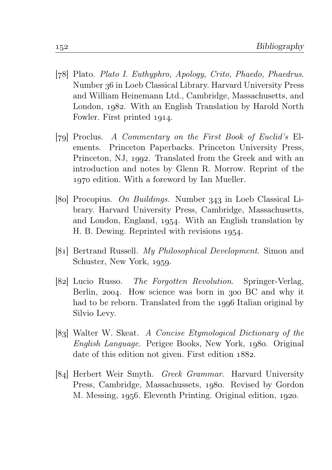- [] Plato. Plato I. Euthyphro, Apology, Crito, Phaedo, Phaedrus. Number 36 in Loeb Classical Library. Harvard University Press and William Heinemann Ltd., Cambridge, Massachusetts, and London, 1982. With an English Translation by Harold North Fowler. First printed  $1014$ .
- [79] Proclus. A Commentary on the First Book of Euclid's Elements. Princeton Paperbacks. Princeton University Press, Princeton, NJ, 1992. Translated from the Greek and with an introduction and notes by Glenn R. Morrow. Reprint of the 1970 edition. With a foreword by Ian Mueller.
- [80] Procopius. On Buildings. Number  $343$  in Loeb Classical Library. Harvard University Press, Cambridge, Massachusetts, and London, England,  $1954$ . With an English translation by H. B. Dewing. Reprinted with revisions 1954.
- [81] Bertrand Russell. My Philosophical Development. Simon and Schuster, New York, 1959.
- [82] Lucio Russo. *The Forgotten Revolution*. Springer-Verlag, Berlin, 2004. How science was born in 300 BC and why it had to be reborn. Translated from the 1996 Italian original by Silvio Levy.
- [83] Walter W. Skeat. A Concise Etymological Dictionary of the English Language. Perigee Books, New York, 1980. Original date of this edition not given. First edition  $1882$ .
- [84] Herbert Weir Smyth. Greek Grammar. Harvard University Press, Cambridge, Massachussets, 1980. Revised by Gordon M. Messing, 1956. Eleventh Printing. Original edition, 1920.